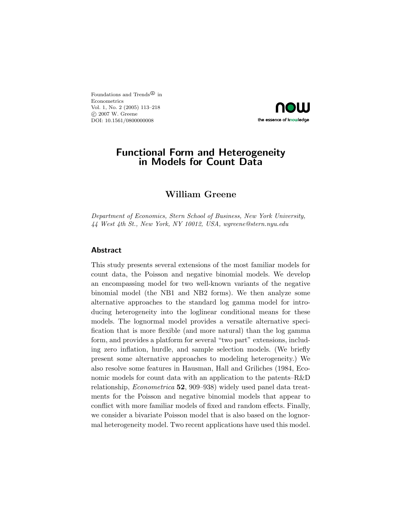Foundations and Trends<sup>®</sup> in Econometrics Vol. 1, No. 2 (2005) 113–218 c 2007 W. Greene DOI: 10.1561/0800000008



# **Functional Form and Heterogeneity in Models for Count Data**

### **William Greene**

*Department of Economics, Stern School of Business, New York University, 44 West 4th St., New York, NY 10012, USA, wgreene@stern.nyu.edu*

#### **Abstract**

This study presents several extensions of the most familiar models for count data, the Poisson and negative binomial models. We develop an encompassing model for two well-known variants of the negative binomial model (the NB1 and NB2 forms). We then analyze some alternative approaches to the standard log gamma model for introducing heterogeneity into the loglinear conditional means for these models. The lognormal model provides a versatile alternative specification that is more flexible (and more natural) than the log gamma form, and provides a platform for several "two part" extensions, including zero inflation, hurdle, and sample selection models. (We briefly present some alternative approaches to modeling heterogeneity.) We also resolve some features in Hausman, Hall and Griliches (1984, Economic models for count data with an application to the patents–R&D relationship, *Econometrica* **52**, 909–938) widely used panel data treatments for the Poisson and negative binomial models that appear to conflict with more familiar models of fixed and random effects. Finally, we consider a bivariate Poisson model that is also based on the lognormal heterogeneity model. Two recent applications have used this model.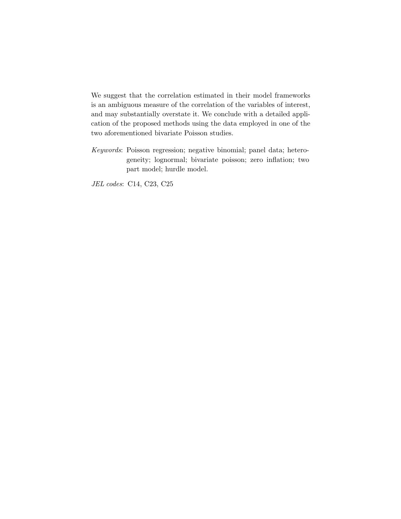We suggest that the correlation estimated in their model frameworks is an ambiguous measure of the correlation of the variables of interest, and may substantially overstate it. We conclude with a detailed application of the proposed methods using the data employed in one of the two aforementioned bivariate Poisson studies.

*Keywords*: Poisson regression; negative binomial; panel data; heterogeneity; lognormal; bivariate poisson; zero inflation; two part model; hurdle model.

*JEL codes*: C14, C23, C25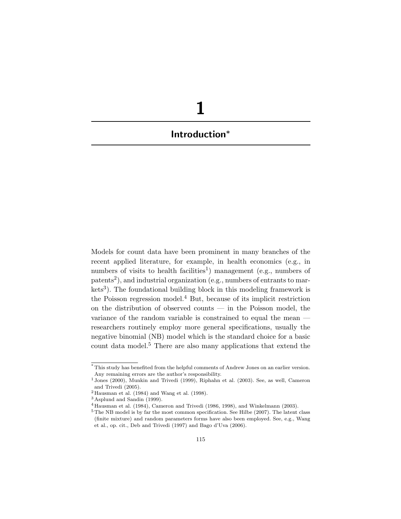# **1 Introduction***∗*

Models for count data have been prominent in many branches of the recent applied literature, for example, in health economics (e.g., in numbers of visits to health facilities<sup>1</sup>) management (e.g., numbers of patents<sup>2</sup>), and industrial organization (e.g., numbers of entrants to mar $kets<sup>3</sup>$ ). The foundational building block in this modeling framework is the Poisson regression model.<sup>4</sup> But, because of its implicit restriction on the distribution of observed counts — in the Poisson model, the variance of the random variable is constrained to equal the mean researchers routinely employ more general specifications, usually the negative binomial (NB) model which is the standard choice for a basic count data model.<sup>5</sup> There are also many applications that extend the

<sup>\*</sup> This study has benefited from the helpful comments of Andrew Jones on an earlier version. Any remaining errors are the author's responsibility.

<sup>1</sup> Jones (2000), Munkin and Trivedi (1999), Riphahn et al. (2003). See, as well, Cameron and Trivedi (2005).

 $2$  Hausman et al. (1984) and Wang et al. (1998).

<sup>3</sup> Asplund and Sandin (1999).

<sup>4</sup> Hausman et al. (1984), Cameron and Trivedi (1986, 1998), and Winkelmann (2003).

 $5$  The NB model is by far the most common specification. See Hilbe (2007). The latent class (finite mixture) and random parameters forms have also been employed. See, e.g., Wang et al., op. cit., Deb and Trivedi (1997) and Bago d'Uva (2006).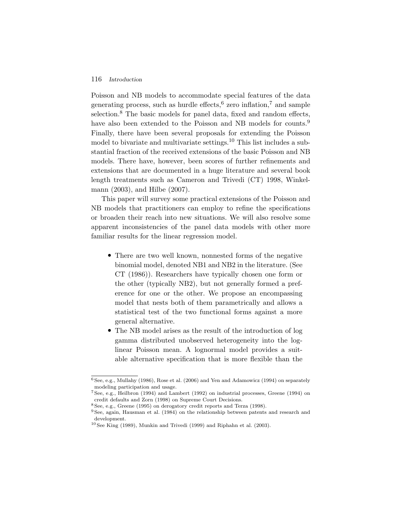#### 116 *Introduction*

Poisson and NB models to accommodate special features of the data generating process, such as hurdle effects,  $6 \text{ zero inflation}$ , and sample selection.<sup>8</sup> The basic models for panel data, fixed and random effects, have also been extended to the Poisson and NB models for counts.<sup>9</sup> Finally, there have been several proposals for extending the Poisson model to bivariate and multivariate settings.<sup>10</sup> This list includes a substantial fraction of the received extensions of the basic Poisson and NB models. There have, however, been scores of further refinements and extensions that are documented in a huge literature and several book length treatments such as Cameron and Trivedi (CT) 1998, Winkelmann (2003), and Hilbe (2007).

This paper will survey some practical extensions of the Poisson and NB models that practitioners can employ to refine the specifications or broaden their reach into new situations. We will also resolve some apparent inconsistencies of the panel data models with other more familiar results for the linear regression model.

- There are two well known, nonnested forms of the negative binomial model, denoted NB1 and NB2 in the literature. (See CT (1986)). Researchers have typically chosen one form or the other (typically NB2), but not generally formed a preference for one or the other. We propose an encompassing model that nests both of them parametrically and allows a statistical test of the two functional forms against a more general alternative.
- The NB model arises as the result of the introduction of log gamma distributed unobserved heterogeneity into the loglinear Poisson mean. A lognormal model provides a suitable alternative specification that is more flexible than the

 $6$  See, e.g., Mullahy (1986), Rose et al. (2006) and Yen and Adamowicz (1994) on separately modeling participation and usage.

<sup>7</sup> See, e.g., Heilbron (1994) and Lambert (1992) on industrial processes, Greene (1994) on credit defaults and Zorn (1998) on Supreme Court Decisions.

<sup>8</sup> See, e.g., Greene (1995) on derogatory credit reports and Terza (1998).

<sup>9</sup> See, again, Hausman et al. (1984) on the relationship between patents and research and development.

 $^{10}$  See King (1989), Munkin and Trivedi (1999) and Riphahn et al. (2003).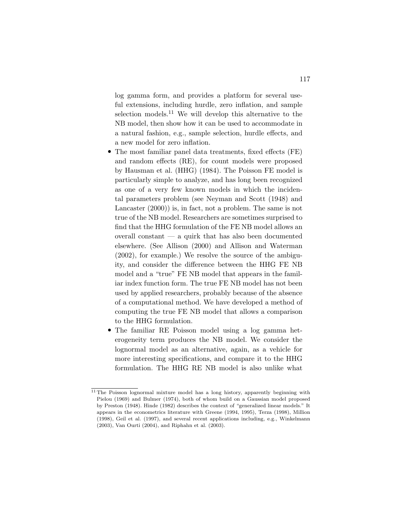log gamma form, and provides a platform for several useful extensions, including hurdle, zero inflation, and sample selection models.<sup>11</sup> We will develop this alternative to the NB model, then show how it can be used to accommodate in a natural fashion, e.g., sample selection, hurdle effects, and a new model for zero inflation.

- The most familiar panel data treatments, fixed effects (FE) and random effects (RE), for count models were proposed by Hausman et al. (HHG) (1984). The Poisson FE model is particularly simple to analyze, and has long been recognized as one of a very few known models in which the incidental parameters problem (see Neyman and Scott (1948) and Lancaster (2000)) is, in fact, not a problem. The same is not true of the NB model. Researchers are sometimes surprised to find that the HHG formulation of the FE NB model allows an overall constant — a quirk that has also been documented elsewhere. (See Allison (2000) and Allison and Waterman (2002), for example.) We resolve the source of the ambiguity, and consider the difference between the HHG FE NB model and a "true" FE NB model that appears in the familiar index function form. The true FE NB model has not been used by applied researchers, probably because of the absence of a computational method. We have developed a method of computing the true FE NB model that allows a comparison to the HHG formulation.
- The familiar RE Poisson model using a log gamma heterogeneity term produces the NB model. We consider the lognormal model as an alternative, again, as a vehicle for more interesting specifications, and compare it to the HHG formulation. The HHG RE NB model is also unlike what

<sup>&</sup>lt;sup>11</sup> The Poisson lognormal mixture model has a long history, apparently beginning with Pielou (1969) and Bulmer (1974), both of whom build on a Gaussian model proposed by Preston (1948). Hinde (1982) describes the context of "generalized linear models." It appears in the econometrics literature with Greene (1994, 1995), Terza (1998), Million (1998), Geil et al. (1997), and several recent applications including, e.g., Winkelmann (2003), Van Ourti (2004), and Riphahn et al. (2003).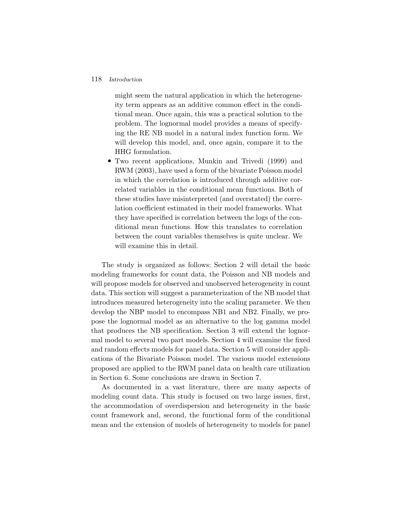#### 118 *Introduction*

might seem the natural application in which the heterogeneity term appears as an additive common effect in the conditional mean. Once again, this was a practical solution to the problem. The lognormal model provides a means of specifying the RE NB model in a natural index function form. We will develop this model, and, once again, compare it to the HHG formulation.

• Two recent applications, Munkin and Trivedi (1999) and RWM (2003), have used a form of the bivariate Poisson model in which the correlation is introduced through additive correlated variables in the conditional mean functions. Both of these studies have misinterpreted (and overstated) the correlation coefficient estimated in their model frameworks. What they have specified is correlation between the logs of the conditional mean functions. How this translates to correlation between the count variables themselves is quite unclear. We will examine this in detail.

The study is organized as follows: Section 2 will detail the basic modeling frameworks for count data, the Poisson and NB models and will propose models for observed and unobserved heterogeneity in count data. This section will suggest a parameterization of the NB model that introduces measured heterogeneity into the scaling parameter. We then develop the NBP model to encompass NB1 and NB2. Finally, we propose the lognormal model as an alternative to the log gamma model that produces the NB specification. Section 3 will extend the lognormal model to several two part models. Section 4 will examine the fixed and random effects models for panel data. Section 5 will consider applications of the Bivariate Poisson model. The various model extensions proposed are applied to the RWM panel data on health care utilization in Section 6. Some conclusions are drawn in Section 7.

As documented in a vast literature, there are many aspects of modeling count data. This study is focused on two large issues, first, the accommodation of overdispersion and heterogeneity in the basic count framework and, second, the functional form of the conditional mean and the extension of models of heterogeneity to models for panel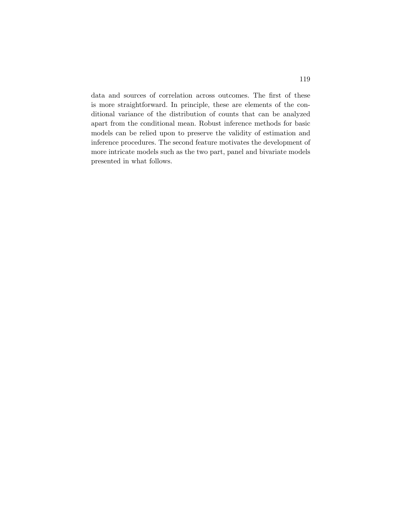data and sources of correlation across outcomes. The first of these is more straightforward. In principle, these are elements of the conditional variance of the distribution of counts that can be analyzed apart from the conditional mean. Robust inference methods for basic models can be relied upon to preserve the validity of estimation and inference procedures. The second feature motivates the development of more intricate models such as the two part, panel and bivariate models presented in what follows.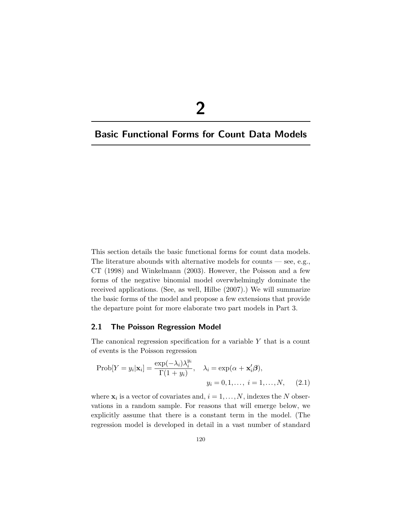## **2**

## **Basic Functional Forms for Count Data Models**

This section details the basic functional forms for count data models. The literature abounds with alternative models for counts — see, e.g., CT (1998) and Winkelmann (2003). However, the Poisson and a few forms of the negative binomial model overwhelmingly dominate the received applications. (See, as well, Hilbe (2007).) We will summarize the basic forms of the model and propose a few extensions that provide the departure point for more elaborate two part models in Part 3.

#### **2.1 The Poisson Regression Model**

The canonical regression specification for a variable  $Y$  that is a count of events is the Poisson regression

$$
\text{Prob}[Y = y_i | \mathbf{x}_i] = \frac{\exp(-\lambda_i)\lambda_i^{y_i}}{\Gamma(1+y_i)}, \quad \lambda_i = \exp(\alpha + \mathbf{x}_i'\boldsymbol{\beta}),
$$

$$
y_i = 0, 1, \dots, i = 1, \dots, N, \quad (2.1)
$$

where  $\mathbf{x}_i$  is a vector of covariates and,  $i = 1, \ldots, N$ , indexes the N observations in a random sample. For reasons that will emerge below, we explicitly assume that there is a constant term in the model. (The regression model is developed in detail in a vast number of standard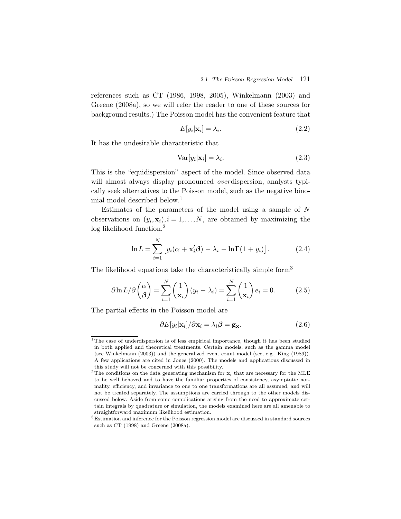references such as CT (1986, 1998, 2005), Winkelmann (2003) and Greene (2008a), so we will refer the reader to one of these sources for background results.) The Poisson model has the convenient feature that

$$
E[y_i|\mathbf{x}_i] = \lambda_i. \tag{2.2}
$$

It has the undesirable characteristic that

$$
Var[y_i|x_i] = \lambda_i. \tag{2.3}
$$

This is the "equidispersion" aspect of the model. Since observed data will almost always display pronounced *over*dispersion, analysts typically seek alternatives to the Poisson model, such as the negative binomial model described below.<sup>1</sup>

Estimates of the parameters of the model using a sample of N observations on  $(y_i, \mathbf{x}_i)$ ,  $i = 1, ..., N$ , are obtained by maximizing the log likelihood function,<sup>2</sup>

$$
\ln L = \sum_{i=1}^{N} \left[ y_i(\alpha + \mathbf{x}_i'\boldsymbol{\beta}) - \lambda_i - \ln \Gamma(1 + y_i) \right]. \tag{2.4}
$$

The likelihood equations take the characteristically simple form<sup>3</sup>

$$
\partial \ln L/\partial \begin{pmatrix} \alpha \\ \beta \end{pmatrix} = \sum_{i=1}^{N} \begin{pmatrix} 1 \\ \mathbf{x}_i \end{pmatrix} (y_i - \lambda_i) = \sum_{i=1}^{N} \begin{pmatrix} 1 \\ \mathbf{x}_i \end{pmatrix} e_i = 0.
$$
 (2.5)

The partial effects in the Poisson model are

$$
\partial E[y_i|\mathbf{x}_i]/\partial \mathbf{x}_i = \lambda_i \boldsymbol{\beta} = \mathbf{g}_\mathbf{x}.
$$
 (2.6)

<sup>&</sup>lt;sup>1</sup>The case of underdispersion is of less empirical importance, though it has been studied in both applied and theoretical treatments. Certain models, such as the gamma model (see Winkelmann (2003)) and the generalized event count model (see, e.g., King (1989)). A few applications are cited in Jones (2000). The models and applications discussed in this study will not be concerned with this possibility.

<sup>&</sup>lt;sup>2</sup>The conditions on the data generating mechanism for  $\mathbf{x}_i$  that are necessary for the MLE to be well behaved and to have the familiar properties of consistency, asymptotic normality, efficiency, and invariance to one to one transformations are all assumed, and will not be treated separately. The assumptions are carried through to the other models discussed below. Aside from some complications arising from the need to approximate certain integrals by quadrature or simulation, the models examined here are all amenable to straightforward maximum likelihood estimation.

<sup>3</sup> Estimation and inference for the Poisson regression model are discussed in standard sources such as CT (1998) and Greene (2008a).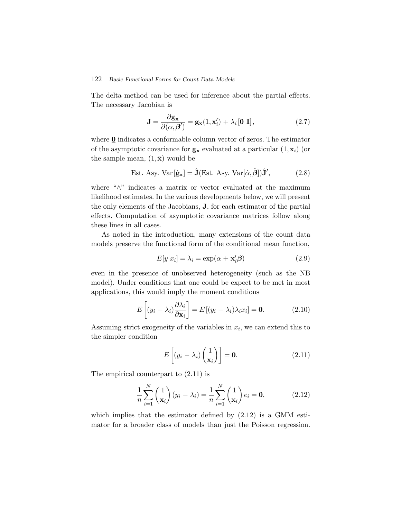The delta method can be used for inference about the partial effects. The necessary Jacobian is

$$
\mathbf{J} = \frac{\partial \mathbf{g}_{\mathbf{x}}}{\partial(\alpha, \beta')} = \mathbf{g}_{\mathbf{x}}(1, \mathbf{x}'_i) + \lambda_i [\mathbf{0} \mathbf{I}],
$$
 (2.7)

where **0** indicates a conformable column vector of zeros. The estimator of the asymptotic covariance for  $g_x$  evaluated at a particular  $(1, x_i)$  (or the sample mean,  $(1,\bar{x})$  would be

Est. Asy. Var 
$$
[\hat{\mathbf{g}}_{\mathbf{x}}] = \hat{\mathbf{J}}(\text{Est. Asy. Var}[\hat{\alpha}, \hat{\boldsymbol{\beta}}])\hat{\mathbf{J}}',
$$
 (2.8)

where "∧" indicates a matrix or vector evaluated at the maximum likelihood estimates. In the various developments below, we will present the only elements of the Jacobians, **J**, for each estimator of the partial effects. Computation of asymptotic covariance matrices follow along these lines in all cases.

As noted in the introduction, many extensions of the count data models preserve the functional form of the conditional mean function,

$$
E[y|x_i] = \lambda_i = \exp(\alpha + \mathbf{x}_i'\boldsymbol{\beta})
$$
\n(2.9)

even in the presence of unobserved heterogeneity (such as the NB model). Under conditions that one could be expect to be met in most applications, this would imply the moment conditions

$$
E\left[ (y_i - \lambda_i) \frac{\partial \lambda_i}{\partial \mathbf{x}_i} \right] = E\left[ (y_i - \lambda_i) \lambda_i x_i \right] = \mathbf{0}.
$$
 (2.10)

Assuming strict exogeneity of the variables in  $x_i$ , we can extend this to the simpler condition

$$
E\left[ (y_i - \lambda_i) \binom{1}{\mathbf{x}_i} \right] = \mathbf{0}.\tag{2.11}
$$

The empirical counterpart to (2.11) is

$$
\frac{1}{n}\sum_{i=1}^{N} \begin{pmatrix} 1\\ \mathbf{x}_i \end{pmatrix} (y_i - \lambda_i) = \frac{1}{n}\sum_{i=1}^{N} \begin{pmatrix} 1\\ \mathbf{x}_i \end{pmatrix} e_i = \mathbf{0},
$$
\n(2.12)

which implies that the estimator defined by (2.12) is a GMM estimator for a broader class of models than just the Poisson regression.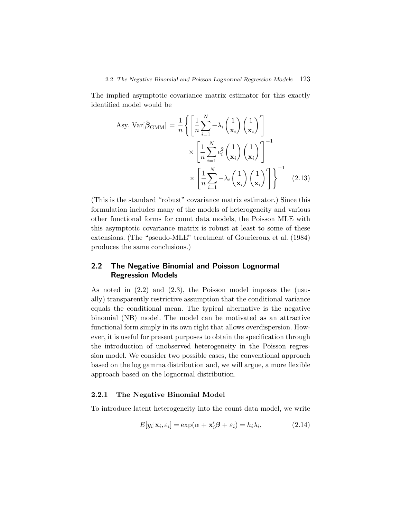The implied asymptotic covariance matrix estimator for this exactly identified model would be

Asy. Var[
$$
\hat{\beta}_{\text{GMM}}
$$
] =  $\frac{1}{n} \left\{ \left[ \frac{1}{n} \sum_{i=1}^{N} -\lambda_i \begin{pmatrix} 1 \\ \mathbf{x}_i \end{pmatrix} \begin{pmatrix} 1 \\ \mathbf{x}_i \end{pmatrix}' \right] \right\}$   
  $\times \left[ \frac{1}{n} \sum_{i=1}^{N} e_i^2 \begin{pmatrix} 1 \\ \mathbf{x}_i \end{pmatrix} \begin{pmatrix} 1 \\ \mathbf{x}_i \end{pmatrix}' \right]^{-1}$   
  $\times \left[ \frac{1}{n} \sum_{i=1}^{N} -\lambda_i \begin{pmatrix} 1 \\ \mathbf{x}_i \end{pmatrix} \begin{pmatrix} 1 \\ \mathbf{x}_i \end{pmatrix}' \right] \right\}^{-1}$  (2.13)

(This is the standard "robust" covariance matrix estimator.) Since this formulation includes many of the models of heterogeneity and various other functional forms for count data models, the Poisson MLE with this asymptotic covariance matrix is robust at least to some of these extensions. (The "pseudo-MLE" treatment of Gourieroux et al. (1984) produces the same conclusions.)

#### **2.2 The Negative Binomial and Poisson Lognormal Regression Models**

As noted in (2.2) and (2.3), the Poisson model imposes the (usually) transparently restrictive assumption that the conditional variance equals the conditional mean. The typical alternative is the negative binomial (NB) model. The model can be motivated as an attractive functional form simply in its own right that allows overdispersion. However, it is useful for present purposes to obtain the specification through the introduction of unobserved heterogeneity in the Poisson regression model. We consider two possible cases, the conventional approach based on the log gamma distribution and, we will argue, a more flexible approach based on the lognormal distribution.

#### **2.2.1 The Negative Binomial Model**

To introduce latent heterogeneity into the count data model, we write

$$
E[y_i|\mathbf{x}_i, \varepsilon_i] = \exp(\alpha + \mathbf{x}_i'\boldsymbol{\beta} + \varepsilon_i) = h_i\lambda_i,
$$
\n(2.14)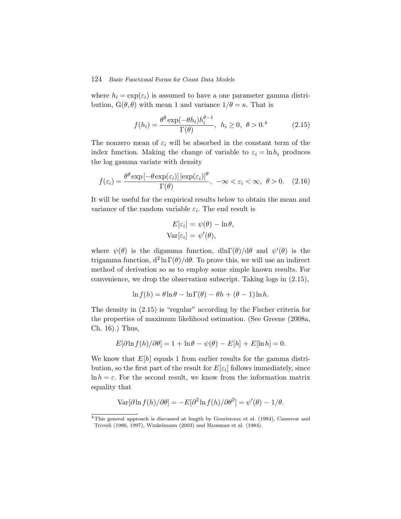where  $h_i = \exp(\varepsilon_i)$  is assumed to have a one parameter gamma distribution,  $G(\theta, \theta)$  with mean 1 and variance  $1/\theta = \kappa$ . That is

$$
f(h_i) = \frac{\theta^{\theta} \exp(-\theta h_i) h_i^{\theta - 1}}{\Gamma(\theta)}, \ h_i \ge 0, \ \theta > 0.^4
$$
 (2.15)

The nonzero mean of  $\varepsilon_i$  will be absorbed in the constant term of the index function. Making the change of variable to  $\varepsilon_i = \ln h_i$  produces the log gamma variate with density

$$
f(\varepsilon_i) = \frac{\theta^{\theta} \exp\left[-\theta \exp(\varepsilon_i)\right] \left[\exp(\varepsilon_i)\right]^{\theta}}{\Gamma(\theta)}, \ -\infty < \varepsilon_i < \infty, \ \theta > 0. \tag{2.16}
$$

It will be useful for the empirical results below to obtain the mean and variance of the random variable  $\varepsilon_i$ . The end result is

$$
E[\varepsilon_i] = \psi(\theta) - \ln \theta,
$$
  
Var $[\varepsilon_i] = \psi'(\theta),$ 

where  $\psi(\theta)$  is the digamma function,  $d\ln\Gamma(\theta)/d\theta$  and  $\psi'(\theta)$  is the trigamma function,  $d^2 \ln \Gamma(\theta) / d\theta$ . To prove this, we will use an indirect method of derivation so as to employ some simple known results. For convenience, we drop the observation subscript. Taking logs in (2.15),

$$
\ln f(h) = \theta \ln \theta - \ln \Gamma(\theta) - \theta h + (\theta - 1) \ln h.
$$

The density in (2.15) is "regular" according by the Fischer criteria for the properties of maximum likelihood estimation. (See Greene (2008a, Ch. 16).) Thus,

$$
E[\partial \ln f(h)/\partial \theta] = 1 + \ln \theta - \psi(\theta) - E[h] + E[\ln h] = 0.
$$

We know that  $E[h]$  equals 1 from earlier results for the gamma distribution, so the first part of the result for  $E[\varepsilon_i]$  follows immediately, since  $\ln h = \varepsilon$ . For the second result, we know from the information matrix equality that

$$
Var[\partial \ln f(h)/\partial \theta] = -E[\partial^2 \ln f(h)/\partial \theta^2] = \psi'(\theta) - 1/\theta.
$$

<sup>&</sup>lt;sup>4</sup>This general approach is discussed at length by Gourieroux et al. (1984), Cameron and Trivedi (1986, 1997), Winkelmann (2003) and Hausman et al. (1984).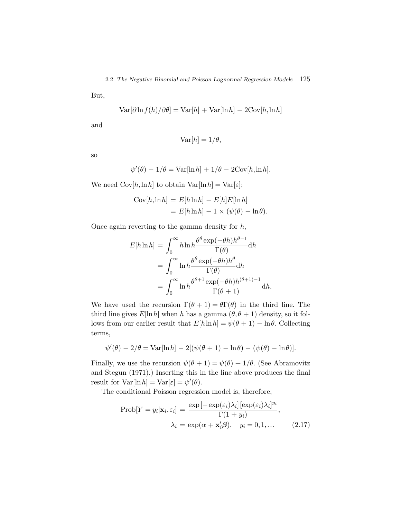But,

$$
Var[\partial \ln f(h)/\partial \theta] = Var[h] + Var[\ln h] - 2Cov[h, \ln h]
$$

and

$$
Var[h] = 1/\theta,
$$

so

$$
\psi'(\theta) - 1/\theta = \text{Var}[\ln h] + 1/\theta - 2\text{Cov}[h, \ln h].
$$

We need  $Cov[h,\ln h]$  to obtain  $Var[\ln h] = Var[\varepsilon]$ ;

$$
Cov[h, \ln h] = E[h \ln h] - E[h]E[\ln h]
$$
  
= 
$$
E[h \ln h] - 1 \times (\psi(\theta) - \ln \theta).
$$

Once again reverting to the gamma density for  $h$ ,

$$
E[h\ln h] = \int_0^\infty h \ln h \frac{\theta^{\theta} \exp(-\theta h)h^{\theta-1}}{\Gamma(\theta)} dh
$$
  
= 
$$
\int_0^\infty \ln h \frac{\theta^{\theta} \exp(-\theta h)h^{\theta}}{\Gamma(\theta)} dh
$$
  
= 
$$
\int_0^\infty \ln h \frac{\theta^{\theta+1} \exp(-\theta h)h^{(\theta+1)-1}}{\Gamma(\theta+1)} dh.
$$

We have used the recursion  $\Gamma(\theta + 1) = \theta \Gamma(\theta)$  in the third line. The third line gives  $E[\ln h]$  when h has a gamma  $(\theta, \theta + 1)$  density, so it follows from our earlier result that  $E[h\ln h] = \psi(\theta + 1) - \ln \theta$ . Collecting terms,

$$
\psi'(\theta) - 2/\theta = \text{Var}[\ln h] - 2[(\psi(\theta + 1) - \ln \theta) - (\psi(\theta) - \ln \theta)].
$$

Finally, we use the recursion  $\psi(\theta + 1) = \psi(\theta) + 1/\theta$ . (See Abramovitz and Stegun (1971).) Inserting this in the line above produces the final result for  $\text{Var}[\ln h] = \text{Var}[\varepsilon] = \psi'(\theta)$ .

The conditional Poisson regression model is, therefore,

$$
Prob[Y = y_i | \mathbf{x}_i, \varepsilon_i] = \frac{\exp[-\exp(\varepsilon_i)\lambda_i][\exp(\varepsilon_i)\lambda_i]^{y_i}}{\Gamma(1+y_i)},
$$

$$
\lambda_i = \exp(\alpha + \mathbf{x}_i'\boldsymbol{\beta}), \quad y_i = 0, 1, ... \qquad (2.17)
$$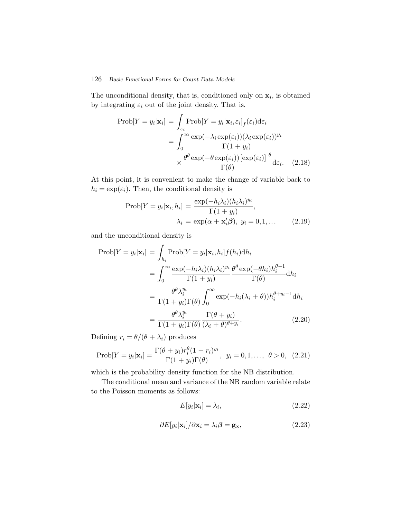The unconditional density, that is, conditioned only on  $x_i$ , is obtained by integrating  $\varepsilon_i$  out of the joint density. That is,

$$
\text{Prob}[Y = y_i | \mathbf{x}_i] = \int_{\varepsilon_i} \text{Prob}[Y = y_i | \mathbf{x}_i, \varepsilon_i]_f(\varepsilon_i) \text{d}\varepsilon_i
$$
\n
$$
= \int_0^\infty \frac{\exp(-\lambda_i \exp(\varepsilon_i)) (\lambda_i \exp(\varepsilon_i))^{y_i}}{\Gamma(1 + y_i)}
$$
\n
$$
\times \frac{\theta^{\theta} \exp(-\theta \exp(\varepsilon_i)) [\exp(\varepsilon_i)]^{\theta}}{\Gamma(\theta)} \text{d}\varepsilon_i. \quad (2.18)
$$

At this point, it is convenient to make the change of variable back to  $h_i = \exp(\varepsilon_i)$ . Then, the conditional density is

$$
\text{Prob}[Y = y_i | \mathbf{x}_i, h_i] = \frac{\exp(-h_i \lambda_i)(h_i \lambda_i)^{y_i}}{\Gamma(1 + y_i)},
$$

$$
\lambda_i = \exp(\alpha + \mathbf{x}_i/\beta), \ y_i = 0, 1, \dots \qquad (2.19)
$$

and the unconditional density is

$$
\text{Prob}[Y = y_i | \mathbf{x}_i] = \int_{h_i} \text{Prob}[Y = y_i | \mathbf{x}_i, h_i] f(h_i) \, \text{d}h_i
$$
\n
$$
= \int_0^\infty \frac{\exp(-h_i \lambda_i)(h_i \lambda_i)^{y_i}}{\Gamma(1+y_i)} \frac{\theta^\theta \exp(-\theta h_i) h_i^{\theta-1}}{\Gamma(\theta)} \, \text{d}h_i
$$
\n
$$
= \frac{\theta^\theta \lambda_i^{y_i}}{\Gamma(1+y_i)\Gamma(\theta)} \int_0^\infty \exp(-h_i(\lambda_i + \theta)) h_i^{\theta+y_i-1} \, \text{d}h_i
$$
\n
$$
= \frac{\theta^\theta \lambda_i^{y_i}}{\Gamma(1+y_i)\Gamma(\theta)} \frac{\Gamma(\theta + y_i)}{(\lambda_i + \theta)^{\theta+y_i}}.
$$
\n(2.20)

Defining  $r_i = \theta/(\theta + \lambda_i)$  produces

$$
Prob[Y = y_i | \mathbf{x}_i] = \frac{\Gamma(\theta + y_i) r_i^{\theta} (1 - r_i)^{y_i}}{\Gamma(1 + y_i) \Gamma(\theta)}, \ y_i = 0, 1, ..., \ \theta > 0, \ \ (2.21)
$$

which is the probability density function for the NB distribution.

The conditional mean and variance of the NB random variable relate to the Poisson moments as follows:

$$
E[y_i|\mathbf{x}_i] = \lambda_i,\tag{2.22}
$$

$$
\partial E[y_i|\mathbf{x}_i]/\partial \mathbf{x}_i = \lambda_i \boldsymbol{\beta} = \mathbf{g}_\mathbf{x},\tag{2.23}
$$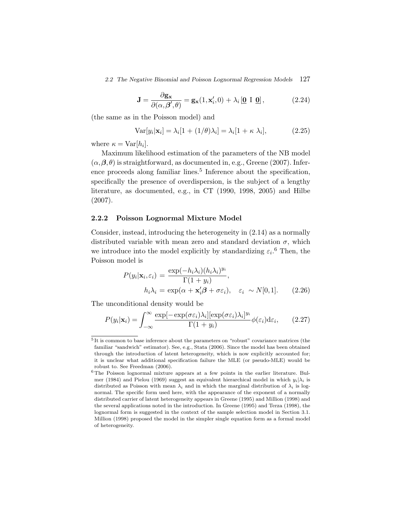*2.2 The Negative Binomial and Poisson Lognormal Regression Models* 127

$$
\mathbf{J} = \frac{\partial \mathbf{g}_{\mathbf{x}}}{\partial(\alpha, \beta', \theta)} = \mathbf{g}_{\mathbf{x}}(1, \mathbf{x}'_i, 0) + \lambda_i [\mathbf{0} \ \mathbf{I} \ \mathbf{0}], \tag{2.24}
$$

(the same as in the Poisson model) and

$$
Var[y_i|\mathbf{x}_i] = \lambda_i[1 + (1/\theta)\lambda_i] = \lambda_i[1 + \kappa \lambda_i], \qquad (2.25)
$$

where  $\kappa = \text{Var}[h_i]$ .

Maximum likelihood estimation of the parameters of the NB model  $(\alpha, \beta, \theta)$  is straightforward, as documented in, e.g., Greene (2007). Inference proceeds along familiar lines.<sup>5</sup> Inference about the specification, specifically the presence of overdispersion, is the subject of a lengthy literature, as documented, e.g., in CT (1990, 1998, 2005) and Hilbe (2007).

#### **2.2.2 Poisson Lognormal Mixture Model**

Consider, instead, introducing the heterogeneity in (2.14) as a normally distributed variable with mean zero and standard deviation  $\sigma$ , which we introduce into the model explicitly by standardizing  $\varepsilon_i$ .<sup>6</sup> Then, the Poisson model is

$$
P(y_i|\mathbf{x}_i, \varepsilon_i) = \frac{\exp(-h_i \lambda_i)(h_i \lambda_i)^{y_i}}{\Gamma(1+y_i)},
$$
  
\n
$$
h_i \lambda_i = \exp(\alpha + \mathbf{x}_i' \boldsymbol{\beta} + \sigma \varepsilon_i), \quad \varepsilon_i \sim N[0, 1].
$$
 (2.26)

The unconditional density would be

$$
P(y_i|\mathbf{x}_i) = \int_{-\infty}^{\infty} \frac{\exp[-\exp(\sigma \varepsilon_i)\lambda_i][\exp(\sigma \varepsilon_i)\lambda_i]^{y_i}}{\Gamma(1+y_i)} \phi(\varepsilon_i) \mathrm{d}\varepsilon_i, \qquad (2.27)
$$

<sup>5</sup> It is common to base inference about the parameters on "robust" covariance matrices (the familiar "sandwich" estimator). See, e.g., Stata (2006). Since the model has been obtained through the introduction of latent heterogeneity, which is now explicitly accounted for; it is unclear what additional specification failure the MLE (or pseudo-MLE) would be robust to. See Freedman (2006).

 $6$ The Poisson lognormal mixture appears at a few points in the earlier literature. Bulmer (1984) and Pielou (1969) suggest an equivalent hierarchical model in which  $y_i|\lambda_i$  is distributed as Poisson with mean  $\lambda_i$  and in which the marginal distribution of  $\lambda_i$  is lognormal. The specific form used here, with the appearance of the exponent of a normally distributed carrier of latent heterogeneity appears in Greene (1995) and Million (1998) and the several applications noted in the introduction. In Greene (1995) and Terza (1998), the lognormal form is suggested in the context of the sample selection model in Section 3.1. Million (1998) proposed the model in the simpler single equation form as a formal model of heterogeneity.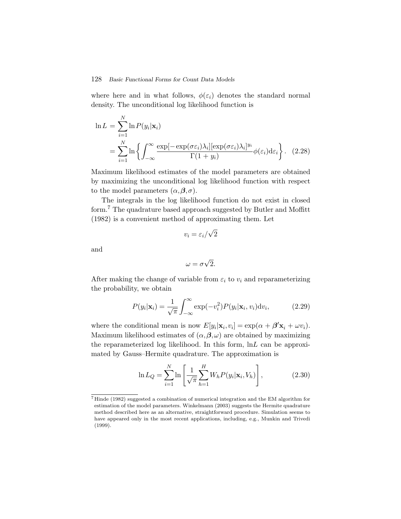where here and in what follows,  $\phi(\varepsilon_i)$  denotes the standard normal density. The unconditional log likelihood function is

$$
\ln L = \sum_{i=1}^{N} \ln P(y_i | \mathbf{x}_i)
$$
  
= 
$$
\sum_{i=1}^{N} \ln \left\{ \int_{-\infty}^{\infty} \frac{\exp[-\exp(\sigma \varepsilon_i) \lambda_i][\exp(\sigma \varepsilon_i) \lambda_i]^{y_i}}{\Gamma(1+y_i)} \phi(\varepsilon_i) d\varepsilon_i \right\}.
$$
 (2.28)

Maximum likelihood estimates of the model parameters are obtained by maximizing the unconditional log likelihood function with respect to the model parameters  $(\alpha, \beta, \sigma)$ .

The integrals in the log likelihood function do not exist in closed form.<sup>7</sup> The quadrature based approach suggested by Butler and Moffitt (1982) is a convenient method of approximating them. Let

$$
v_i = \varepsilon_i / \sqrt{2}
$$

and

$$
\omega = \sigma \sqrt{2}.
$$

After making the change of variable from  $\varepsilon_i$  to  $v_i$  and reparameterizing the probability, we obtain

$$
P(y_i|\mathbf{x}_i) = \frac{1}{\sqrt{\pi}} \int_{-\infty}^{\infty} \exp(-v_i^2) P(y_i|\mathbf{x}_i, v_i) \mathrm{d}v_i, \tag{2.29}
$$

where the conditional mean is now  $E[y_i|\mathbf{x}_i, v_i] = \exp(\alpha + \beta' \mathbf{x}_i + \omega v_i).$ Maximum likelihood estimates of  $(\alpha, \beta, \omega)$  are obtained by maximizing the reparameterized log likelihood. In this form, lnL can be approximated by Gauss–Hermite quadrature. The approximation is

$$
\ln L_Q = \sum_{i=1}^{N} \ln \left[ \frac{1}{\sqrt{\pi}} \sum_{h=1}^{H} W_h P(y_i | \mathbf{x}_i, V_h) \right],
$$
 (2.30)

 $^7\rm{Hinde}$  (1982) suggested a combination of numerical integration and the EM algorithm for estimation of the model parameters. Winkelmann (2003) suggests the Hermite quadrature method described here as an alternative, straightforward procedure. Simulation seems to have appeared only in the most recent applications, including, e.g., Munkin and Trivedi (1999).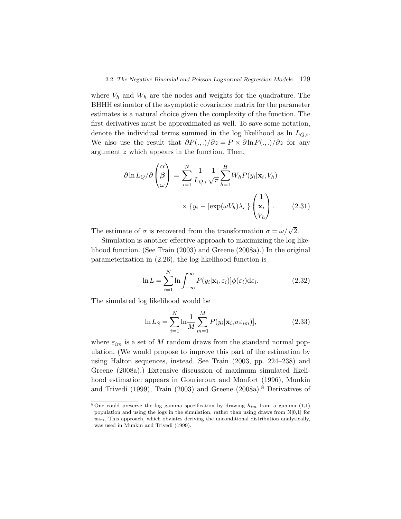where  $V_h$  and  $W_h$  are the nodes and weights for the quadrature. The BHHH estimator of the asymptotic covariance matrix for the parameter estimates is a natural choice given the complexity of the function. The first derivatives must be approximated as well. To save some notation, denote the individual terms summed in the log likelihood as  $\ln L_{Q,i}$ . We also use the result that  $\partial P(.,.)/\partial z = P \times \partial \ln P(.,.)/\partial z$  for any argument z which appears in the function. Then,

$$
\partial \ln L_Q / \partial \begin{pmatrix} \alpha \\ \beta \\ \omega \end{pmatrix} = \sum_{i=1}^N \frac{1}{L_{Q,i}} \frac{1}{\sqrt{\pi}} \sum_{h=1}^H W_h P(y_i | \mathbf{x}_i, V_h)
$$

$$
\times \{ y_i - [\exp(\omega V_h) \lambda_i] \} \begin{pmatrix} 1 \\ \mathbf{x}_i \\ V_h \end{pmatrix} . \tag{2.31}
$$

The estimate of  $\sigma$  is recovered from the transformation  $\sigma = \omega/\sqrt{2}$ .

Simulation is another effective approach to maximizing the log likelihood function. (See Train (2003) and Greene (2008a).) In the original parameterization in (2.26), the log likelihood function is

$$
\ln L = \sum_{i=1}^{N} \ln \int_{-\infty}^{\infty} P(y_i | \mathbf{x}_i, \varepsilon_i) \, d\varepsilon_i.
$$
 (2.32)

The simulated log likelihood would be

$$
\ln L_S = \sum_{i=1}^{N} \ln \frac{1}{M} \sum_{m=1}^{M} P(y_i | \mathbf{x}_i, \sigma \varepsilon_{im})],
$$
\n(2.33)

where  $\varepsilon_{im}$  is a set of M random draws from the standard normal population. (We would propose to improve this part of the estimation by using Halton sequences, instead. See Train (2003, pp. 224–238) and Greene (2008a).) Extensive discussion of maximum simulated likelihood estimation appears in Gourieroux and Monfort (1996), Munkin and Trivedi (1999), Train (2003) and Greene (2008a).<sup>8</sup> Derivatives of

<sup>&</sup>lt;sup>8</sup> One could preserve the log gamma specification by drawing  $h_{im}$  from a gamma (1,1) population and using the logs in the simulation, rather than using draws from N[0,1] for  $w_{im}$ . This approach, which obviates deriving the unconditional distribution analytically, was used in Munkin and Trivedi (1999).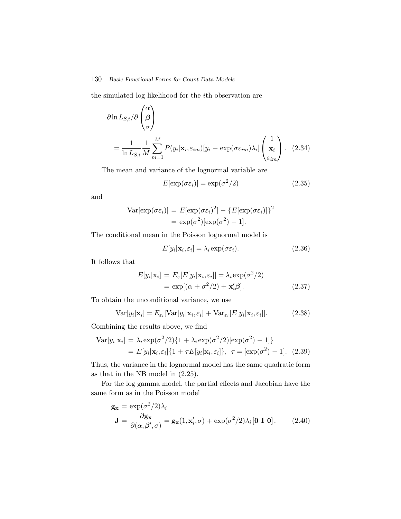the simulated log likelihood for the ith observation are

$$
\partial \ln L_{S,i} / \partial \begin{pmatrix} \alpha \\ \beta \\ \sigma \end{pmatrix}
$$
  
=  $\frac{1}{\ln L_{S,i}} \frac{1}{M} \sum_{m=1}^{M} P(y_i | \mathbf{x}_i, \varepsilon_{im}) [y_i - \exp(\sigma \varepsilon_{im}) \lambda_i] \begin{pmatrix} 1 \\ \mathbf{x}_i \\ \varepsilon_{im} \end{pmatrix}$ . (2.34)

The mean and variance of the lognormal variable are

$$
E[\exp(\sigma \varepsilon_i)] = \exp(\sigma^2/2)
$$
\n(2.35)

and

$$
Var[exp(\sigma \varepsilon_i)] = E[exp(\sigma \varepsilon_i)^2] - \{E[exp(\sigma \varepsilon_i)]\}^2
$$
  
=  $exp(\sigma^2)[exp(\sigma^2) - 1].$ 

The conditional mean in the Poisson lognormal model is

$$
E[y_i|\mathbf{x}_i, \varepsilon_i] = \lambda_i \exp(\sigma \varepsilon_i). \tag{2.36}
$$

It follows that

$$
E[y_i|\mathbf{x}_i] = E_{\varepsilon}[E[y_i|\mathbf{x}_i, \varepsilon_i]] = \lambda_i \exp(\sigma^2/2)
$$
  
=  $\exp[(\alpha + \sigma^2/2) + \mathbf{x}_i'\boldsymbol{\beta}].$  (2.37)

To obtain the unconditional variance, we use

$$
\text{Var}[y_i|\mathbf{x}_i] = E_{\varepsilon_i}[\text{Var}[y_i|\mathbf{x}_i, \varepsilon_i] + \text{Var}_{\varepsilon_i}[E[y_i|\mathbf{x}_i, \varepsilon_i]].
$$
\n(2.38)

Combining the results above, we find

$$
\begin{aligned} \text{Var}[y_i|\mathbf{x}_i] &= \lambda_i \exp(\sigma^2/2) \{ 1 + \lambda_i \exp(\sigma^2/2) [\exp(\sigma^2) - 1] \} \\ &= E[y_i|\mathbf{x}_i, \varepsilon_i] \{ 1 + \tau E[y_i|\mathbf{x}_i, \varepsilon_i] \}, \ \tau = [\exp(\sigma^2) - 1]. \end{aligned} \tag{2.39}
$$

Thus, the variance in the lognormal model has the same quadratic form as that in the NB model in (2.25).

For the log gamma model, the partial effects and Jacobian have the same form as in the Poisson model

$$
\mathbf{g}_{\mathbf{x}} = \exp(\sigma^2/2)\lambda_i
$$
  

$$
\mathbf{J} = \frac{\partial \mathbf{g}_{\mathbf{x}}}{\partial(\alpha, \beta', \sigma)} = \mathbf{g}_{\mathbf{x}}(1, \mathbf{x}'_i, \sigma) + \exp(\sigma^2/2)\lambda_i [\mathbf{0} \mathbf{I} \mathbf{0}].
$$
 (2.40)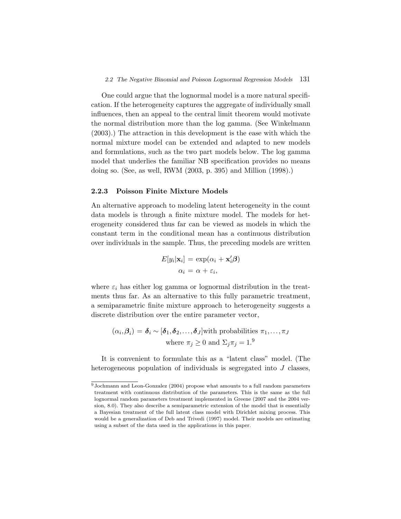One could argue that the lognormal model is a more natural specification. If the heterogeneity captures the aggregate of individually small influences, then an appeal to the central limit theorem would motivate the normal distribution more than the log gamma. (See Winkelmann (2003).) The attraction in this development is the ease with which the normal mixture model can be extended and adapted to new models and formulations, such as the two part models below. The log gamma model that underlies the familiar NB specification provides no means doing so. (See, as well, RWM (2003, p. 395) and Million (1998).)

#### **2.2.3 Poisson Finite Mixture Models**

An alternative approach to modeling latent heterogeneity in the count data models is through a finite mixture model. The models for heterogeneity considered thus far can be viewed as models in which the constant term in the conditional mean has a continuous distribution over individuals in the sample. Thus, the preceding models are written

$$
E[y_i|\mathbf{x}_i] = \exp(\alpha_i + \mathbf{x}'_i\boldsymbol{\beta})
$$

$$
\alpha_i = \alpha + \varepsilon_i,
$$

where  $\varepsilon_i$  has either log gamma or lognormal distribution in the treatments thus far. As an alternative to this fully parametric treatment, a semiparametric finite mixture approach to heterogeneity suggests a discrete distribution over the entire parameter vector,

$$
(\alpha_i, \beta_i) = \delta_i \sim [\delta_1, \delta_2, \dots, \delta_J]
$$
with probabilities  $\pi_1, \dots, \pi_J$   
where  $\pi_j \ge 0$  and  $\Sigma_j \pi_j = 1$ .<sup>9</sup>

It is convenient to formulate this as a "latent class" model. (The heterogeneous population of individuals is segregated into J classes,

<sup>9</sup> Jochmann and Leon-Gonzalez (2004) propose what amounts to a full random parameters treatment with continuous distribution of the parameters. This is the same as the full lognormal random parameters treatment implemented in Greene (2007 and the 2004 version, 8.0). They also describe a semiparametric extension of the model that is essentially a Bayesian treatment of the full latent class model with Dirichlet mixing process. This would be a generalization of Deb and Trivedi (1997) model. Their models are estimating using a subset of the data used in the applications in this paper.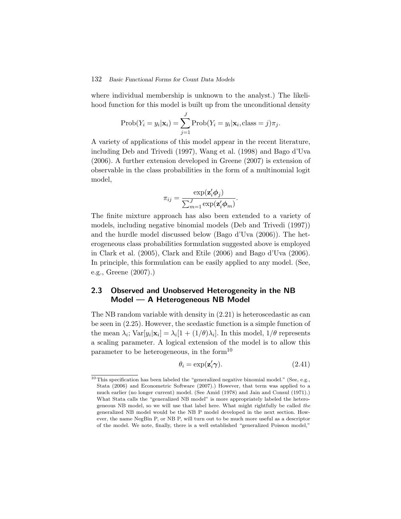where individual membership is unknown to the analyst.) The likelihood function for this model is built up from the unconditional density

$$
Prob(Y_i = y_i | \mathbf{x}_i) = \sum_{j=1}^{J} Prob(Y_i = y_i | \mathbf{x}_i, class = j)\pi_j.
$$

A variety of applications of this model appear in the recent literature, including Deb and Trivedi (1997), Wang et al. (1998) and Bago d'Uva (2006). A further extension developed in Greene (2007) is extension of observable in the class probabilities in the form of a multinomial logit model,

$$
\pi_{ij} = \frac{\exp(\mathbf{z}'_i \boldsymbol{\phi}_j)}{\sum_{m=1}^J \exp(\mathbf{z}'_i \boldsymbol{\phi}_m)}
$$

.

The finite mixture approach has also been extended to a variety of models, including negative binomial models (Deb and Trivedi (1997)) and the hurdle model discussed below (Bago d'Uva (2006)). The heterogeneous class probabilities formulation suggested above is employed in Clark et al. (2005), Clark and Etile (2006) and Bago d'Uva (2006). In principle, this formulation can be easily applied to any model. (See, e.g., Greene (2007).)

#### **2.3 Observed and Unobserved Heterogeneity in the NB Model — A Heterogeneous NB Model**

The NB random variable with density in (2.21) is heteroscedastic as can be seen in (2.25). However, the scedastic function is a simple function of the mean  $\lambda_i$ ;  $\text{Var}[y_i|\mathbf{x}_i] = \lambda_i[1 + (1/\theta)\lambda_i]$ . In this model,  $1/\theta$  represents a scaling parameter. A logical extension of the model is to allow this parameter to be heterogeneous, in the form<sup>10</sup>

$$
\theta_i = \exp(\mathbf{z}_i' \boldsymbol{\gamma}).\tag{2.41}
$$

 $10$  This specification has been labeled the "generalized negative binomial model." (See, e.g., Stata (2006) and Econometric Software (2007).) However, that term was applied to a much earlier (no longer current) model. (See Amid (1978) and Jain and Consul (1971).) What Stata calls the "generalized NB model" is more appropriately labeled the heterogeneous NB model, so we will use that label here. What might rightfully be called the generalized NB model would be the NB P model developed in the next section. However, the name NegBin P, or NB P, will turn out to be much more useful as a descriptor of the model. We note, finally, there is a well established "generalized Poisson model,"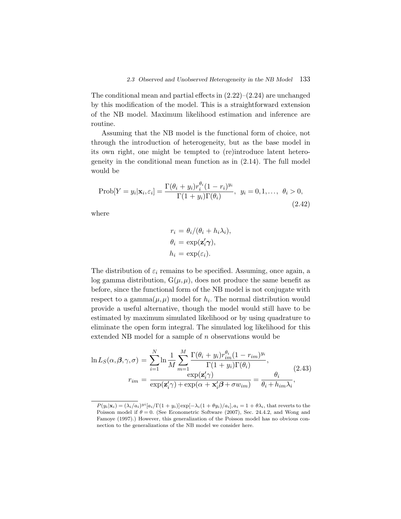The conditional mean and partial effects in  $(2.22)$ – $(2.24)$  are unchanged by this modification of the model. This is a straightforward extension of the NB model. Maximum likelihood estimation and inference are routine.

Assuming that the NB model is the functional form of choice, not through the introduction of heterogeneity, but as the base model in its own right, one might be tempted to (re)introduce latent heterogeneity in the conditional mean function as in (2.14). The full model would be

$$
\text{Prob}[Y = y_i | \mathbf{x}_i, \varepsilon_i] = \frac{\Gamma(\theta_i + y_i) r_i^{\theta_i} (1 - r_i)^{y_i}}{\Gamma(1 + y_i) \Gamma(\theta_i)}, \ y_i = 0, 1, \dots, \ \theta_i > 0,
$$
\n
$$
\tag{2.42}
$$

where

$$
r_i = \theta_i / (\theta_i + h_i \lambda_i),
$$
  
\n
$$
\theta_i = \exp(\mathbf{z}_i' \boldsymbol{\gamma}),
$$
  
\n
$$
h_i = \exp(\varepsilon_i).
$$

The distribution of  $\varepsilon_i$  remains to be specified. Assuming, once again, a log gamma distribution,  $G(\mu,\mu)$ , does not produce the same benefit as before, since the functional form of the NB model is not conjugate with respect to a gamma $(\mu, \mu)$  model for  $h_i$ . The normal distribution would provide a useful alternative, though the model would still have to be estimated by maximum simulated likelihood or by using quadrature to eliminate the open form integral. The simulated log likelihood for this extended NB model for a sample of n observations would be

$$
\ln L_S(\alpha, \beta, \gamma, \sigma) = \sum_{i=1}^N \ln \frac{1}{M} \sum_{m=1}^M \frac{\Gamma(\theta_i + y_i) r_{im}^{\theta_i} (1 - r_{im})^{y_i}}{\Gamma(1 + y_i) \Gamma(\theta_i)},
$$
  
\n
$$
r_{im} = \frac{\exp(\mathbf{z}'_i \gamma)}{\exp(\mathbf{z}'_i \gamma) + \exp(\alpha + \mathbf{x}'_i \beta + \sigma w_{im})} = \frac{\theta_i}{\theta_i + h_{im} \lambda_i},
$$
\n(2.43)

 $P(y_i|\mathbf{x}_i)=(\lambda_i/a_i)^{yi}[a_i/\Gamma(1+y_i)]\exp[-\lambda_i(1+\theta y_i)/a_i]$ ,  $a_i=1+\theta\lambda_i$ , that reverts to the Poisson model if  $\theta = 0$ . (See Econometric Software (2007), Sec. 24.4.2, and Wong and Famoye (1997).) However, this generalization of the Poisson model has no obvious connection to the generalizations of the NB model we consider here.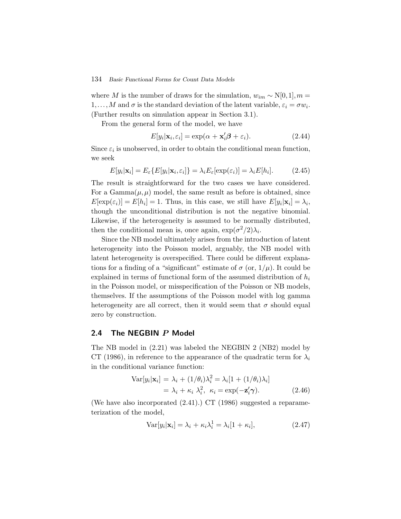where M is the number of draws for the simulation,  $w_{im} \sim N[0,1], m =$  $1,\ldots,M$  and  $\sigma$  is the standard deviation of the latent variable,  $\varepsilon_i = \sigma w_i$ . (Further results on simulation appear in Section 3.1).

From the general form of the model, we have

$$
E[y_i|\mathbf{x}_i, \varepsilon_i] = \exp(\alpha + \mathbf{x}_i'\boldsymbol{\beta} + \varepsilon_i). \tag{2.44}
$$

Since  $\varepsilon_i$  is unobserved, in order to obtain the conditional mean function, we seek

$$
E[y_i|\mathbf{x}_i] = E_{\varepsilon}\{E[y_i|\mathbf{x}_i, \varepsilon_i]\} = \lambda_i E_{\varepsilon}[\exp(\varepsilon_i)] = \lambda_i E[h_i]. \tag{2.45}
$$

The result is straightforward for the two cases we have considered. For a  $Gamma(\mu, \mu)$  model, the same result as before is obtained, since  $E[\exp(\varepsilon_i)] = E[h_i] = 1$ . Thus, in this case, we still have  $E[y_i|\mathbf{x}_i] = \lambda_i$ , though the unconditional distribution is not the negative binomial. Likewise, if the heterogeneity is assumed to be normally distributed, then the conditional mean is, once again,  $\exp(\sigma^2/2)\lambda_i$ .

Since the NB model ultimately arises from the introduction of latent heterogeneity into the Poisson model, arguably, the NB model with latent heterogeneity is overspecified. There could be different explanations for a finding of a "significant" estimate of  $\sigma$  (or,  $1/\mu$ ). It could be explained in terms of functional form of the assumed distribution of  $h_i$ in the Poisson model, or misspecification of the Poisson or NB models, themselves. If the assumptions of the Poisson model with log gamma heterogeneity are all correct, then it would seem that  $\sigma$  should equal zero by construction.

#### **2.4 The NEGBIN** *P* **Model**

The NB model in (2.21) was labeled the NEGBIN 2 (NB2) model by CT (1986), in reference to the appearance of the quadratic term for  $\lambda_i$ in the conditional variance function:

$$
\operatorname{Var}[y_i|\mathbf{x}_i] = \lambda_i + (1/\theta_i)\lambda_i^2 = \lambda_i[1 + (1/\theta_i)\lambda_i]
$$
  
=  $\lambda_i + \kappa_i \lambda_i^2, \ \kappa_i = \exp(-\mathbf{z}_i'\boldsymbol{\gamma}).$  (2.46)

(We have also incorporated (2.41).) CT (1986) suggested a reparameterization of the model,

$$
Var[y_i|\mathbf{x}_i] = \lambda_i + \kappa_i \lambda_i^1 = \lambda_i [1 + \kappa_i],
$$
\n(2.47)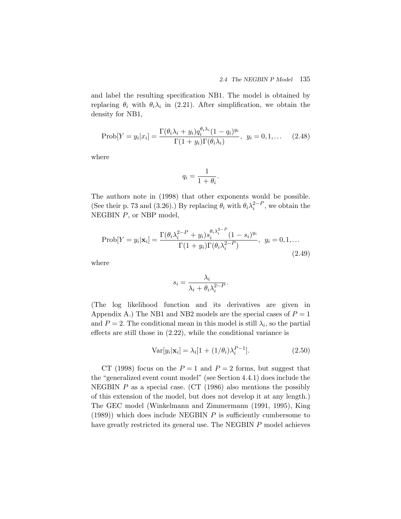and label the resulting specification NB1. The model is obtained by replacing  $\theta_i$  with  $\theta_i \lambda_i$  in (2.21). After simplification, we obtain the density for NB1,

$$
\text{Prob}[Y = y_i | x_i] = \frac{\Gamma(\theta_i \lambda_i + y_i) q_i^{\theta_i \lambda_i} (1 - q_i)^{y_i}}{\Gamma(1 + y_i) \Gamma(\theta_i \lambda_i)}, \ y_i = 0, 1, \dots \quad (2.48)
$$

where

$$
q_i = \frac{1}{1 + \theta_i}.
$$

The authors note in (1998) that other exponents would be possible. (See their p. 73 and (3.26).) By replacing  $\theta_i$  with  $\theta_i \lambda_i^{2-P}$ , we obtain the NEGBIN P, or NBP model,

$$
Prob[Y = y_i | \mathbf{x}_i] = \frac{\Gamma(\theta_i \lambda_i^{2-P} + y_i) s_i^{\theta_i \lambda_i^{2-P}} (1 - s_i)^{y_i}}{\Gamma(1 + y_i) \Gamma(\theta_i \lambda_i^{2-P})}, \ y_i = 0, 1, ...
$$
\n(2.49)

where

$$
s_i = \frac{\lambda_i}{\lambda_i + \theta_i \lambda_i^{2-P}}.
$$

(The log likelihood function and its derivatives are given in Appendix A.) The NB1 and NB2 models are the special cases of  $P = 1$ and  $P = 2$ . The conditional mean in this model is still  $\lambda_i$ , so the partial effects are still those in (2.22), while the conditional variance is

$$
Var[y_i|\mathbf{x}_i] = \lambda_i[1 + (1/\theta_i)\lambda_i^{P-1}].
$$
\n(2.50)

CT (1998) focus on the  $P = 1$  and  $P = 2$  forms, but suggest that the "generalized event count model" (see Section 4.4.1) does include the NEGBIN  $P$  as a special case. (CT (1986) also mentions the possibly of this extension of the model, but does not develop it at any length.) The GEC model (Winkelmann and Zimmermann (1991, 1995), King  $(1989)$ ) which does include NEGBIN P is sufficiently cumbersome to have greatly restricted its general use. The NEGBIN P model achieves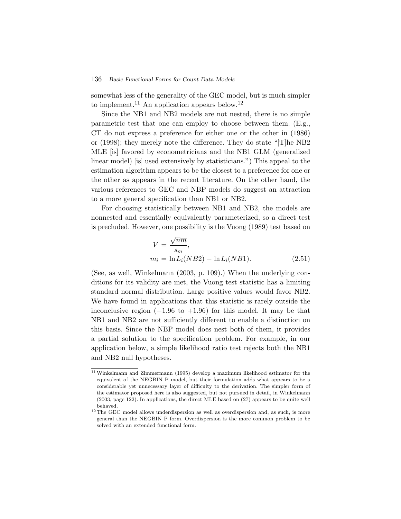somewhat less of the generality of the GEC model, but is much simpler to implement.<sup>11</sup> An application appears below.<sup>12</sup>

Since the NB1 and NB2 models are not nested, there is no simple parametric test that one can employ to choose between them. (E.g., CT do not express a preference for either one or the other in (1986) or (1998); they merely note the difference. They do state "[T]he NB2 MLE [is] favored by econometricians and the NB1 GLM (generalized linear model) [is] used extensively by statisticians.") This appeal to the estimation algorithm appears to be the closest to a preference for one or the other as appears in the recent literature. On the other hand, the various references to GEC and NBP models do suggest an attraction to a more general specification than NB1 or NB2.

For choosing statistically between NB1 and NB2, the models are nonnested and essentially equivalently parameterized, so a direct test is precluded. However, one possibility is the Vuong (1989) test based on

$$
V = \frac{\sqrt{n}\overline{m}}{s_m},
$$
  
\n
$$
m_i = \ln L_i(NB2) - \ln L_i(NB1).
$$
\n(2.51)

(See, as well, Winkelmann (2003, p. 109).) When the underlying conditions for its validity are met, the Vuong test statistic has a limiting standard normal distribution. Large positive values would favor NB2. We have found in applications that this statistic is rarely outside the inconclusive region  $(-1.96 \text{ to } +1.96)$  for this model. It may be that NB1 and NB2 are not sufficiently different to enable a distinction on this basis. Since the NBP model does nest both of them, it provides a partial solution to the specification problem. For example, in our application below, a simple likelihood ratio test rejects both the NB1 and NB2 null hypotheses.

 $^{11}$  Winkelmann and Zimmermann (1995) develop a maximum likelihood estimator for the equivalent of the NEGBIN P model, but their formulation adds what appears to be a considerable yet unnecessary layer of difficulty to the derivation. The simpler form of the estimator proposed here is also suggested, but not pursued in detail, in Winkelmann (2003, page 122). In applications, the direct MLE based on (27) appears to be quite well behaved.

 $12$  The GEC model allows underdispersion as well as overdispersion and, as such, is more general than the NEGBIN P form. Overdispersion is the more common problem to be solved with an extended functional form.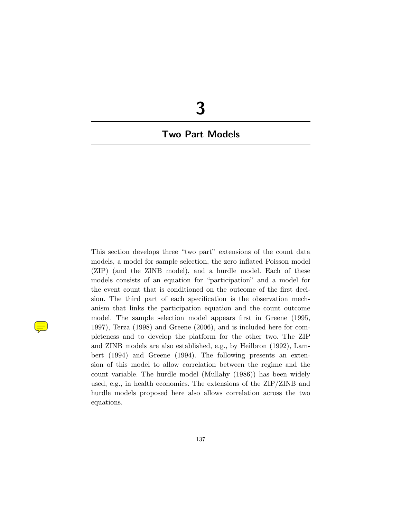## **3**

### **Two Part Models**

This section develops three "two part" extensions of the count data models, a model for sample selection, the zero inflated Poisson model (ZIP) (and the ZINB model), and a hurdle model. Each of these models consists of an equation for "participation" and a model for the event count that is conditioned on the outcome of the first decision. The third part of each specification is the observation mechanism that links the participation equation and the count outcome model. The sample selection model appears first in Greene (1995, 1997), Terza (1998) and Greene (2006), and is included here for completeness and to develop the platform for the other two. The ZIP and ZINB models are also established, e.g., by Heilbron (1992), Lambert (1994) and Greene (1994). The following presents an extension of this model to allow correlation between the regime and the count variable. The hurdle model (Mullahy (1986)) has been widely used, e.g., in health economics. The extensions of the ZIP/ZINB and hurdle models proposed here also allows correlation across the two equations.

厚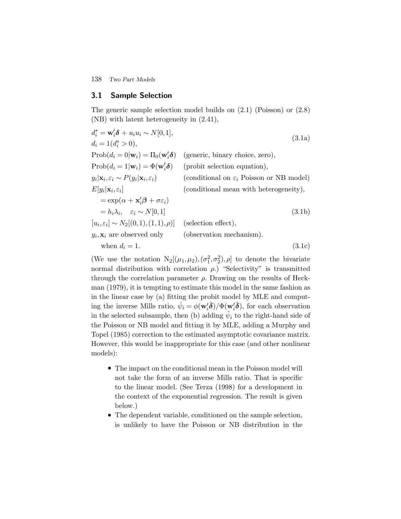#### 138 *Two Part Models*

#### **3.1 Sample Selection**

The generic sample selection model builds on (2.1) (Poisson) or (2.8) (NB) with latent heterogeneity in (2.41),

$$
d_i^* = \mathbf{w}_i' \mathbf{\delta} + u_i u_i \sim N[0,1],
$$
\n(3.1a)  
\n
$$
d_i = 1(d_i^* > 0),
$$
\nProb $(d_i = 0 | \mathbf{w}_i) = \Pi_0(\mathbf{w}_i' \mathbf{\delta})$  (generic, binary choice, zero),  
\nProb $(d_i = 1 | \mathbf{w}_i) = \Phi(\mathbf{w}_i' \mathbf{\delta})$  (probit selection equation),  
\n
$$
y_i | \mathbf{x}_i, \varepsilon_i \sim P(y_i | \mathbf{x}_i, \varepsilon_i)
$$
 (conditional on  $\varepsilon_i$  Poisson or NB model)  
\n
$$
E[y_i | \mathbf{x}_i, \varepsilon_i]
$$
 (conditional mean with heterogeneity),  
\n
$$
= \exp(\alpha + \mathbf{x}_i' \mathbf{\beta} + \sigma \varepsilon_i)
$$
  
\n
$$
= h_i \lambda_i, \varepsilon_i \sim N[0,1]
$$
 (3.1b)  
\n
$$
[u_i, \varepsilon_i] \sim N_2[(0,1), (1,1), \rho)]
$$
 (selection effect),  
\n
$$
y_i, \mathbf{x}_i
$$
 are observed only (observation mechanism). (3.1c)

(We use the notation  $N_2[(\mu_1,\mu_2),(\sigma_1^2,\sigma_2^2),\rho]$  to denote the bivariate normal distribution with correlation  $\rho$ .) "Selectivity" is transmitted through the correlation parameter  $\rho$ . Drawing on the results of Heckman (1979), it is tempting to estimate this model in the same fashion as in the linear case by (a) fitting the probit model by MLE and computing the inverse Mills ratio,  $\hat{\psi}_i = \phi(\mathbf{w}_i' \hat{\boldsymbol{\delta}})/\Phi(\mathbf{w}_i' \hat{\boldsymbol{\delta}})$ , for each observation in the selected subsample, then (b) adding  $\psi_i$  to the right-hand side of the Poisson or NB model and fitting it by MLE, adding a Murphy and Topel (1985) correction to the estimated asymptotic covariance matrix. However, this would be inappropriate for this case (and other nonlinear models):

- The impact on the conditional mean in the Poisson model will not take the form of an inverse Mills ratio. That is specific to the linear model. (See Terza (1998) for a development in the context of the exponential regression. The result is given below.)
- The dependent variable, conditioned on the sample selection, is unlikely to have the Poisson or NB distribution in the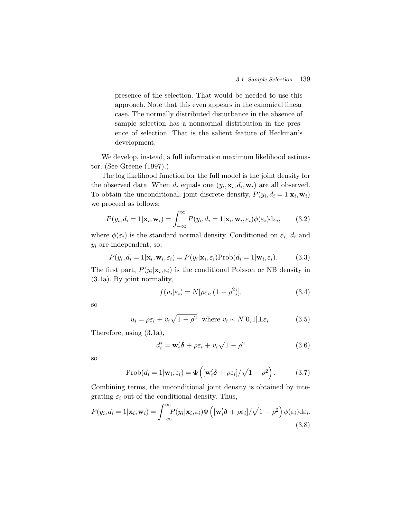presence of the selection. That would be needed to use this approach. Note that this even appears in the canonical linear case. The normally distributed disturbance in the absence of sample selection has a nonnormal distribution in the presence of selection. That is the salient feature of Heckman's development.

We develop, instead, a full information maximum likelihood estimator. (See Greene (1997).)

The log likelihood function for the full model is the joint density for the observed data. When  $d_i$  equals one  $(y_i, \mathbf{x}_i, d_i, \mathbf{w}_i)$  are all observed. To obtain the unconditional, joint discrete density,  $P(y_i, d_i = 1 | \mathbf{x}_i, \mathbf{w}_i)$ we proceed as follows:

$$
P(y_i, d_i = 1 | \mathbf{x}_i, \mathbf{w}_i) = \int_{-\infty}^{\infty} P(y_i, d_i = 1 | \mathbf{x}_i, \mathbf{w}_i, \varepsilon_i) \phi(\varepsilon_i) d\varepsilon_i, \qquad (3.2)
$$

where  $\phi(\varepsilon_i)$  is the standard normal density. Conditioned on  $\varepsilon_i$ ,  $d_i$  and  $y_i$  are independent, so,

$$
P(y_i, d_i = 1 | \mathbf{x}_i, \mathbf{w}_i, \varepsilon_i) = P(y_i | \mathbf{x}_i, \varepsilon_i) \text{Prob}(d_i = 1 | \mathbf{w}_i, \varepsilon_i). \tag{3.3}
$$

The first part,  $P(y_i|\mathbf{x}_i, \varepsilon_i)$  is the conditional Poisson or NB density in (3.1a). By joint normality,

$$
f(u_i|\varepsilon_i) = N[\rho \varepsilon_i, (1 - \rho^2)], \qquad (3.4)
$$

so

$$
u_i = \rho \varepsilon_i + v_i \sqrt{1 - \rho^2} \text{ where } v_i \sim N[0, 1] \perp \varepsilon_i. \tag{3.5}
$$

Therefore, using (3.1a),

$$
d_i^* = \mathbf{w}_i' \delta + \rho \varepsilon_i + v_i \sqrt{1 - \rho^2}
$$
 (3.6)

so

$$
Prob(d_i = 1 | \mathbf{w}_i, \varepsilon_i) = \Phi\left( [\mathbf{w}'_i \boldsymbol{\delta} + \rho \varepsilon_i] / \sqrt{1 - \rho^2} \right). \tag{3.7}
$$

Combining terms, the unconditional joint density is obtained by integrating  $\varepsilon_i$  out of the conditional density. Thus,

$$
P(y_i, d_i = 1 | \mathbf{x}_i, \mathbf{w}_i) = \int_{-\infty}^{\infty} P(y_i | \mathbf{x}_i, \varepsilon_i) \Phi\left( [\mathbf{w}_i' \boldsymbol{\delta} + \rho \varepsilon_i] / \sqrt{1 - \rho^2} \right) \phi(\varepsilon_i) d\varepsilon_i.
$$
\n(3.8)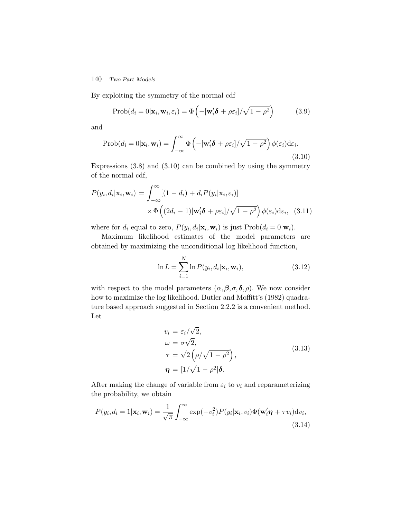140 *Two Part Models*

By exploiting the symmetry of the normal cdf

$$
Prob(d_i = 0 | \mathbf{x}_i, \mathbf{w}_i, \varepsilon_i) = \Phi\left(-\left[\mathbf{w}_i'\mathbf{\delta} + \rho \varepsilon_i\right] / \sqrt{1 - \rho^2}\right) \tag{3.9}
$$

and

$$
Prob(d_i = 0 | \mathbf{x}_i, \mathbf{w}_i) = \int_{-\infty}^{\infty} \Phi\left(-\left[\mathbf{w}_i^{\prime} \boldsymbol{\delta} + \rho \varepsilon_i\right] / \sqrt{1 - \rho^2}\right) \phi(\varepsilon_i) d\varepsilon_i.
$$
\n(3.10)

Expressions (3.8) and (3.10) can be combined by using the symmetry of the normal cdf,

$$
P(y_i, d_i | \mathbf{x}_i, \mathbf{w}_i) = \int_{-\infty}^{\infty} [(1 - d_i) + d_i P(y_i | \mathbf{x}_i, \varepsilon_i)]
$$

$$
\times \Phi \left( (2d_i - 1) [\mathbf{w}_i' \boldsymbol{\delta} + \rho \varepsilon_i] / \sqrt{1 - \rho^2} \right) \phi(\varepsilon_i) d\varepsilon_i, \quad (3.11)
$$

where for  $d_i$  equal to zero,  $P(y_i, d_i|\mathbf{x}_i, \mathbf{w}_i)$  is just  $Prob(d_i = 0|\mathbf{w}_i)$ .

Maximum likelihood estimates of the model parameters are obtained by maximizing the unconditional log likelihood function,

$$
\ln L = \sum_{i=1}^{N} \ln P(y_i, d_i | \mathbf{x}_i, \mathbf{w}_i),
$$
\n(3.12)

with respect to the model parameters  $(\alpha, \beta, \sigma, \delta, \rho)$ . We now consider how to maximize the log likelihood. Butler and Moffitt's (1982) quadrature based approach suggested in Section 2.2.2 is a convenient method. Let

$$
v_i = \varepsilon_i/\sqrt{2},
$$
  
\n
$$
\omega = \sigma\sqrt{2},
$$
  
\n
$$
\tau = \sqrt{2} \left( \rho/\sqrt{1-\rho^2} \right),
$$
  
\n
$$
\eta = [1/\sqrt{1-\rho^2}] \delta.
$$
\n(3.13)

After making the change of variable from  $\varepsilon_i$  to  $v_i$  and reparameterizing the probability, we obtain

$$
P(y_i, d_i = 1 | \mathbf{x}_i, \mathbf{w}_i) = \frac{1}{\sqrt{\pi}} \int_{-\infty}^{\infty} \exp(-v_i^2) P(y_i | \mathbf{x}_i, v_i) \Phi(\mathbf{w}_i' \boldsymbol{\eta} + \tau v_i) \, dv_i,
$$
\n(3.14)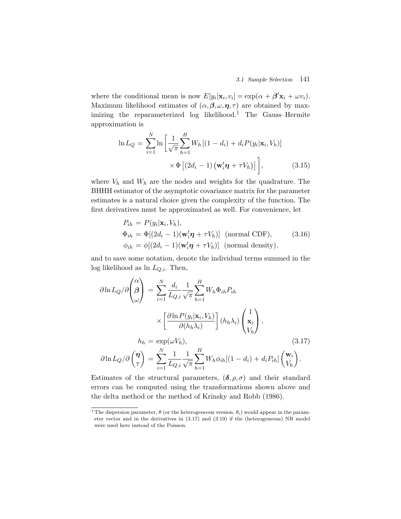where the conditional mean is now  $E[y_i|\mathbf{x}_i, v_i] = \exp(\alpha + \beta' \mathbf{x}_i + \omega v_i).$ Maximum likelihood estimates of  $(\alpha, \beta, \omega, \eta, \tau)$  are obtained by maximizing the reparameterized log likelihood.<sup>1</sup> The Gauss–Hermite approximation is

$$
\ln L_Q = \sum_{i=1}^{N} \ln \left[ \frac{1}{\sqrt{\pi}} \sum_{h=1}^{H} W_h \left[ (1 - d_i) + d_i P(y_i | \mathbf{x}_i, V_h) \right] \times \Phi \left[ (2d_i - 1) \left( \mathbf{w}_i' \boldsymbol{\eta} + \tau V_h \right) \right] \right], \tag{3.15}
$$

where  $V_h$  and  $W_h$  are the nodes and weights for the quadrature. The BHHH estimator of the asymptotic covariance matrix for the parameter estimates is a natural choice given the complexity of the function. The first derivatives must be approximated as well. For convenience, let

$$
P_{ih} = P(y_i|\mathbf{x}_i, V_h),
$$
  
\n
$$
\Phi_{ih} = \Phi[(2d_i - 1)(\mathbf{w}_i'\boldsymbol{\eta} + \tau V_h)] \text{ (normal CDF)},
$$
\n
$$
\phi_{ih} = \phi[(2d_i - 1)(\mathbf{w}_i'\boldsymbol{\eta} + \tau V_h)] \text{ (normal density)},
$$
\n(3.16)

and to save some notation, denote the individual terms summed in the log likelihood as ln  $L_{Q,i}$ . Then,

$$
\partial \ln L_Q / \partial \begin{pmatrix} \alpha \\ \beta \\ \omega \end{pmatrix} = \sum_{i=1}^N \frac{d_i}{L_{Q,i}} \frac{1}{\sqrt{\pi}} \sum_{h=1}^H W_h \Phi_{ih} P_{ih}
$$

$$
\times \left[ \frac{\partial \ln P(y_i | \mathbf{x}_i, V_h)}{\partial(h_h \lambda_i)} \right] (h_h \lambda_i) \begin{pmatrix} 1 \\ \mathbf{x}_i \\ V_h \end{pmatrix},
$$

$$
h_h = \exp(\omega V_h),
$$

$$
\partial \ln L_Q / \partial \begin{pmatrix} \eta \\ \tau \end{pmatrix} = \sum_{i=1}^N \frac{1}{L_{Q,i}} \frac{1}{\sqrt{\pi}} \sum_{h=1}^H W_h \phi_{ih} [(1 - d_i) + d_i P_{ih}] \begin{pmatrix} \mathbf{w}_i \\ V_h \end{pmatrix}.
$$
(3.17)

Estimates of the structural parameters,  $(\delta, \rho, \sigma)$  and their standard errors can be computed using the transformations shown above and the delta method or the method of Krinsky and Robb (1986).

<sup>&</sup>lt;sup>1</sup> The dispersion parameter,  $\theta$  (or the heterogeneous version,  $\theta_i$ ) would appear in the parameter vector and in the derivatives in (3.17) and (3.19) if the (heterogeneous) NB model were used here instead of the Poisson.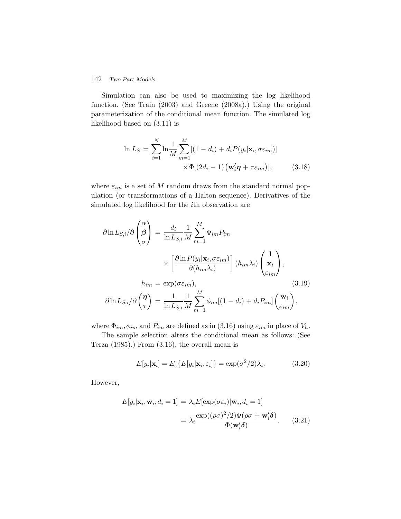#### 142 *Two Part Models*

Simulation can also be used to maximizing the log likelihood function. (See Train (2003) and Greene (2008a).) Using the original parameterization of the conditional mean function. The simulated log likelihood based on (3.11) is

$$
\ln L_S = \sum_{i=1}^{N} \ln \frac{1}{M} \sum_{m=1}^{M} [(1 - d_i) + d_i P(y_i | \mathbf{x}_i, \sigma \varepsilon_{im})]
$$

$$
\times \Phi[(2d_i - 1) (\mathbf{w}_i' \boldsymbol{\eta} + \tau \varepsilon_{im})], \qquad (3.18)
$$

where  $\varepsilon_{im}$  is a set of M random draws from the standard normal population (or transformations of a Halton sequence). Derivatives of the simulated log likelihood for the ith observation are

$$
\partial \ln L_{S,i} / \partial \begin{pmatrix} \alpha \\ \beta \\ \sigma \end{pmatrix} = \frac{d_i}{\ln L_{S,i}} \frac{1}{M} \sum_{m=1}^{M} \Phi_{im} P_{im}
$$

$$
\times \left[ \frac{\partial \ln P(y_i | \mathbf{x}_i, \sigma \varepsilon_{im})}{\partial (h_{im} \lambda_i)} \right] (h_{im} \lambda_i) \begin{pmatrix} 1 \\ \mathbf{x}_i \\ \varepsilon_{im} \end{pmatrix},
$$

$$
h_{im} = \exp(\sigma \varepsilon_{im}),
$$

$$
\partial \ln L_{S,i} / \partial \begin{pmatrix} \eta \\ \tau \end{pmatrix} = \frac{1}{\ln L_{S,i}} \frac{1}{M} \sum_{m=1}^{M} \phi_{im} [(1 - d_i) + d_i P_{im}] \begin{pmatrix} \mathbf{w}_i \\ \varepsilon_{im} \end{pmatrix},
$$
(3.19)

where  $\Phi_{im}, \phi_{im}$  and  $P_{im}$  are defined as in (3.16) using  $\varepsilon_{im}$  in place of  $V_h$ .

The sample selection alters the conditional mean as follows: (See Terza (1985).) From (3.16), the overall mean is

$$
E[y_i|\mathbf{x}_i] = E_{\varepsilon}\{E[y_i|\mathbf{x}_i, \varepsilon_i]\} = \exp(\sigma^2/2)\lambda_i.
$$
 (3.20)

However,

$$
E[y_i|\mathbf{x}_i, \mathbf{w}_i, d_i = 1] = \lambda_i E[\exp(\sigma \varepsilon_i)|\mathbf{w}_i, d_i = 1]
$$
  
= 
$$
\lambda_i \frac{\exp((\rho \sigma)^2/2) \Phi(\rho \sigma + \mathbf{w}_i' \delta)}{\Phi(\mathbf{w}_i' \delta)}.
$$
 (3.21)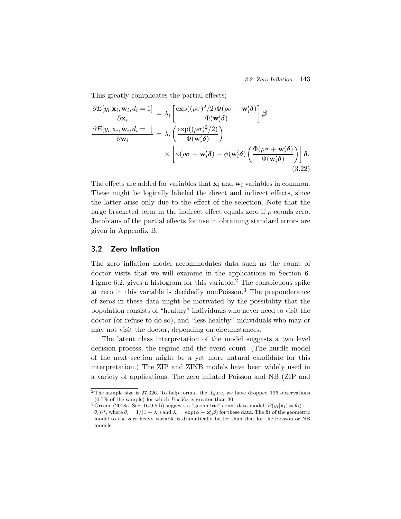This greatly complicates the partial effects;

$$
\frac{\partial E[y_i|\mathbf{x}_i, \mathbf{w}_i, d_i = 1]}{\partial \mathbf{x}_i} = \lambda_i \left[ \frac{\exp((\rho \sigma)^2/2) \Phi(\rho \sigma + \mathbf{w}_i' \delta)}{\Phi(\mathbf{w}_i' \delta)} \right] \beta
$$
\n
$$
\frac{\partial E[y_i|\mathbf{x}_i, \mathbf{w}_i, d_i = 1]}{\partial \mathbf{w}_i} = \lambda_i \left( \frac{\exp((\rho \sigma)^2/2)}{\Phi(\mathbf{w}_i' \delta)} \right)
$$
\n
$$
\times \left[ \phi(\rho \sigma + \mathbf{w}_i' \delta) - \phi(\mathbf{w}_i' \delta) \left( \frac{\Phi(\rho \sigma + \mathbf{w}_i' \delta)}{\Phi(\mathbf{w}_i' \delta)} \right) \right] \delta.
$$
\n(3.22)

The effects are added for variables that  $\mathbf{x}_i$  and  $\mathbf{w}_i$  variables in common. These might be logically labeled the direct and indirect effects, since the latter arise only due to the effect of the selection. Note that the large bracketed term in the indirect effect equals zero if  $\rho$  equals zero. Jacobians of the partial effects for use in obtaining standard errors are given in Appendix B.

#### **3.2 Zero Inflation**

The zero inflation model accommodates data such as the count of doctor visits that we will examine in the applications in Section 6. Figure 6.2. gives a histogram for this variable.<sup>2</sup> The conspicuous spike at zero in this variable is decidedly nonPoisson.<sup>3</sup> The preponderance of zeros in these data might be motivated by the possibility that the population consists of "healthy" individuals who never need to visit the doctor (or refuse to do so), and "less healthy" individuals who may or may not visit the doctor, depending on circumstances.

The latent class interpretation of the model suggests a two level decision process, the regime and the event count. (The hurdle model of the next section might be a yet more natural candidate for this interpretation.) The ZIP and ZINB models have been widely used in a variety of applications. The zero inflated Poisson and NB (ZIP and

 $2$  The sample size is 27,326. To help format the figure, we have dropped 196 observations (0.7% of the sample) for which DocVis is greater than 30.

<sup>&</sup>lt;sup>3</sup> Greene (2008a, Sec. 16.9.5.b) suggests a "geometric" count data model,  $P(y_i|\mathbf{x}_i) = \theta_i(1-\mathbf{x}_i)$  $\theta_i$ )<sup>yi</sup>, where  $\theta_i = 1/(1 + \lambda_i)$  and  $\lambda_i = \exp(\alpha + \mathbf{x}'_i)\theta$  for these data. The fit of the geometric model to the zero heavy variable is dramatically better than that for the Poisson or NB models.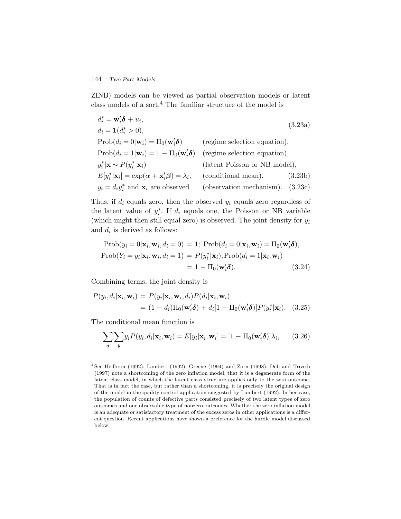#### 144 *Two Part Models*

ZINB) models can be viewed as partial observation models or latent class models of a sort.<sup>4</sup> The familiar structure of the model is

$$
d_i^* = \mathbf{w}_i' \mathbf{\delta} + u_i,
$$
\n
$$
d_i = \mathbf{1}(d_i^* > 0),
$$
\n
$$
Prob(d_i = 0 | \mathbf{w}_i) = \Pi_0(\mathbf{w}_i' \mathbf{\delta})
$$
\n
$$
(3.23a)
$$
\n
$$
Prob(d_i = 1 | \mathbf{w}_i) = 1 - \Pi_0(\mathbf{w}_i' \mathbf{\delta})
$$
\n
$$
y_i^* | \mathbf{x} \sim P(y_i^* | \mathbf{x}_i)
$$
\n
$$
E[y_i^* | \mathbf{x}_i] = \exp(\alpha + \mathbf{x}_i' \mathbf{\beta}) = \lambda_i,
$$
\n
$$
(1 \text{atent Poisson or NB model}),
$$
\n
$$
y_i = d_i y_i^* \text{ and } \mathbf{x}_i \text{ are observed}
$$
\n
$$
(observation mechanism).
$$
\n
$$
(3.23b)
$$

Thus, if  $d_i$  equals zero, then the observed  $y_i$  equals zero regardless of the latent value of  $y_i^*$ . If  $d_i$  equals one, the Poisson or NB variable (which might then still equal zero) is observed. The joint density for  $y_i$ and  $d_i$  is derived as follows:

$$
\text{Prob}(y_i = 0 | \mathbf{x}_i, \mathbf{w}_i, d_i = 0) = 1; \text{Prob}(d_i = 0 | \mathbf{x}_i, \mathbf{w}_i) = \Pi_0(\mathbf{w}_i' \delta),
$$
  
\n
$$
\text{Prob}(Y_i = y_i | \mathbf{x}_i, \mathbf{w}_i, d_i = 1) = P(y_i^* | \mathbf{x}_i); \text{Prob}(d_i = 1 | \mathbf{x}_i, \mathbf{w}_i)
$$
  
\n
$$
= 1 - \Pi_0(\mathbf{w}_i' \delta).
$$
\n(3.24)

Combining terms, the joint density is

$$
P(y_i, d_i | \mathbf{x}_i, \mathbf{w}_i) = P(y_i | \mathbf{x}_i, \mathbf{w}_i, d_i) P(d_i | \mathbf{x}_i, \mathbf{w}_i)
$$
  
=  $(1 - d_i) \Pi_0(\mathbf{w}_i' \delta) + d_i [1 - \Pi_0(\mathbf{w}_i' \delta)] P(y_i^* | \mathbf{x}_i).$  (3.25)

The conditional mean function is

$$
\sum_{d} \sum_{y} y_i P(y_i, d_i | \mathbf{x}_i, \mathbf{w}_i) = E[y_i | \mathbf{x}_i, \mathbf{w}_i] = [1 - \Pi_0(\mathbf{w}'_i \boldsymbol{\delta})] \lambda_i, \qquad (3.26)
$$

<sup>4</sup> See Heilbron (1992), Lambert (1992), Greene (1994) and Zorn (1998). Deb and Trivedi (1997) note a shortcoming of the zero inflation model, that it is a degenerate form of the latent class model, in which the latent class structure applies only to the zero outcome. That is in fact the case, but rather than a shortcoming, it is precisely the original design of the model in the quality control application suggested by Lambert (1992). In her case, the population of counts of defective parts consisted precisely of two latent types of zero outcomes and one observable type of nonzero outcomes. Whether the zero inflation model is an adequate or satisfactory treatment of the excess zeros in other applications is a different question. Recent applications have shown a preference for the hurdle model discussed below.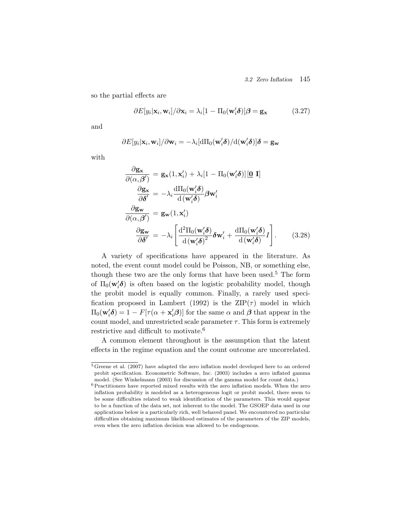*3.2 Zero Inflation* 145

so the partial effects are

$$
\partial E[y_i|\mathbf{x}_i, \mathbf{w}_i]/\partial \mathbf{x}_i = \lambda_i[1 - \Pi_0(\mathbf{w}_i'\boldsymbol{\delta})]\boldsymbol{\beta} = \mathbf{g}_\mathbf{x}
$$
 (3.27)

and

$$
\partial E[y_i|\mathbf{x}_i,\mathbf{w}_i]/\partial \mathbf{w}_i = -\lambda_i[\mathrm{d}\Pi_0(\mathbf{w}_i'\boldsymbol{\delta})/\mathrm{d}(\mathbf{w}_i'\boldsymbol{\delta})]\boldsymbol{\delta} = \mathbf{g}_\mathbf{w}
$$

with

$$
\frac{\partial \mathbf{g}_{\mathbf{x}}}{\partial(\alpha, \beta')} = \mathbf{g}_{\mathbf{x}}(1, \mathbf{x}_{i}') + \lambda_{i}[1 - \Pi_{0}(\mathbf{w}_{i}'\delta)][\mathbf{0} \mathbf{I}] \n\frac{\partial \mathbf{g}_{\mathbf{x}}}{\partial \delta'} = -\lambda_{i} \frac{\mathrm{d}\Pi_{0}(\mathbf{w}_{i}'\delta)}{\mathrm{d}(\mathbf{w}_{i}'\delta)} \beta \mathbf{w}_{i}' \n\frac{\partial \mathbf{g}_{\mathbf{w}}}{\partial(\alpha, \beta')} = \mathbf{g}_{\mathbf{w}}(1, \mathbf{x}_{i}') \n\frac{\partial \mathbf{g}_{\mathbf{w}}}{\partial \delta'} = -\lambda_{i} \left[ \frac{\mathrm{d}^{2}\Pi_{0}(\mathbf{w}_{i}'\delta)}{\mathrm{d}(\mathbf{w}_{i}'\delta)^{2}} \delta \mathbf{w}_{i}' + \frac{\mathrm{d}\Pi_{0}(\mathbf{w}_{i}'\delta)}{\mathrm{d}(\mathbf{w}_{i}'\delta)} I \right].
$$
\n(3.28)

A variety of specifications have appeared in the literature. As noted, the event count model could be Poisson, NB, or something else, though these two are the only forms that have been used.<sup>5</sup> The form of  $\Pi_0(\mathbf{w}_i^{\prime} \boldsymbol{\delta})$  is often based on the logistic probability model, though the probit model is equally common. Finally, a rarely used specification proposed in Lambert (1992) is the  $\text{ZIP}(\tau)$  model in which  $\Pi_0(\mathbf{w}'_i\boldsymbol{\delta})=1-F[\tau(\alpha+\mathbf{x}'_i\boldsymbol{\beta})]$  for the same  $\alpha$  and  $\boldsymbol{\beta}$  that appear in the count model, and unrestricted scale parameter  $\tau$ . This form is extremely restrictive and difficult to motivate.<sup>6</sup>

A common element throughout is the assumption that the latent effects in the regime equation and the count outcome are uncorrelated.

<sup>5</sup> Greene et al. (2007) have adapted the zero inflation model developed here to an ordered probit specification. Econometric Software, Inc. (2003) includes a zero inflated gamma model. (See Winkelmann (2003) for discussion of the gamma model for count data.)

<sup>6</sup> Practitioners have reported mixed results with the zero inflation models. When the zero inflation probability is modeled as a heterogeneous logit or probit model, there seem to be some difficulties related to weak identification of the parameters. This would appear to be a function of the data set, not inherent to the model. The GSOEP data used in our applications below is a particularly rich, well behaved panel. We encountered no particular difficulties obtaining maximum likelihood estimates of the parameters of the ZIP models, even when the zero inflation decision was allowed to be endogenous.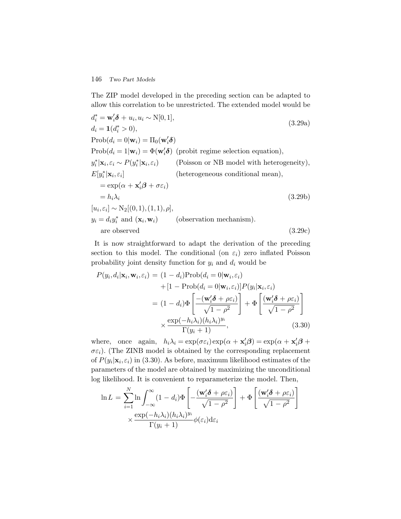#### 146 *Two Part Models*

The ZIP model developed in the preceding section can be adapted to allow this correlation to be unrestricted. The extended model would be

$$
d_i^* = \mathbf{w}_i' \mathbf{\delta} + u_i, u_i \sim \mathcal{N}[0, 1],
$$
\n(3.29a)  
\n
$$
d_i = \mathbf{1}(d_i^* > 0),
$$
\nProb $(d_i = 0 | \mathbf{w}_i) = \Pi_0(\mathbf{w}_i' \mathbf{\delta})$   
\nProb $(d_i = 1 | \mathbf{w}_i) = \Phi(\mathbf{w}_i' \mathbf{\delta})$  (probit regime selection equation),  
\n
$$
y_i^* | \mathbf{x}_i, \varepsilon_i \sim P(y_i^* | \mathbf{x}_i, \varepsilon_i)
$$
 (Poisson or NB model with heterogeneity),  
\n
$$
E[y_i^* | \mathbf{x}_i, \varepsilon_i]
$$
 (heterogeneous conditional mean),  
\n
$$
= \exp(\alpha + \mathbf{x}_i' \mathbf{\beta} + \sigma \varepsilon_i)
$$
  
\n
$$
= h_i \lambda_i
$$
  
\n
$$
[u_i, \varepsilon_i] \sim \mathcal{N}_2[(0, 1), (1, 1), \rho],
$$
  
\n
$$
y_i = d_i y_i^*
$$
 and  $(\mathbf{x}_i, \mathbf{w}_i)$  (observation mechanism).  
\nare observed (3.29c)

It is now straightforward to adapt the derivation of the preceding section to this model. The conditional (on  $\varepsilon_i$ ) zero inflated Poisson probability joint density function for  $y_i$  and  $d_i$  would be

$$
P(y_i, d_i | \mathbf{x}_i, \mathbf{w}_i, \varepsilon_i) = (1 - d_i) \text{Prob}(d_i = 0 | \mathbf{w}_i, \varepsilon_i)
$$
  
+ 
$$
[1 - \text{Prob}(d_i = 0 | \mathbf{w}_i, \varepsilon_i)] P(y_i | \mathbf{x}_i, \varepsilon_i)
$$
  
= 
$$
(1 - d_i) \Phi \left[ \frac{-(\mathbf{w}_i' \delta + \rho \varepsilon_i)}{\sqrt{1 - \rho^2}} \right] + \Phi \left[ \frac{(\mathbf{w}_i' \delta + \rho \varepsilon_i)}{\sqrt{1 - \rho^2}} \right]
$$
  

$$
\times \frac{\exp(-h_i \lambda_i)(h_i \lambda_i)^{y_i}}{\Gamma(y_i + 1)}, \tag{3.30}
$$

where, once again,  $h_i \lambda_i = \exp(\sigma \varepsilon_i) \exp(\alpha + \mathbf{x}_i' \boldsymbol{\beta}) = \exp(\alpha + \mathbf{x}_i' \boldsymbol{\beta} + \mathbf{x}_i' \boldsymbol{\beta})$  $\sigma \varepsilon_i$ ). (The ZINB model is obtained by the corresponding replacement of  $P(y_i|\mathbf{x}_i, \varepsilon_i)$  in (3.30). As before, maximum likelihood estimates of the parameters of the model are obtained by maximizing the unconditional log likelihood. It is convenient to reparameterize the model. Then,

$$
\ln L = \sum_{i=1}^{N} \ln \int_{-\infty}^{\infty} (1 - d_i) \Phi \left[ -\frac{(\mathbf{w}'_i \boldsymbol{\delta} + \rho \varepsilon_i)}{\sqrt{1 - \rho^2}} \right] + \Phi \left[ \frac{(\mathbf{w}'_i \boldsymbol{\delta} + \rho \varepsilon_i)}{\sqrt{1 - \rho^2}} \right]
$$

$$
\times \frac{\exp(-h_i \lambda_i)(h_i \lambda_i)^{y_i}}{\Gamma(y_i + 1)} \phi(\varepsilon_i) d\varepsilon_i
$$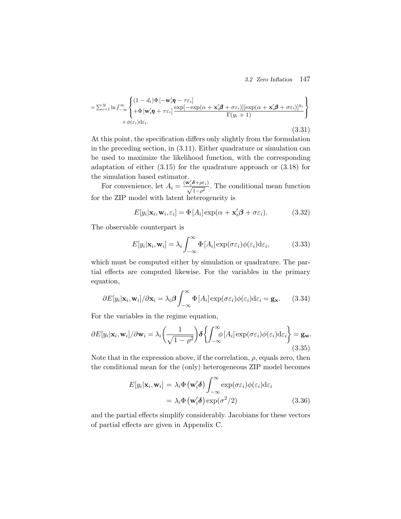*3.2 Zero Inflation* 147

$$
= \sum_{i=1}^{N} \ln \int_{-\infty}^{\infty} \begin{cases} (1-d_i)\Phi[-\mathbf{w}_i'\pmb{\eta} - \tau\epsilon_i] \\ + \Phi[\mathbf{w}_i'\pmb{\eta} + \tau\epsilon_i] \frac{\exp[-\exp(\alpha + \mathbf{x}_i'\pmb{\beta} + \sigma\epsilon_i)][\exp(\alpha + \mathbf{x}_i'\pmb{\beta} + \sigma\epsilon_i)]^{y_i}}{\Gamma(y_i + 1)} \end{cases} \\ \times \phi(\epsilon_i) \mathrm{d}\epsilon_i.
$$
 (3.31)

At this point, the specification differs only slightly from the formulation in the preceding section, in (3.11). Either quadrature or simulation can be used to maximize the likelihood function, with the corresponding adaptation of either (3.15) for the quadrature approach or (3.18) for the simulation based estimator.

For convenience, let  $A_i = \frac{(\mathbf{w}'_i \boldsymbol{\delta} + \rho \varepsilon_i)}{\sqrt{1-\rho^2}}$ . The conditional mean function for the ZIP model with latent heterogeneity is

$$
E[y_i|\mathbf{x}_i, \mathbf{w}_i, \varepsilon_i] = \Phi[A_i] \exp(\alpha + \mathbf{x}_i'\boldsymbol{\beta} + \sigma \varepsilon_i). \tag{3.32}
$$

The observable counterpart is

$$
E[y_i|\mathbf{x}_i, \mathbf{w}_i] = \lambda_i \int_{-\infty}^{\infty} \Phi[A_i] \exp(\sigma \varepsilon_i) \phi(\varepsilon_i) d\varepsilon_i, \tag{3.33}
$$

which must be computed either by simulation or quadrature. The partial effects are computed likewise. For the variables in the primary equation,

$$
\partial E[y_i|\mathbf{x}_i,\mathbf{w}_i]/\partial \mathbf{x}_i = \lambda_i \boldsymbol{\beta} \int_{-\infty}^{\infty} \Phi[A_i] \exp(\sigma \varepsilon_i) \phi(\varepsilon_i) d\varepsilon_i = \mathbf{g}_\mathbf{x}.
$$
 (3.34)

For the variables in the regime equation,

$$
\partial E[y_i|\mathbf{x}_i,\mathbf{w}_i]/\partial \mathbf{w}_i = \lambda_i \left(\frac{1}{\sqrt{1-\rho^2}}\right) \delta \left\{ \int_{-\infty}^{\infty} \phi[A_i] \exp(\sigma \varepsilon_i) \phi(\varepsilon_i) d\varepsilon_i \right\} = \mathbf{g}_{\mathbf{w}}.
$$
\n(3.35)

Note that in the expression above, if the correlation,  $\rho$ , equals zero, then the conditional mean for the (only) heterogeneous ZIP model becomes

$$
E[y_i|\mathbf{x}_i, \mathbf{w}_i] = \lambda_i \Phi(\mathbf{w}_i' \delta) \int_{-\infty}^{\infty} \exp(\sigma \varepsilon_i) \phi(\varepsilon_i) d\varepsilon_i
$$
  
=  $\lambda_i \Phi(\mathbf{w}_i' \delta) \exp(\sigma^2/2)$  (3.36)

and the partial effects simplify considerably. Jacobians for these vectors of partial effects are given in Appendix C.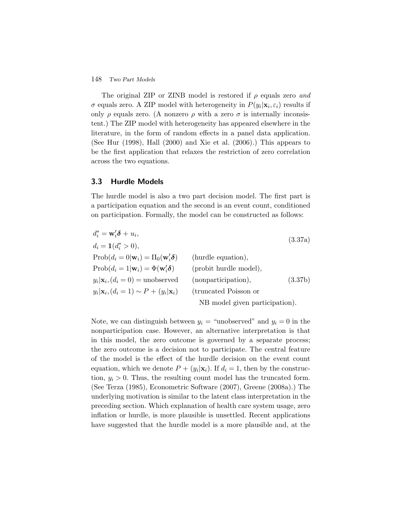#### 148 *Two Part Models*

The original ZIP or ZINB model is restored if ρ equals zero *and*  $\sigma$  equals zero. A ZIP model with heterogeneity in  $P(y_i|\mathbf{x}_i, \varepsilon_i)$  results if only  $\rho$  equals zero. (A nonzero  $\rho$  with a zero  $\sigma$  is internally inconsistent.) The ZIP model with heterogeneity has appeared elsewhere in the literature, in the form of random effects in a panel data application. (See Hur (1998), Hall (2000) and Xie et al. (2006).) This appears to be the first application that relaxes the restriction of zero correlation across the two equations.

#### **3.3 Hurdle Models**

The hurdle model is also a two part decision model. The first part is a participation equation and the second is an event count, conditioned on participation. Formally, the model can be constructed as follows:

| $d_i^* = \mathbf{w}_i' \boldsymbol{\delta} + u_i$                                |                                | (3.37a) |
|----------------------------------------------------------------------------------|--------------------------------|---------|
| $d_i = \mathbf{1}(d_i^* > 0),$                                                   |                                |         |
| $\text{Prob}(d_i = 0   \mathbf{w}_i) = \Pi_0(\mathbf{w}'_i \boldsymbol{\delta})$ | (hurdle equation),             |         |
| $\text{Prob}(d_i = 1   \mathbf{w}_i) = \Phi(\mathbf{w}_i' \boldsymbol{\delta})$  | (probit hurdle model),         |         |
| $y_i \mathbf{x}_i,(d_i=0) =$ unobserved                                          | (nonparticipation),            | (3.37b) |
| $y_i \mathbf{x}_i,(d_i=1) \sim P + (y_i \mathbf{x}_i)$                           | (truncated Poisson or          |         |
|                                                                                  | NB model given participation). |         |

Note, we can distinguish between  $y_i =$  "unobserved" and  $y_i = 0$  in the nonparticipation case. However, an alternative interpretation is that in this model, the zero outcome is governed by a separate process; the zero outcome is a decision not to participate. The central feature of the model is the effect of the hurdle decision on the event count equation, which we denote  $P + (y_i|\mathbf{x}_i)$ . If  $d_i = 1$ , then by the construction,  $y_i > 0$ . Thus, the resulting count model has the truncated form. (See Terza (1985), Econometric Software (2007), Greene (2008a).) The underlying motivation is similar to the latent class interpretation in the preceding section. Which explanation of health care system usage, zero inflation or hurdle, is more plausible is unsettled. Recent applications have suggested that the hurdle model is a more plausible and, at the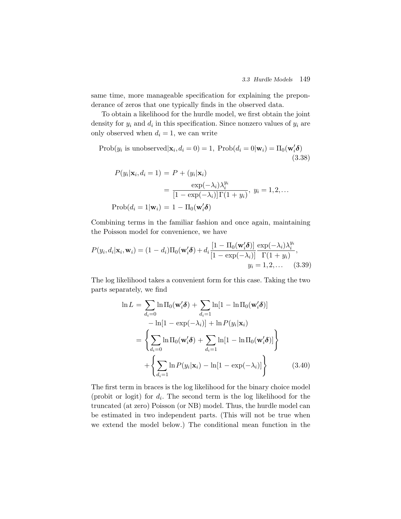same time, more manageable specification for explaining the preponderance of zeros that one typically finds in the observed data.

To obtain a likelihood for the hurdle model, we first obtain the joint density for  $y_i$  and  $d_i$  in this specification. Since nonzero values of  $y_i$  are only observed when  $d_i = 1$ , we can write

 $Prob(y_i \text{ is unobserved} | \mathbf{x}_i, d_i = 0) = 1, Prob(d_i = 0 | \mathbf{w}_i) = \Pi_0(\mathbf{w}'_i \boldsymbol{\delta})$ (3.38)

$$
P(y_i|\mathbf{x}_i, d_i = 1) = P + (y_i|\mathbf{x}_i)
$$
  
= 
$$
\frac{\exp(-\lambda_i)\lambda_i^{y_i}}{[1 - \exp(-\lambda_i)]\Gamma(1 + y_i)}, y_i = 1, 2, ...
$$
  
Prob $(d_i = 1|\mathbf{w}_i) = 1 - \Pi_0(\mathbf{w}_i'\delta)$ 

Combining terms in the familiar fashion and once again, maintaining the Poisson model for convenience, we have

$$
P(y_i, d_i | \mathbf{x}_i, \mathbf{w}_i) = (1 - d_i) \Pi_0(\mathbf{w}_i' \boldsymbol{\delta}) + d_i \frac{[1 - \Pi_0(\mathbf{w}_i' \boldsymbol{\delta})]}{[1 - \exp(-\lambda_i)]} \frac{\exp(-\lambda_i) \lambda_i^{y_i}}{\Gamma(1 + y_i)},
$$
  
\n
$$
y_i = 1, 2, \dots \quad (3.39)
$$

The log likelihood takes a convenient form for this case. Taking the two parts separately, we find

$$
\ln L = \sum_{d_i=0} \ln \Pi_0(\mathbf{w}_i' \delta) + \sum_{d_i=1} \ln[1 - \ln \Pi_0(\mathbf{w}_i' \delta)]
$$
  
\n
$$
- \ln[1 - \exp(-\lambda_i)] + \ln P(y_i|\mathbf{x}_i)
$$
  
\n
$$
= \left\{ \sum_{d_i=0} \ln \Pi_0(\mathbf{w}_i' \delta) + \sum_{d_i=1} \ln[1 - \ln \Pi_0(\mathbf{w}_i' \delta)] \right\}
$$
  
\n
$$
+ \left\{ \sum_{d_i=1} \ln P(y_i|\mathbf{x}_i) - \ln[1 - \exp(-\lambda_i)] \right\}
$$
(3.40)

The first term in braces is the log likelihood for the binary choice model (probit or logit) for  $d_i$ . The second term is the log likelihood for the truncated (at zero) Poisson (or NB) model. Thus, the hurdle model can be estimated in two independent parts. (This will not be true when we extend the model below.) The conditional mean function in the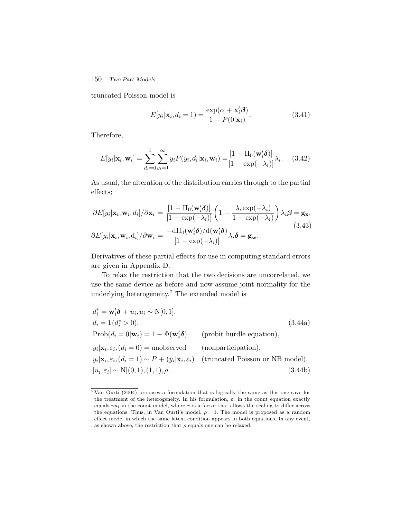### 150 *Two Part Models*

truncated Poisson model is

$$
E[y_i|\mathbf{x}_i, d_i = 1) = \frac{\exp(\alpha + \mathbf{x}'_i \boldsymbol{\beta})}{1 - P(0|\mathbf{x}_i)}.
$$
\n(3.41)

Therefore,

$$
E[y_i|\mathbf{x}_i,\mathbf{w}_i] = \sum_{d_i=0}^{1} \sum_{y_i=1}^{\infty} y_i P(y_i, d_i | \mathbf{x}_i, \mathbf{w}_i) = \frac{[1 - \Pi_0(\mathbf{w}'_i \boldsymbol{\delta})]}{[1 - \exp(-\lambda_i)]} \lambda_i.
$$
 (3.42)

As usual, the alteration of the distribution carries through to the partial effects;

$$
\partial E[y_i|\mathbf{x}_i, \mathbf{w}_i, d_i]/\partial \mathbf{x}_i = \frac{[1 - \Pi_0(\mathbf{w}_i'\boldsymbol{\delta})]}{[1 - \exp(-\lambda_i)]} \left(1 - \frac{\lambda_i \exp(-\lambda_i)}{1 - \exp(-\lambda_i)}\right) \lambda_i \boldsymbol{\beta} = \mathbf{g}_{\mathbf{x}},
$$
  

$$
\partial E[y_i|\mathbf{x}_i, \mathbf{w}_i, d_i]/\partial \mathbf{w}_i = \frac{-\mathrm{d}\Pi_0(\mathbf{w}_i'\boldsymbol{\delta})/\mathrm{d}(\mathbf{w}_i'\boldsymbol{\delta})}{[1 - \exp(-\lambda_i)]} \lambda_i \boldsymbol{\delta} = \mathbf{g}_{\mathbf{w}}.
$$
 (3.43)

Derivatives of these partial effects for use in computing standard errors are given in Appendix D.

To relax the restriction that the two decisions are uncorrelated, we use the same device as before and now assume joint normality for the underlying heterogeneity.<sup>7</sup> The extended model is

$$
d_i^* = \mathbf{w}_i' \mathbf{\delta} + u_i, u_i \sim \mathcal{N}[0, 1],
$$
  
\n
$$
d_i = \mathbf{1}(d_i^* > 0),
$$
\n(3.44a)  
\n
$$
\text{Prob}(d_i = 0 | \mathbf{w}_i) = 1 - \Phi(\mathbf{w}_i' \mathbf{\delta})
$$
\n(probit hurtle equation),  
\n
$$
y_i | \mathbf{x}_i, \varepsilon_i, (d_i = 0) = \text{unobserved}
$$
\n(nonparticipation),  
\n
$$
y_i | \mathbf{x}_i, \varepsilon_i, (d_i = 1) \sim P + (y_i | \mathbf{x}_i, \varepsilon_i)
$$
\n(truncated Poisson or NB model),  
\n
$$
[u_i, \varepsilon_i] \sim \mathcal{N}[(0, 1), (1, 1), \rho].
$$
\n(3.44b)

<sup>7</sup> Van Ourti (2004) proposes a formulation that is logically the same as this one save for the treatment of the heterogeneity. In his formulation,  $\varepsilon_i$  in the count equation exactly equals  $\gamma u_i$  in the count model, where  $\gamma$  is a factor that allows the scaling to differ across the equations. Thus, in Van Ourti's model,  $\rho = 1$ . The model is proposed as a random effect model in which the same latent condition appears in both equations. In any event, as shown above, the restriction that  $\rho$  equals one can be relaxed.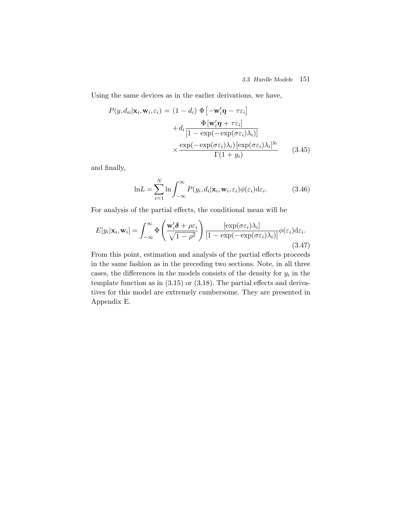### *3.3 Hurdle Models* 151

Using the same devices as in the earlier derivations, we have,

$$
P(y, d_{ii}|\mathbf{x}_i, \mathbf{w}_i, \varepsilon_i) = (1 - d_i) \Phi [-\mathbf{w}_i' \boldsymbol{\eta} - \tau \varepsilon_i]
$$
  
+ 
$$
d_i \frac{\Phi [\mathbf{w}_i' \boldsymbol{\eta} + \tau \varepsilon_i]}{[1 - \exp(-\exp(\sigma \varepsilon_i)\lambda_i)]}
$$
  

$$
\times \frac{\exp(-\exp(\sigma \varepsilon_i)\lambda_i) [\exp(\sigma \varepsilon_i)\lambda_i]^{y_i}}{\Gamma(1 + y_i)}
$$
(3.45)

and finally,

$$
\ln L = \sum_{i=1}^{N} \ln \int_{-\infty}^{\infty} P(y_i, d_i | \mathbf{x}_i, \mathbf{w}_i, \varepsilon_i) \phi(\varepsilon_i) d\varepsilon_i.
$$
 (3.46)

For analysis of the partial effects, the conditional mean will be

$$
E[y_i|\mathbf{x}_i, \mathbf{w}_i] = \int_{-\infty}^{\infty} \Phi\left(\frac{\mathbf{w}_i'\boldsymbol{\delta} + \rho \varepsilon_i}{\sqrt{1 - \rho^2}}\right) \frac{[\exp(\sigma \varepsilon_i)\lambda_i]}{[1 - \exp(-\exp(\sigma \varepsilon_i)\lambda_i)]} \phi(\varepsilon_i) d\varepsilon_i.
$$
\n(3.47)

From this point, estimation and analysis of the partial effects proceeds in the same fashion as in the preceding two sections. Note, in all three cases, the differences in the models consists of the density for  $y_i$  in the template function as in (3.15) or (3.18). The partial effects and derivatives for this model are extremely cumbersome. They are presented in Appendix E.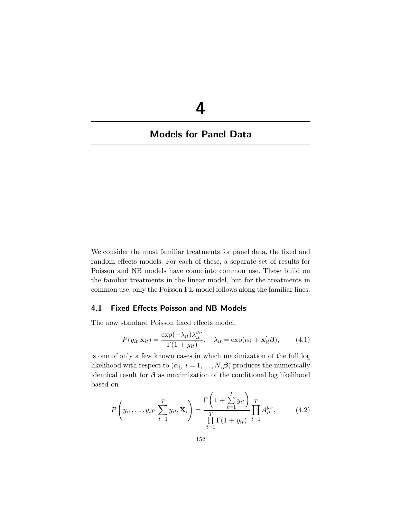## **4**

### **Models for Panel Data**

We consider the most familiar treatments for panel data, the fixed and random effects models. For each of these, a separate set of results for Poisson and NB models have come into common use. These build on the familiar treatments in the linear model, but for the treatments in common use, only the Poisson FE model follows along the familiar lines.

### **4.1 Fixed Effects Poisson and NB Models**

The now standard Poisson fixed effects model,

$$
P(y_{it}|\mathbf{x}_{it}) = \frac{\exp(-\lambda_{it})\lambda_{it}^{y_{it}}}{\Gamma(1+y_{it})}, \quad \lambda_{it} = \exp(\alpha_i + \mathbf{x}_{it}^{\prime}\boldsymbol{\beta}), \quad (4.1)
$$

is one of only a few known cases in which maximization of the full log likelihood with respect to  $(\alpha_i, i = 1, \ldots, N, \beta)$  produces the numerically identical result for  $\beta$  as maximization of the conditional log likelihood based on

$$
P\left(y_{i1},\ldots,y_{iT}|\sum_{t=1}^T y_{it},\mathbf{X}_i\right) = \frac{\Gamma\left(1+\sum_{t=1}^T y_{it}\right)}{\prod_{t=1}^T \Gamma(1+y_{it})} \prod_{t=1}^T A_{it}^{y_{it}},\tag{4.2}
$$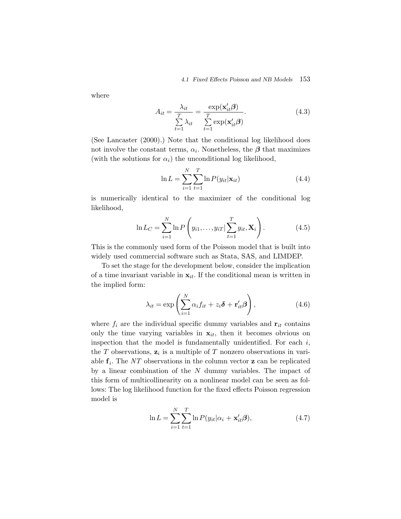where

$$
A_{it} = \frac{\lambda_{it}}{\sum\limits_{t=1}^{T} \lambda_{it}} = \frac{\exp(\mathbf{x}'_{it}\boldsymbol{\beta})}{\sum\limits_{t=1}^{T} \exp(\mathbf{x}'_{it}\boldsymbol{\beta})}.
$$
 (4.3)

(See Lancaster (2000).) Note that the conditional log likelihood does not involve the constant terms,  $\alpha_i$ . Nonetheless, the  $\beta$  that maximizes (with the solutions for  $\alpha_i$ ) the unconditional log likelihood,

$$
\ln L = \sum_{i=1}^{N} \sum_{t=1}^{T} \ln P(y_{it}|\mathbf{x}_{it})
$$
\n(4.4)

is numerically identical to the maximizer of the conditional log likelihood,

$$
\ln L_C = \sum_{i=1}^{N} \ln P\left(y_{i1}, \dots, y_{iT} | \sum_{t=1}^{T} y_{it}, \mathbf{X}_i\right). \tag{4.5}
$$

This is the commonly used form of the Poisson model that is built into widely used commercial software such as Stata, SAS, and LIMDEP.

To set the stage for the development below, consider the implication of a time invariant variable in  $\mathbf{x}_{it}$ . If the conditional mean is written in the implied form:

$$
\lambda_{it} = \exp\left(\sum_{i=1}^{N} \alpha_i f_{it} + z_i \delta + \mathbf{r}'_{it} \beta\right),\tag{4.6}
$$

where  $f_i$  are the individual specific dummy variables and  $\mathbf{r}_{it}$  contains only the time varying variables in  $x_{it}$ , then it becomes obvious on inspection that the model is fundamentally unidentified. For each  $i$ , the  $T$  observations,  $z_i$  is a multiple of  $T$  nonzero observations in variable  $f_i$ . The NT observations in the column vector **z** can be replicated by a linear combination of the  $N$  dummy variables. The impact of this form of multicollinearity on a nonlinear model can be seen as follows: The log likelihood function for the fixed effects Poisson regression model is

$$
\ln L = \sum_{i=1}^{N} \sum_{t=1}^{T} \ln P(y_{it} | \alpha_i + \mathbf{x}'_{it} \boldsymbol{\beta}), \tag{4.7}
$$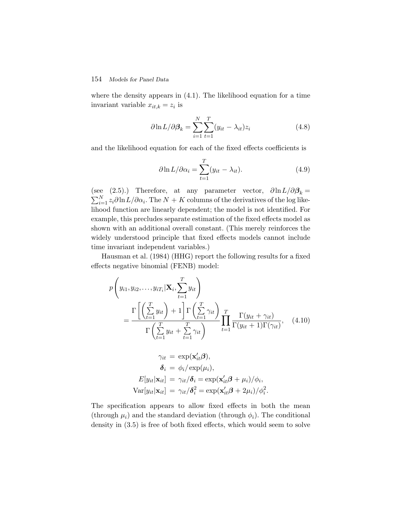### 154 *Models for Panel Data*

where the density appears in (4.1). The likelihood equation for a time invariant variable  $x_{it,k} = z_i$  is

$$
\partial \ln L / \partial \beta_k = \sum_{i=1}^{N} \sum_{t=1}^{T} (y_{it} - \lambda_{it}) z_i
$$
 (4.8)

and the likelihood equation for each of the fixed effects coefficients is

$$
\partial \ln L / \partial \alpha_i = \sum_{t=1}^{T} (y_{it} - \lambda_{it}). \tag{4.9}
$$

(see (2.5).) Therefore, at any parameter vector,  $\partial \ln L / \partial \beta_k =$  $\sum_{i=1}^{N} z_i \partial \ln L / \partial \alpha_i$ . The  $N + K$  columns of the derivatives of the log likelihood function are linearly dependent; the model is not identified. For example, this precludes separate estimation of the fixed effects model as shown with an additional overall constant. (This merely reinforces the widely understood principle that fixed effects models cannot include time invariant independent variables.)

Hausman et al. (1984) (HHG) report the following results for a fixed effects negative binomial (FENB) model:

$$
p\left(y_{i1}, y_{i2}, \dots, y_{iT_i} | \mathbf{X}_i, \sum_{t=1}^T y_{it}\right)
$$
  
= 
$$
\frac{\Gamma\left[\left(\sum_{t=1}^T y_{it}\right) + 1\right] \Gamma\left(\sum_{t=1}^T \gamma_{it}\right)}{\Gamma\left(\sum_{t=1}^T y_{it} + \sum_{t=1}^T \gamma_{it}\right)} \prod_{t=1}^T \frac{\Gamma(y_{it} + \gamma_{it})}{\Gamma(y_{it} + 1)\Gamma(\gamma_{it})}, \quad (4.10)
$$

$$
\gamma_{it} = \exp(\mathbf{x}'_{it}\boldsymbol{\beta}),
$$

$$
\delta_i = \phi_i / \exp(\mu_i),
$$

$$
E[y_{it}|\mathbf{x}_{it}] = \gamma_{it}/\delta_i = \exp(\mathbf{x}'_{it}\boldsymbol{\beta} + \mu_i) / \phi_i,
$$

$$
\text{Var}[y_{it}|\mathbf{x}_{it}] = \gamma_{it}/\delta_i^2 = \exp(\mathbf{x}'_{it}\boldsymbol{\beta} + 2\mu_i) / \phi_i^2.
$$

The specification appears to allow fixed effects in both the mean (through  $\mu_i$ ) and the standard deviation (through  $\phi_i$ ). The conditional density in (3.5) is free of both fixed effects, which would seem to solve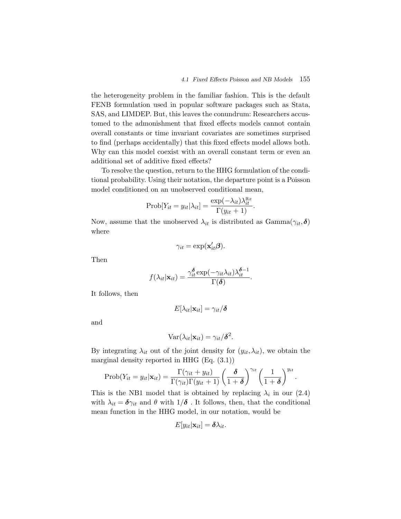the heterogeneity problem in the familiar fashion. This is the default FENB formulation used in popular software packages such as Stata, SAS, and LIMDEP. But, this leaves the conundrum: Researchers accustomed to the admonishment that fixed effects models cannot contain overall constants or time invariant covariates are sometimes surprised to find (perhaps accidentally) that this fixed effects model allows both. Why can this model coexist with an overall constant term or even an additional set of additive fixed effects?

To resolve the question, return to the HHG formulation of the conditional probability. Using their notation, the departure point is a Poisson model conditioned on an unobserved conditional mean,

$$
Prob[Y_{it} = y_{it} | \lambda_{it}] = \frac{\exp(-\lambda_{it})\lambda_{it}^{y_{it}}}{\Gamma(y_{it} + 1)}.
$$

Now, assume that the unobserved  $\lambda_{it}$  is distributed as  $Gamma(\gamma_{it}, \delta)$ where

$$
\gamma_{it} = \exp(\mathbf{x}_{it}^{\prime}\boldsymbol{\beta}).
$$

Then

$$
f(\lambda_{it}|\mathbf{x}_{it}) = \frac{\gamma_{it}^{\delta} \exp(-\gamma_{it}\lambda_{it})\lambda_{it}^{\delta-1}}{\Gamma(\delta)}.
$$

It follows, then

$$
E[\lambda_{it}|\mathbf{x}_{it}]=\gamma_{it}/\boldsymbol{\delta}
$$

and

$$
Var(\lambda_{it}|\mathbf{x}_{it}) = \gamma_{it}/\delta^2.
$$

By integrating  $\lambda_{it}$  out of the joint density for  $(y_{it}, \lambda_{it})$ , we obtain the marginal density reported in HHG (Eq. (3.1))

$$
\text{Prob}(Y_{it} = y_{it}|\mathbf{x}_{it}) = \frac{\Gamma(\gamma_{it} + y_{it})}{\Gamma(\gamma_{it})\Gamma(y_{it} + 1)} \left(\frac{\delta}{1+\delta}\right)^{\gamma_{it}} \left(\frac{1}{1+\delta}\right)^{y_{it}}.
$$

This is the NB1 model that is obtained by replacing  $\lambda_i$  in our (2.4) with  $\lambda_{it} = \delta \gamma_{it}$  and  $\theta$  with  $1/\delta$ . It follows, then, that the conditional mean function in the HHG model, in our notation, would be

$$
E[y_{it}|\mathbf{x}_{it}]=\boldsymbol{\delta}\lambda_{it}.
$$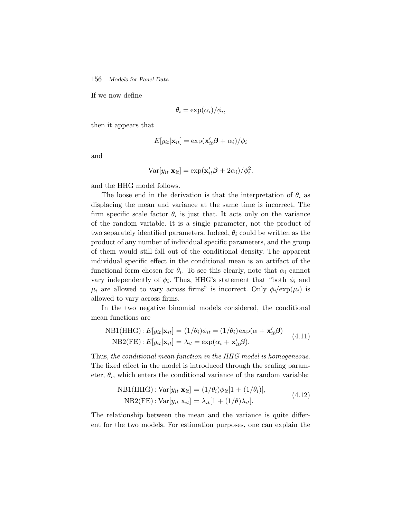156 *Models for Panel Data*

If we now define

$$
\theta_i = \exp(\alpha_i)/\phi_i,
$$

then it appears that

$$
E[y_{it}|\mathbf{x}_{it}] = \exp(\mathbf{x}'_{it}\boldsymbol{\beta} + \alpha_i)/\phi_i
$$

and

$$
Var[y_{it}|\mathbf{x}_{it}] = \exp(\mathbf{x}'_{it}\boldsymbol{\beta} + 2\alpha_i)/\phi_i^2.
$$

and the HHG model follows.

The loose end in the derivation is that the interpretation of  $\theta_i$  as displacing the mean and variance at the same time is incorrect. The firm specific scale factor  $\theta_i$  is just that. It acts only on the variance of the random variable. It is a single parameter, not the product of two separately identified parameters. Indeed,  $\theta_i$  could be written as the product of any number of individual specific parameters, and the group of them would still fall out of the conditional density. The apparent individual specific effect in the conditional mean is an artifact of the functional form chosen for  $\theta_i$ . To see this clearly, note that  $\alpha_i$  cannot vary independently of  $\phi_i$ . Thus, HHG's statement that "both  $\phi_i$  and  $\mu_i$  are allowed to vary across firms" is incorrect. Only  $\phi_i/\exp(\mu_i)$  is allowed to vary across firms.

In the two negative binomial models considered, the conditional mean functions are

$$
NBI(HHG): E[y_{it}|\mathbf{x}_{it}] = (1/\theta_i)\phi_{it} = (1/\theta_i) \exp(\alpha + \mathbf{x}'_{it}\boldsymbol{\beta})
$$
  
\n
$$
NB2(FE): E[y_{it}|\mathbf{x}_{it}] = \lambda_{it} = \exp(\alpha_i + \mathbf{x}'_{it}\boldsymbol{\beta}),
$$
\n(4.11)

Thus, *the conditional mean function in the HHG model is homogeneous*. The fixed effect in the model is introduced through the scaling parameter,  $\theta_i$ , which enters the conditional variance of the random variable:

$$
NB1(HHG): Var[y_{it}|\mathbf{x}_{it}] = (1/\theta_i)\phi_{it}[1 + (1/\theta_i)],
$$
  
\n
$$
NB2(FE): Var[y_{it}|\mathbf{x}_{it}] = \lambda_{it}[1 + (1/\theta)\lambda_{it}].
$$
\n(4.12)

The relationship between the mean and the variance is quite different for the two models. For estimation purposes, one can explain the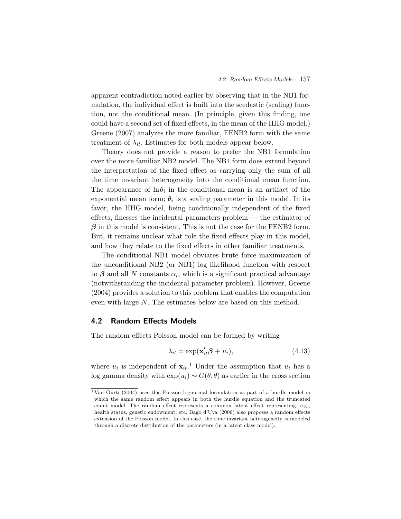apparent contradiction noted earlier by observing that in the NB1 formulation, the individual effect is built into the scedastic (scaling) function, not the conditional mean. (In principle, given this finding, one could have a second set of fixed effects, in the mean of the HHG model.) Greene (2007) analyzes the more familiar, FENB2 form with the same treatment of  $\lambda_{it}$ . Estimates for both models appear below.

Theory does not provide a reason to prefer the NB1 formulation over the more familiar NB2 model. The NB1 form does extend beyond the interpretation of the fixed effect as carrying only the sum of all the time invariant heterogeneity into the conditional mean function. The appearance of  $\ln \theta_i$  in the conditional mean is an artifact of the exponential mean form;  $\theta_i$  is a scaling parameter in this model. In its favor, the HHG model, being conditionally independent of the fixed effects, finesses the incidental parameters problem — the estimator of  $\beta$  in this model is consistent. This is not the case for the FENB2 form. But, it remains unclear what role the fixed effects play in this model, and how they relate to the fixed effects in other familiar treatments.

The conditional NB1 model obviates brute force maximization of the unconditional NB2 (or NB1) log likelihood function with respect to  $\beta$  and all N constants  $\alpha_i$ , which is a significant practical advantage (notwithstanding the incidental parameter problem). However, Greene (2004) provides a solution to this problem that enables the computation even with large N. The estimates below are based on this method.

### **4.2 Random Effects Models**

The random effects Poisson model can be formed by writing

$$
\lambda_{it} = \exp(\mathbf{x}_{it}'\boldsymbol{\beta} + u_i),\tag{4.13}
$$

where  $u_i$  is independent of  $\mathbf{x}_{it}$ <sup>1</sup>. Under the assumption that  $u_i$  has a log gamma density with  $\exp(u_i) \sim G(\theta, \theta)$  as earlier in the cross section

<sup>&</sup>lt;sup>1</sup>Van Ourti (2004) uses this Poisson lognormal formulation as part of a hurdle model in which the same random effect appears in both the hurdle equation and the truncated count model. The random effect represents a common latent effect representing, e.g., health status, genetic endowment, etc. Bago d'Uva (2006) also proposes a random effects extension of the Poisson model. In this case, the time invariant heterogeneity is modeled through a discrete distribution of the parameters (in a latent class model).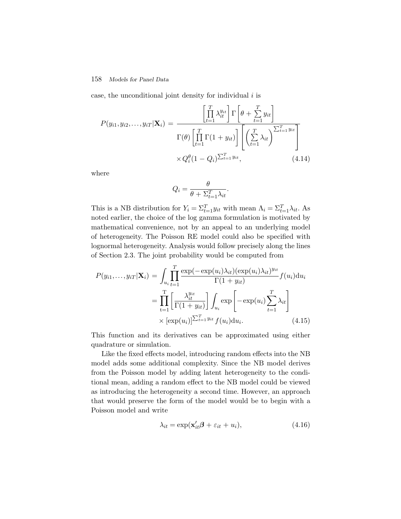### 158 *Models for Panel Data*

case, the unconditional joint density for individual  $i$  is

$$
P(y_{i1}, y_{i2}, \dots, y_{iT} | \mathbf{X}_i) = \frac{\left[ \prod_{t=1}^T \lambda_{it}^{y_{it}} \right] \Gamma \left[ \theta + \sum_{t=1}^T y_{it} \right]}{\Gamma(\theta) \left[ \prod_{t=1}^T \Gamma(1 + y_{it}) \right] \left[ \left( \sum_{t=1}^T \lambda_{it} \right)^{\sum_{t=1}^T y_{it}} \right]}
$$

$$
\times Q_i^{\theta} (1 - Q_i)^{\sum_{t=1}^T y_{it}}, \qquad (4.14)
$$

where

$$
Q_i = \frac{\theta}{\theta + \Sigma_{t=1}^T \lambda_{it}}
$$

.

This is a NB distribution for  $Y_i = \sum_{t=1}^{T} y_{it}$  with mean  $\Lambda_i = \sum_{t=1}^{T} \lambda_{it}$ . As noted earlier, the choice of the log gamma formulation is motivated by mathematical convenience, not by an appeal to an underlying model of heterogeneity. The Poisson RE model could also be specified with lognormal heterogeneity. Analysis would follow precisely along the lines of Section 2.3. The joint probability would be computed from

$$
P(y_{i1},...,y_{iT}|\mathbf{X}_i) = \int_{u_i} \prod_{t=1}^T \frac{\exp(-\exp(u_i)\lambda_{it})(\exp(u_i)\lambda_{it})^{y_{it}}}{\Gamma(1+y_{it})} f(u_i) \mathrm{d}u_i
$$

$$
= \prod_{t=1}^T \left[ \frac{\lambda_{it}^{y_{it}}}{\Gamma(1+y_{it})} \right] \int_{u_i} \exp\left[-\exp(u_i)\sum_{t=1}^T \lambda_{it}\right]
$$

$$
\times \left[\exp(u_i)\right]^{\sum_{t=1}^T y_{it}} f(u_i) \mathrm{d}u_i.
$$
(4.15)

This function and its derivatives can be approximated using either quadrature or simulation.

Like the fixed effects model, introducing random effects into the NB model adds some additional complexity. Since the NB model derives from the Poisson model by adding latent heterogeneity to the conditional mean, adding a random effect to the NB model could be viewed as introducing the heterogeneity a second time. However, an approach that would preserve the form of the model would be to begin with a Poisson model and write

$$
\lambda_{it} = \exp(\mathbf{x}_{it}'\boldsymbol{\beta} + \varepsilon_{it} + u_i), \qquad (4.16)
$$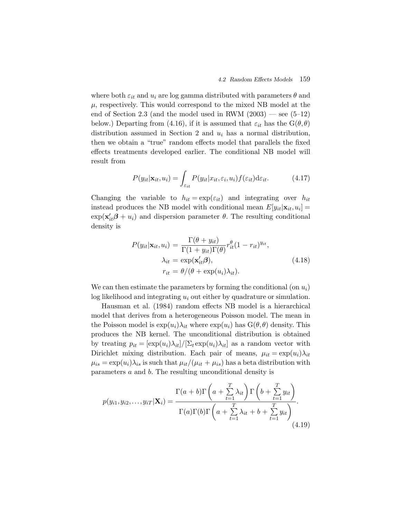where both  $\varepsilon_{it}$  and  $u_i$  are log gamma distributed with parameters  $\theta$  and  $\mu$ , respectively. This would correspond to the mixed NB model at the end of Section 2.3 (and the model used in RWM  $(2003)$  — see  $(5-12)$ ) below.) Departing from (4.16), if it is assumed that  $\varepsilon_{it}$  has the  $\mathcal{G}(\theta,\theta)$ distribution assumed in Section 2 and  $u_i$  has a normal distribution, then we obtain a "true" random effects model that parallels the fixed effects treatments developed earlier. The conditional NB model will result from

$$
P(y_{it}|\mathbf{x}_{it}, u_i) = \int_{\varepsilon_{it}} P(y_{it}|x_{it}, \varepsilon_i, u_i) f(\varepsilon_{it}) d\varepsilon_{it}.
$$
 (4.17)

Changing the variable to  $h_{it} = \exp(\varepsilon_{it})$  and integrating over  $h_{it}$ instead produces the NB model with conditional mean  $E[y_{it}|\mathbf{x}_{it},u_i] =$  $\exp(\mathbf{x}'_{it}\boldsymbol{\beta} + u_i)$  and dispersion parameter  $\theta$ . The resulting conditional density is

$$
P(y_{it}|\mathbf{x}_{it}, u_i) = \frac{\Gamma(\theta + y_{it})}{\Gamma(1 + y_{it})\Gamma(\theta)} r_{it}^{\theta}(1 - r_{it})^{y_{it}},
$$
  
\n
$$
\lambda_{it} = \exp(\mathbf{x}_{it}^{\prime}\mathbf{\beta}),
$$
  
\n
$$
r_{it} = \theta/(\theta + \exp(u_i)\lambda_{it}).
$$
\n(4.18)

We can then estimate the parameters by forming the conditional (on  $u_i$ ) log likelihood and integrating  $u_i$  out either by quadrature or simulation.

Hausman et al. (1984) random effects NB model is a hierarchical model that derives from a heterogeneous Poisson model. The mean in the Poisson model is  $\exp(u_i)\lambda_{it}$  where  $\exp(u_i)$  has  $G(\theta,\theta)$  density. This produces the NB kernel. The unconditional distribution is obtained by treating  $p_{it} = [\exp(u_i)\lambda_{it}] / [\Sigma_t \exp(u_i)\lambda_{it}]$  as a random vector with Dirichlet mixing distribution. Each pair of means,  $\mu_{it} = \exp(u_i)\lambda_{it}$  $\mu_{is} = \exp(u_i)\lambda_{is}$  is such that  $\mu_{it}/(\mu_{it} + \mu_{is})$  has a beta distribution with parameters a and b. The resulting unconditional density is

$$
p(y_{i1}, y_{i2}, \dots, y_{iT} | \mathbf{X}_i) = \frac{\Gamma(a+b)\Gamma\left(a + \sum_{t=1}^T \lambda_{it}\right)\Gamma\left(b + \sum_{t=1}^T y_{it}\right)}{\Gamma(a)\Gamma(b)\Gamma\left(a + \sum_{t=1}^T \lambda_{it} + b + \sum_{t=1}^T y_{it}\right)}.
$$
\n(4.19)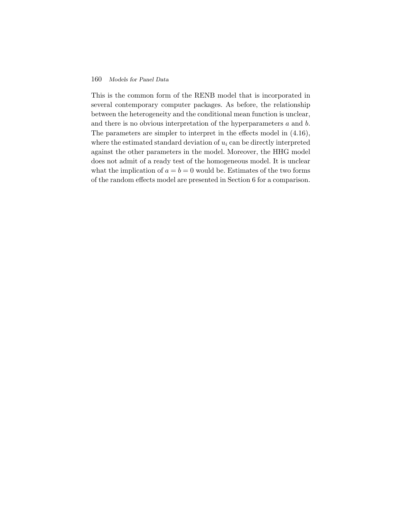### 160 *Models for Panel Data*

This is the common form of the RENB model that is incorporated in several contemporary computer packages. As before, the relationship between the heterogeneity and the conditional mean function is unclear, and there is no obvious interpretation of the hyperparameters a and b. The parameters are simpler to interpret in the effects model in (4.16), where the estimated standard deviation of  $u_i$  can be directly interpreted against the other parameters in the model. Moreover, the HHG model does not admit of a ready test of the homogeneous model. It is unclear what the implication of  $a = b = 0$  would be. Estimates of the two forms of the random effects model are presented in Section 6 for a comparison.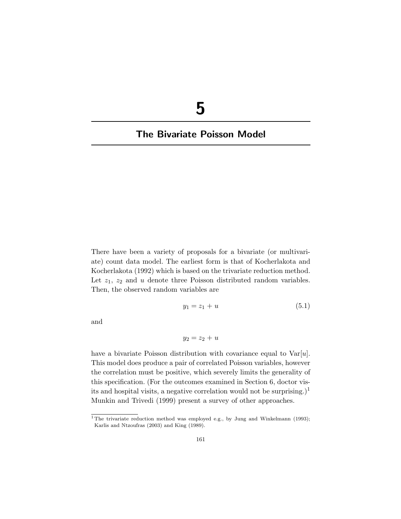# **5**

## **The Bivariate Poisson Model**

There have been a variety of proposals for a bivariate (or multivariate) count data model. The earliest form is that of Kocherlakota and Kocherlakota (1992) which is based on the trivariate reduction method. Let  $z_1$ ,  $z_2$  and u denote three Poisson distributed random variables. Then, the observed random variables are

$$
y_1 = z_1 + u \tag{5.1}
$$

and

$$
y_2 = z_2 + u
$$

have a bivariate Poisson distribution with covariance equal to  $Var[u]$ . This model does produce a pair of correlated Poisson variables, however the correlation must be positive, which severely limits the generality of this specification. (For the outcomes examined in Section 6, doctor visits and hospital visits, a negative correlation would not be surprising.)<sup>1</sup> Munkin and Trivedi (1999) present a survey of other approaches.

 $1$ The trivariate reduction method was employed e.g., by Jung and Winkelmann (1993); Karlis and Ntzoufras (2003) and King (1989).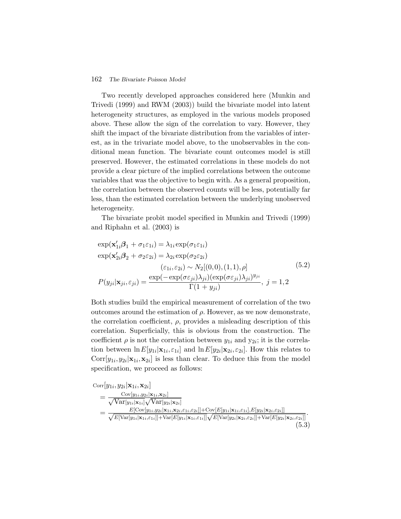### 162 *The Bivariate Poisson Model*

Two recently developed approaches considered here (Munkin and Trivedi (1999) and RWM (2003)) build the bivariate model into latent heterogeneity structures, as employed in the various models proposed above. These allow the sign of the correlation to vary. However, they shift the impact of the bivariate distribution from the variables of interest, as in the trivariate model above, to the unobservables in the conditional mean function. The bivariate count outcomes model is still preserved. However, the estimated correlations in these models do not provide a clear picture of the implied correlations between the outcome variables that was the objective to begin with. As a general proposition, the correlation between the observed counts will be less, potentially far less, than the estimated correlation between the underlying unobserved heterogeneity.

The bivariate probit model specified in Munkin and Trivedi (1999) and Riphahn et al. (2003) is

$$
\exp(\mathbf{x}'_{1i}\boldsymbol{\beta}_1 + \sigma_1\varepsilon_{1i}) = \lambda_{1i}\exp(\sigma_1\varepsilon_{1i})
$$
  
\n
$$
\exp(\mathbf{x}'_{2i}\boldsymbol{\beta}_2 + \sigma_2\varepsilon_{2i}) = \lambda_{2i}\exp(\sigma_2\varepsilon_{2i})
$$
  
\n
$$
(\varepsilon_{1i}, \varepsilon_{2i}) \sim N_2[(0,0), (1,1), \rho]
$$
  
\n
$$
P(y_{ji}|\mathbf{x}_{ji}, \varepsilon_{ji}) = \frac{\exp(-\exp(\sigma\varepsilon_{ji})\lambda_{ji})(\exp(\sigma\varepsilon_{ji})\lambda_{ji})^{y_{ji}}}{\Gamma(1 + y_{ji})}, j = 1, 2
$$
\n(5.2)

Both studies build the empirical measurement of correlation of the two outcomes around the estimation of  $\rho$ . However, as we now demonstrate, the correlation coefficient,  $\rho$ , provides a misleading description of this correlation. Superficially, this is obvious from the construction. The coefficient  $\rho$  is not the correlation between  $y_{1i}$  and  $y_{2i}$ ; it is the correlation between  $\ln E[y_{1i}|\mathbf{x}_{1i}, \varepsilon_{1i}]$  and  $\ln E[y_{2i}|\mathbf{x}_{2i}, \varepsilon_{2i}]$ . How this relates to Corr[ $y_{1i}, y_{2i}|\mathbf{x}_{1i}, \mathbf{x}_{2i}$ ] is less than clear. To deduce this from the model specification, we proceed as follows:

$$
Corr[y_{1i}, y_{2i} | \mathbf{x}_{1i}, \mathbf{x}_{2i}]
$$
\n
$$
= \frac{\text{Cov}[y_{1i}, y_{2i} | \mathbf{x}_{1i}, \mathbf{x}_{2i}]}{\sqrt{\text{Var}[y_{1i} | \mathbf{x}_{1i}] \sqrt{\text{Var}[y_{2i} | \mathbf{x}_{2i}]}}}
$$
\n
$$
= \frac{E[\text{Cov}[y_{1i}, y_{2i} | \mathbf{x}_{1i}, \mathbf{x}_{2i}, \varepsilon_{1i}, \varepsilon_{2i}]] + \text{Cov}[E[y_{1i} | \mathbf{x}_{1i}, \varepsilon_{1i}], E[y_{2i} | \mathbf{x}_{2i}, \varepsilon_{2i}]]}{\sqrt{E[\text{Var}[y_{1i} | \mathbf{x}_{1i}, \varepsilon_{1i}]] + \text{Var}[E[y_{1i} | \mathbf{x}_{1i}, \varepsilon_{1i}]]} \sqrt{E[\text{Var}[y_{2i} | \mathbf{x}_{2i}, \varepsilon_{2i}]] + \text{Var}[E[y_{2i} | \mathbf{x}_{2i}, \varepsilon_{2i}]]}}.
$$
\n(5.3)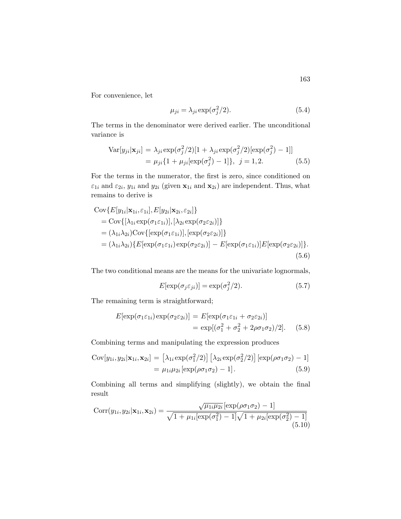For convenience, let

$$
\mu_{ji} = \lambda_{ji} \exp(\sigma_j^2/2). \tag{5.4}
$$

The terms in the denominator were derived earlier. The unconditional variance is

$$
\text{Var}[y_{ji}|\mathbf{x}_{ji}] = \lambda_{ji} \exp(\sigma_j^2/2)[1 + \lambda_{ji} \exp(\sigma_j^2/2)[\exp(\sigma_j^2) - 1]]
$$
  
=  $\mu_{ji} \{1 + \mu_{ji} [\exp(\sigma_j^2) - 1]\}, \ j = 1, 2.$  (5.5)

For the terms in the numerator, the first is zero, since conditioned on  $\varepsilon_{1i}$  and  $\varepsilon_{2i}$ ,  $y_{1i}$  and  $y_{2i}$  (given  $\mathbf{x}_{1i}$  and  $\mathbf{x}_{2i}$ ) are independent. Thus, what remains to derive is

$$
\begin{split}\n\text{Cov}\{E[y_{1i}|\mathbf{x}_{1i}, \varepsilon_{1i}], E[y_{2i}|\mathbf{x}_{2i}, \varepsilon_{2i}]\} \\
&= \text{Cov}\{[\lambda_{1i} \exp(\sigma_1 \varepsilon_{1i})], [\lambda_{2i} \exp(\sigma_2 \varepsilon_{2i})]\} \\
&= (\lambda_{1i} \lambda_{2i}) \text{Cov}\{[\exp(\sigma_1 \varepsilon_{1i})], [\exp(\sigma_2 \varepsilon_{2i})]\} \\
&= (\lambda_{1i} \lambda_{2i}) \{E[\exp(\sigma_1 \varepsilon_{1i}) \exp(\sigma_2 \varepsilon_{2i})] - E[\exp(\sigma_1 \varepsilon_{1i})]E[\exp(\sigma_2 \varepsilon_{2i})]\}.\n\end{split} \tag{5.6}
$$

The two conditional means are the means for the univariate lognormals,

$$
E[\exp(\sigma_j \varepsilon_{ji})] = \exp(\sigma_j^2/2). \tag{5.7}
$$

The remaining term is straightforward;

$$
E[\exp(\sigma_1 \varepsilon_{1i}) \exp(\sigma_2 \varepsilon_{2i})] = E[\exp(\sigma_1 \varepsilon_{1i} + \sigma_2 \varepsilon_{2i})]
$$
  
= 
$$
\exp[(\sigma_1^2 + \sigma_2^2 + 2\rho \sigma_1 \sigma_2)/2].
$$
 (5.8)

Combining terms and manipulating the expression produces

$$
Cov[y_{1i}, y_{2i}|\mathbf{x}_{1i}, \mathbf{x}_{2i}] = \left[\lambda_{1i} \exp(\sigma_1^2/2)\right] \left[\lambda_{2i} \exp(\sigma_2^2/2)\right] \left[\exp(\rho \sigma_1 \sigma_2) - 1\right]
$$

$$
= \mu_{1i} \mu_{2i} \left[\exp(\rho \sigma_1 \sigma_2) - 1\right]. \tag{5.9}
$$

Combining all terms and simplifying (slightly), we obtain the final result

$$
Corr(y_{1i}, y_{2i}|\mathbf{x}_{1i}, \mathbf{x}_{2i}) = \frac{\sqrt{\mu_{1i}\mu_{2i}}\left[\exp(\rho \sigma_1 \sigma_2) - 1\right]}{\sqrt{1 + \mu_{1i}\left[\exp(\sigma_1^2) - 1\right]}\sqrt{1 + \mu_{2i}\left[\exp(\sigma_2^2) - 1\right]}}
$$
(5.10)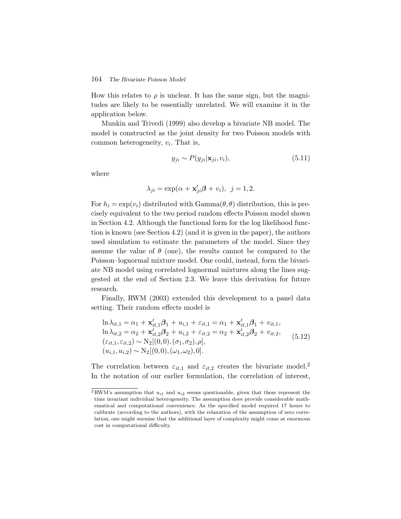### 164 *The Bivariate Poisson Model*

How this relates to  $\rho$  is unclear. It has the same sign, but the magnitudes are likely to be essentially unrelated. We will examine it in the application below.

Munkin and Trivedi (1999) also develop a bivariate NB model. The model is constructed as the joint density for two Poisson models with common heterogeneity,  $v_i$ . That is,

$$
y_{ji} \sim P(y_{ji}|\mathbf{x}_{ji}, v_i),\tag{5.11}
$$

where

$$
\lambda_{ji} = \exp(\alpha + \mathbf{x}'_{ji}\boldsymbol{\beta} + v_i), \ \ j = 1, 2.
$$

For  $h_i = \exp(v_i)$  distributed with  $Gamma(\theta, \theta)$  distribution, this is precisely equivalent to the two period random effects Poisson model shown in Section 4.2. Although the functional form for the log likelihood function is known (see Section 4.2) (and it is given in the paper), the authors used simulation to estimate the parameters of the model. Since they assume the value of  $\theta$  (one), the results cannot be compared to the Poisson–lognormal mixture model. One could, instead, form the bivariate NB model using correlated lognormal mixtures along the lines suggested at the end of Section 2.3. We leave this derivation for future research.

Finally, RWM (2003) extended this development to a panel data setting. Their random effects model is

$$
\ln \lambda_{it,1} = \alpha_1 + \mathbf{x}'_{it,1} \boldsymbol{\beta}_1 + u_{i,1} + \varepsilon_{it,1} = \alpha_1 + \mathbf{x}'_{it,1} \boldsymbol{\beta}_1 + v_{it,1},
$$
  
\n
$$
\ln \lambda_{it,2} = \alpha_2 + \mathbf{x}'_{it,2} \boldsymbol{\beta}_2 + u_{i,2} + \varepsilon_{it,2} = \alpha_2 + \mathbf{x}'_{it,2} \boldsymbol{\beta}_2 + v_{it,2},
$$
  
\n
$$
(\varepsilon_{it,1}, \varepsilon_{it,2}) \sim \mathcal{N}_2[(0,0), (\sigma_1, \sigma_2), \rho],
$$
  
\n
$$
(u_{i,1}, u_{i,2}) \sim \mathcal{N}_2[(0,0), (\omega_1, \omega_2), 0].
$$
\n(5.12)

The correlation between  $\varepsilon_{it,1}$  and  $\varepsilon_{it,2}$  creates the bivariate model.<sup>2</sup> In the notation of our earlier formulation, the correlation of interest,

<sup>&</sup>lt;sup>2</sup> RWM's assumption that  $u_{i1}$  and  $u_{i2}$  seems questionable, given that these represent the time invariant individual heterogeneity. The assumption does provide considerable mathematical and computational convenience. As the specified model required 17 hours to calibrate (according to the authors), with the relaxation of the assumption of zero correlation, one might surmise that the additional layer of complexity might come at enormous cost in computational difficulty.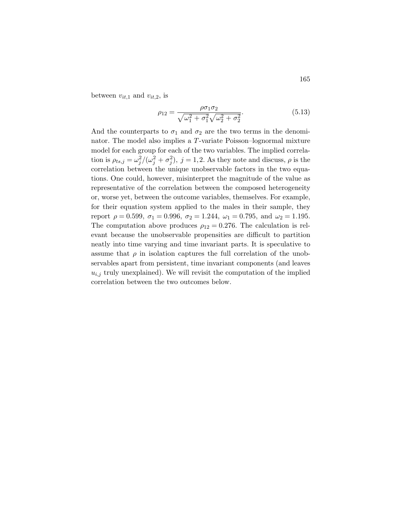between  $v_{it,1}$  and  $v_{it,2}$ , is

$$
\rho_{12} = \frac{\rho \sigma_1 \sigma_2}{\sqrt{\omega_1^2 + \sigma_1^2} \sqrt{\omega_2^2 + \sigma_2^2}}.
$$
\n(5.13)

And the counterparts to  $\sigma_1$  and  $\sigma_2$  are the two terms in the denominator. The model also implies a T-variate Poisson–lognormal mixture model for each group for each of the two variables. The implied correlation is  $\rho_{ts,j} = \omega_j^2/(\omega_j^2 + \sigma_j^2), j = 1,2$ . As they note and discuss,  $\rho$  is the correlation between the unique unobservable factors in the two equations. One could, however, misinterpret the magnitude of the value as representative of the correlation between the composed heterogeneity or, worse yet, between the outcome variables, themselves. For example, for their equation system applied to the males in their sample, they report  $\rho = 0.599$ ,  $\sigma_1 = 0.996$ ,  $\sigma_2 = 1.244$ ,  $\omega_1 = 0.795$ , and  $\omega_2 = 1.195$ . The computation above produces  $\rho_{12} = 0.276$ . The calculation is relevant because the unobservable propensities are difficult to partition neatly into time varying and time invariant parts. It is speculative to assume that  $\rho$  in isolation captures the full correlation of the unobservables apart from persistent, time invariant components (and leaves  $u_{i,j}$  truly unexplained). We will revisit the computation of the implied correlation between the two outcomes below.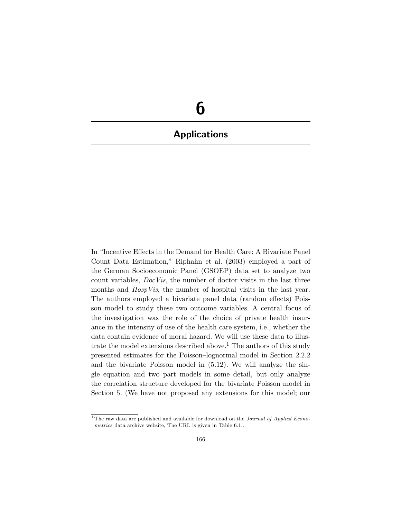# **6 Applications**

In "Incentive Effects in the Demand for Health Care: A Bivariate Panel Count Data Estimation," Riphahn et al. (2003) employed a part of the German Socioeconomic Panel (GSOEP) data set to analyze two count variables, *DocVis*, the number of doctor visits in the last three months and *HospVis*, the number of hospital visits in the last year. The authors employed a bivariate panel data (random effects) Poisson model to study these two outcome variables. A central focus of the investigation was the role of the choice of private health insurance in the intensity of use of the health care system, i.e., whether the data contain evidence of moral hazard. We will use these data to illustrate the model extensions described above.<sup>1</sup> The authors of this study presented estimates for the Poisson–lognormal model in Section 2.2.2 and the bivariate Poisson model in (5.12). We will analyze the single equation and two part models in some detail, but only analyze the correlation structure developed for the bivariate Poisson model in Section 5. (We have not proposed any extensions for this model; our

 $1$ The raw data are published and available for download on the *Journal of Applied Econo*metrics data archive website, The URL is given in Table 6.1..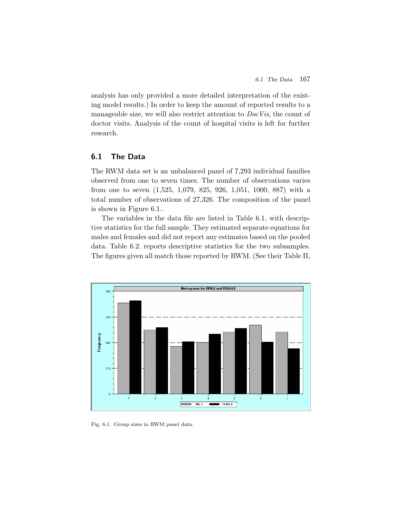analysis has only provided a more detailed interpretation of the existing model results.) In order to keep the amount of reported results to a manageable size, we will also restrict attention to *DocVis*, the count of doctor visits. Analysis of the count of hospital visits is left for further research.

### **6.1 The Data**

The RWM data set is an unbalanced panel of 7,293 individual families observed from one to seven times. The number of observations varies from one to seven (1,525, 1,079, 825, 926, 1,051, 1000, 887) with a total number of observations of 27,326. The composition of the panel is shown in Figure 6.1..

The variables in the data file are listed in Table 6.1. with descriptive statistics for the full sample. They estimated separate equations for males and females and did not report any estimates based on the pooled data. Table 6.2. reports descriptive statistics for the two subsamples. The figures given all match those reported by RWM. (See their Table II,



Fig. 6.1. Group sizes in RWM panel data.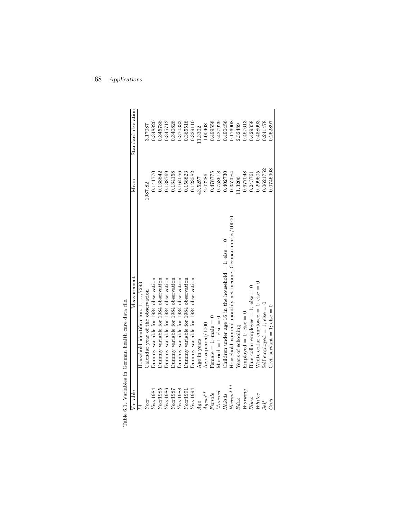| Variable         | Measurement                                               | Mean      | Standard deviation |
|------------------|-----------------------------------------------------------|-----------|--------------------|
|                  | Household identification, 1, , 7293                       |           |                    |
| Year             | Calendar year of the observation                          | 1987.82   | 17087              |
| Year1984         | Dummy variable for 1984 observation                       | 0.141770  | 0.348820           |
| Year1985         | Dummy variable for 1984 observation                       | 0.138842  | 0.345788           |
| Year1986         | Dummy variable for 1984 observation                       | 0.138769  | 0.345712           |
| <b>Year1987</b>  | Dummy variable for 1984 observation                       | 0.134158  | 0.340828           |
| <i>Year</i> 1988 | Dummy variable for 1984 observation                       | 0.164056  | 0.370333           |
| Year1991         | Dummy variable for 1984 observation                       | 0.158823  | 0.365518           |
| Year1994         | Dummy variable for 1984 observation                       | 0.123582  | 0.329110           |
| Age              | Age in years                                              | 43.5257   | 1.3302             |
| $Agesq^{**}$     | Age saquared/1000                                         | 2.02286   | 1.00408            |
| Female           | Female $= 1$ ; male $= 0$                                 | 0.478775  | 0.499558           |
| Married          | Married $= 1$ ; else $= 0$                                | 0.758618  | 0.427929           |
| Hhkids           | Children under age 16 in the household $= 1$ ; else $= 0$ | 0.402730  | 0.490456           |
| $Hhminc***$      | Household nominal monthly net income, German marks/10000  | 0.352084  | 0.176908           |
| Educ             | Years of schooling                                        | 11.3206   | 2.32489            |
| Working          | Employed $= 1$ ; else $= 0$                               | 0.677048  | 0.467613           |
| Bluec            | Blue collar employee $= 1$ ; else $= 0$                   | 0.243761  | 0.429358           |
| Whitec           | White collar employee $= 1$ ; else $= 0$                  | 0.299605  | 0.458093           |
| Self             | Self employed $= 1$ ; else $= 0$                          | 0.0621752 | 0.241478           |
| Sivil            | Civil servant $= 1$ ; else $= 0$                          | 0.0746908 | 0.262897           |

Table 6.1. Variables in German health care data file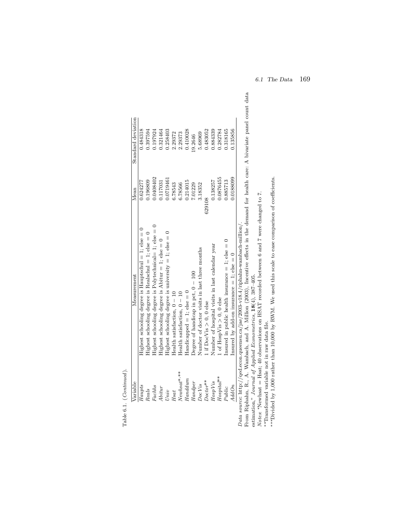| Variable              | Measurement                                                | Mean      | Standard deviation |
|-----------------------|------------------------------------------------------------|-----------|--------------------|
| Haupts                | Highest schooling degree is Hauptschul $= 1$ ; else $= 0$  | 0.624277  | 0.484318           |
| Reals                 | Highest schooling degree is Realschul $= 1$ ; else $= 0$   | 0.196809  | 0.397594           |
| Fachhs                | Highest schooling degree is Polytechnical = 1; else = $0$  | 0.0408402 | 0.197924           |
| Abitur                | Highest schooling degree is Abitur $= 1$ ; else $= 0$      | 0.117031  | 0.321464           |
| Univ                  | Highest schooling degree is university $= 1$ ; else $= 0$  | 0.0719461 | 0.258403           |
| $H$ s at              | Health satisfaction, $0 - 10$                              | 6.78543   | 2.29372            |
| $Neubsat^{*,**}$      | Health satisfaction, $0 - 10$                              | 6.78566   | 2.29373            |
| Handdum               | Handicapped $= 1$ ; else $= 0$                             | 0.214015  | 0.410028           |
| Handper               | Degree of handicap in pct, $0 - 100$                       | 7.01229   | 19.2646            |
| Doc Vis               | Number of doctor visits in last three months               | 3.18352   | 5.68969            |
| $Doctor^*$            | $\lim_{t \to \infty} \frac{1}{t}$ if DocVis $> 0$ , 0 else | 629108    | 0.483052           |
| HospVis               | Number of hospital visits in last calendar year            | 0.138257  | 0.884339           |
| Hospita <sup>rx</sup> | 1 of HospVis $> 0$ , 0 else                                | 0.0876455 | 0.282784           |
| Public                | Insured in public health insurance $= 1$ ; else $= 0$      | 0.885713  | 0.318165           |
| Add <sub>On</sub>     | Insured by add-on insurance $= 1$ ; else $= 0$             | 0.0188099 | 135856             |

| ĭ |
|---|
| c |
|   |
|   |
|   |
|   |

Data source: http://qed.econ.queensu.ca/jae/2003-v18.4/riphahn-wambach-million/.<br>From Riphahn, R., A. Wambach, and A. Million (2003), Incentive effects in the demand for health care: A bivariate panel count data<br>estimatio From Riphahn, R., A. Wambach, and A. Million (2003), Incentive effects in the demand for health care: A bivariate panel count data estimation," Journal of Applied Econometrics, **18**(4), 387–405.

Notes: \*Newhsat = Hsat; 40 observations on HSAT recorded between 6 and 7 were changed to 7.

∗∗Transformed variable not in raw data file.

∗∗∗Divided by 1,000 rather than 10,000 by RWM. We used this scale to ease comparison of coefficients.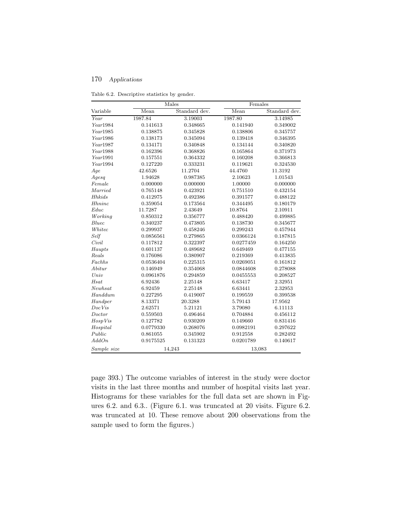### 170 *Applications*

| Table 6.2. Descriptive statistics by gender. |  |  |
|----------------------------------------------|--|--|
|                                              |  |  |

|               |           | Males         | Females   |               |
|---------------|-----------|---------------|-----------|---------------|
| Variable      | Mean      | Standard dev. | Mean      | Standard dev. |
| Year          | 1987.84   | 3.19003       | 1987.80   | 3.14985       |
| Year1984      | 0.141613  | 0.348665      | 0.141940  | 0.349002      |
| Year1985      | 0.138875  | 0.345828      | 0.138806  | 0.345757      |
| Year1986      | 0.138173  | 0.345094      | 0.139418  | 0.346395      |
| Year1987      | 0.134171  | 0.340848      | 0.134144  | 0.340820      |
| Year1988      | 0.162396  | 0.368826      | 0.165864  | 0.371973      |
| Year1991      | 0.157551  | 0.364332      | 0.160208  | 0.366813      |
| Year1994      | 0.127220  | 0.333231      | 0.119621  | 0.324530      |
| Aqe           | 42.6526   | 11.2704       | 44.4760   | 11.3192       |
| Aqesq         | 1.94628   | 0.987385      | 2.10623   | 1.01543       |
| Female        | 0.000000  | 0.000000      | 1.00000   | 0.000000      |
| Married       | 0.765148  | 0.423921      | 0.751510  | 0.432154      |
| <b>Hhkids</b> | 0.412975  | 0.492386      | 0.391577  | 0.488122      |
| Hhninc        | 0.359054  | 0.173564      | 0.344495  | 0.180179      |
| Educ          | 11.7287   | 2.43649       | 10.8764   | 2.10911       |
| Working       | 0.850312  | 0.356777      | 0.488420  | 0.499885      |
| Bluec         | 0.340237  | 0.473805      | 0.138730  | 0.345677      |
| Whitec        | 0.299937  | 0.458246      | 0.299243  | 0.457944      |
| Self          | 0.0856561 | 0.279865      | 0.0366124 | 0.187815      |
| Civil         | 0.117812  | 0.322397      | 0.0277459 | 0.164250      |
| Haupts        | 0.601137  | 0.489682      | 0.649469  | 0.477155      |
| Reals         | 0.176086  | 0.380907      | 0.219369  | 0.413835      |
| Fachhs        | 0.0536404 | 0.225315      | 0.0269051 | 0.161812      |
| Abitur        | 0.146949  | 0.354068      | 0.0844608 | 0.278088      |
| Univ          | 0.0961876 | 0.294859      | 0.0455553 | 0.208527      |
| Hsat          | 6.92436   | 2.25148       | 6.63417   | 2.32951       |
| Newhsat       | 6.92459   | 2.25148       | 6.63441   | 2.32953       |
| Handdum       | 0.227295  | 0.419007      | 0.199559  | 0.399538      |
| Handper       | 8.13371   | 20.3288       | 5.79143   | 17.9562       |
| DocVis        | 2.62571   | 5.21121       | 3.79080   | 6.11113       |
| Doctor        | 0.559503  | 0.496464      | 0.704884  | 0.456112      |
| HospVis       | 0.127782  | 0.930209      | 0.149660  | 0.831416      |
| Hospital      | 0.0779330 | 0.268076      | 0.0982191 | 0.297622      |
| Public        | 0.861055  | 0.345902      | 0.912558  | 0.282492      |
| AddOn         | 0.9175525 | 0.131323      | 0.0201789 | 0.140617      |
| Sample size   |           | 14,243        | 13,083    |               |

page 393.) The outcome variables of interest in the study were doctor visits in the last three months and number of hospital visits last year. Histograms for these variables for the full data set are shown in Figures 6.2. and 6.3.. (Figure 6.1. was truncated at 20 visits. Figure 6.2. was truncated at 10. These remove about 200 observations from the sample used to form the figures.)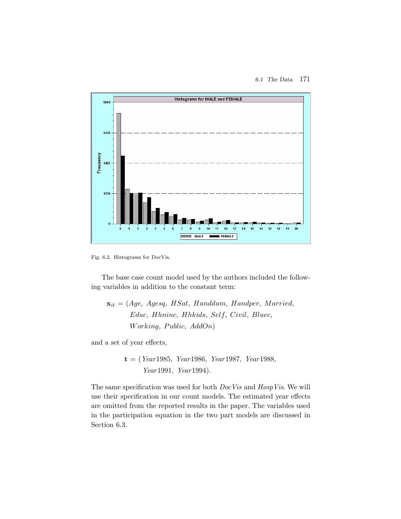*6.1 The Data* 171



Fig. 6.2. Histograms for DocVis.

The base case count model used by the authors included the following variables in addition to the constant term:

 $\mathbf{x}_{it} = (Age, \textit{Agesq}, \textit{HSat}, \textit{Handdum}, \textit{Handper}, \textit{Married},$ Educ, Hhninc, Hhkids, Self, Civil, Bluec,  $Working, Public, AddOn)$ 

and a set of year effects,

**t** = (*Year*1985, *Year*1986, *Year*1987, *Year*1988, *Year*1991, *Year*1994).

The same specification was used for both *DocVis* and *HospVis*. We will use their specification in our count models. The estimated year effects are omitted from the reported results in the paper. The variables used in the participation equation in the two part models are discussed in Section 6.3.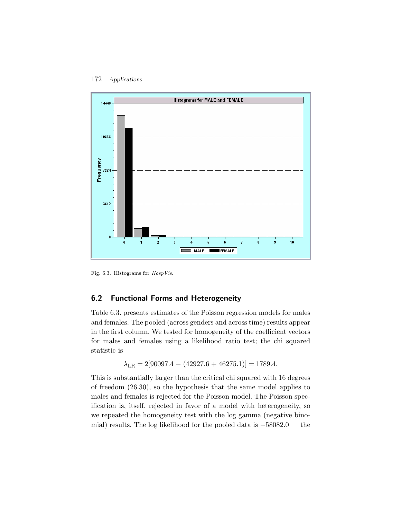

172 *Applications*

Fig. 6.3. Histograms for  $HospVis.$ 

### **6.2 Functional Forms and Heterogeneity**

Table 6.3. presents estimates of the Poisson regression models for males and females. The pooled (across genders and across time) results appear in the first column. We tested for homogeneity of the coefficient vectors for males and females using a likelihood ratio test; the chi squared statistic is

$$
\lambda_{LR} = 2[90097.4 - (42927.6 + 46275.1)] = 1789.4.
$$

This is substantially larger than the critical chi squared with 16 degrees of freedom (26.30), so the hypothesis that the same model applies to males and females is rejected for the Poisson model. The Poisson specification is, itself, rejected in favor of a model with heterogeneity, so we repeated the homogeneity test with the log gamma (negative binomial) results. The log likelihood for the pooled data is −58082.0 — the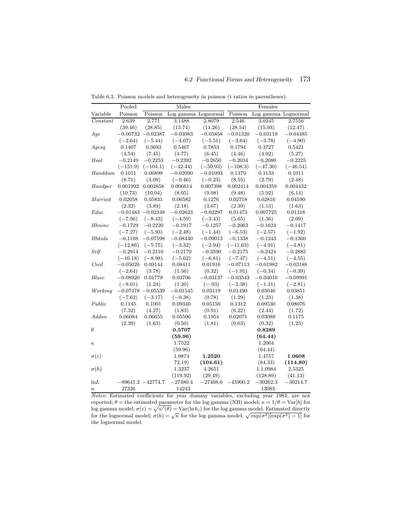|                       | Pooled     |                     | Males               |            |            | Females             |            |
|-----------------------|------------|---------------------|---------------------|------------|------------|---------------------|------------|
| Variable              | Poisson    | Poisson             | Log gamma Lognormal |            | Poisson    | Log gamma Lognormal |            |
| Constant              | 2.639      | 2.771               | 3.1488              | 2.8079     | 2.546      | 3.0245              | 2.7556     |
|                       | (39.46)    | (28.85)             | (13.74)             | (11.26)    | (28.54)    | (15.03)             | (12.47)    |
| Age                   | $-0.00732$ | $-0.02387$          | $-0.03983$          | $-0.05858$ | $-0.01320$ | $-0.03119$          | $-0.04485$ |
|                       | $(-2.64)$  | $(-5.44)$           | $(-4.07)$           | $(-5.51)$  | $(-3.64)$  | $(-3.78)$           | $(-4.90)$  |
| Aqesq                 | 0.1407     | 0.3693              | 0.5467              | 0.7853     | 0.1794     | 0.3727              | 0.5421     |
|                       | (4.54)     | (7.45)              | (4.77)              | (6.45)     | (4.46)     | (4.02)              | (5.27)     |
| Hsat                  | $-0.2149$  | $-0.2253$           | $-0.2392$           | $-0.2650$  | $-0.2034$  | $-0.2080$           | $-0.2225$  |
|                       | $(-151.9)$ | $(-104.1)$          | $(-42.44)$          | $(-50.93)$ | $(-108.3)$ | $(-47.30)$          | $(-46.54)$ |
| Handdum               | 0.1011     | 0.06899             | $-0.02090$          | $-0.01093$ | 0.1379     | 0.1133              | 0.1011     |
|                       | (8.71)     | (4.09)              | $(-0.46)$           | $(-0.23)$  | (8.55)     | (2.79)              | (2.48)     |
| Handper               | 0.001992   | 0.002858            | 0.006614            | 0.007398   | 0.002414   | 0.004359            | 0.004432   |
|                       | (10.73)    | (10.04)             | (8.05)              | (9.08)     | (9.48)     | (5.92)              | (6.14)     |
| Married               | 0.02058    | 0.05831             | 0.06582             | 0.1276     | 0.02718    | 0.02816             | 0.04590    |
|                       | (2.32)     | (3.89)              | (2.18)              | (3.67)     | (2.39)     | (1.13)              | (1.63)     |
| Educ                  | $-0.01483$ | $-0.02348$          | $-0.02623$          | $-0.02297$ | 0.01473    | 0.007725            | 0.01318    |
|                       | $(-7.96)$  | $(-8.43)$           | $(-4.59)$           | $(-3.43)$  | (5.65)     | (1.36)              | (2.09)     |
| Hhninc                | $-0.1729$  | $-0.2220$           | $-0.1917$           | $-0.1257$  | $-0.2063$  | $-0.1624$           | $-0.1417$  |
|                       | $(-7.27)$  | $(-5.93)$           | $(-2.48)$           | $(-1.44)$  | $(-6.53)$  | $(-2.57)$           | $(-1.92)$  |
| $H$ h $kids$          | $-0.1108$  | $-0.07598$          | $-0.08440$          | $-0.09013$ | $-0.1338$  | $-0.1243$           | $-0.1360$  |
|                       | $(-12.86)$ | $(-5.75)$           | $(-3.32)$           | $(-2.94)$  | $(-11.63)$ | $(-4.91)$           | $(-4.81)$  |
| Self                  | $-0.2914$  | $-0.2110$           | $-0.2179$           | $-0.3590$  | $-0.2175$  | $-0.2424$           | $-0.2885$  |
|                       | $(-16.18)$ | $(-8.98)$           | $(-5.02)$           | $(-6.81)$  | $(-7.47)$  | $(-4.51)$           | $(-4.55)$  |
| Civil                 | $-0.05026$ | 0.09144             | 0.08411             | 0.01916    | $-0.07113$ | $-0.01982$          | $-0.03188$ |
|                       | $(-2.64)$  | (3.78)              | (1.56)              | (0.32)     | $(-1.91)$  | $(-0.34)$           | $(-0.39)$  |
| Bluec                 | $-0.08920$ | 0.01779             | 0.03706             | $-0.03137$ | $-0.03543$ | $-0.04010$          | $-0.09991$ |
|                       | $(-9.01)$  | (1.24)              | (1.20)              | $(-.93)$   | $(-2.38)$  | $(-1.31)$           | $(-2.81)$  |
| Working               | $-0.07478$ | $-0.05539$          | $-0.01545$          | 0.03119    | 0.01490    | 0.03046             | 0.03851    |
|                       | $(-7.62)$  | $(-3.17)$           | $(-0.38)$           | (0.78)     | (1.29)     | (1.23)              | (1.38)     |
| Public                | 0.1145     | $0.1001\,$          | 0.09340             | 0.05150    | 0.1312     | 0.09530             | 0.08076    |
|                       | (7.32)     | (4.27)              | (1.83)              | (0.91)     | (6.22)     | (2.44)              | (1.72)     |
| Addon                 | 0.06084    | 0.06655             | 0.05506             | 0.1954     | 0.02071    | 0.03088             | 0.1175     |
|                       | (2.39)     | (1.63)              | (0.50)              | (1.81)     | (0.63)     | (0.32)              | (1.25)     |
| $\theta$              |            |                     | 0.5707              |            |            | 0.8289              |            |
|                       |            |                     | (59.96)             |            |            | (64.44)             |            |
| $\kappa$              |            |                     | 1.7522              |            |            | 1.2064              |            |
|                       |            |                     | (59.96)             |            |            | (64.44)             |            |
| $\sigma(\varepsilon)$ |            |                     | 1.9874              | 1.2520     |            | 1.4757              | 1.0608     |
|                       |            |                     | 72.19)              | (104.61)   |            | (84.33)             | (114.80)   |
| $\sigma(h)$           |            |                     | 1.3237              | 4.2651     |            | 1.1.0984            | 2.5325     |
|                       |            |                     | (119.92)            | (29.49)    |            | (128.89)            | (41.13)    |
| lnL                   |            | $-89641.2 -42774.7$ | $-27480.4$          | $-27408.6$ | $-45900.2$ | $-30262.3$          | $-30214.7$ |
| $\, n$                | 27326      |                     | 14243               |            |            | 13083               |            |

Table 6.3. Poisson models and heterogeneity in poisson (t ratios in parentheses).

Notes: Estimated coefficients for year dummy variables, excluding year 1984, are not reported;  $\theta =$  the estimated parameter for the log gamma (NB) model;  $\kappa = 1/\theta = \text{Var}[h]$  for log gamma model;  $\sigma(\varepsilon) = \sqrt{\psi'(\theta)} = \text{Var}(\ln h_i)$  for the log gamma model. Estimated directly for the lognormal model;  $\sigma(h) = \sqrt{\kappa}$  for the log gamma model,  $\sqrt{\exp(\sigma^2)[\exp(\sigma^2) - 1]}$  for the lognormal model.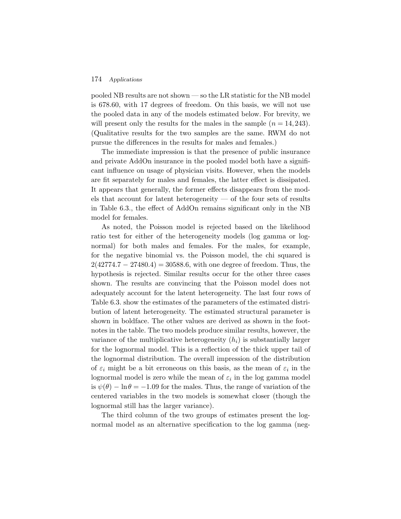#### 174 *Applications*

pooled NB results are not shown — so the LR statistic for the NB model is 678.60, with 17 degrees of freedom. On this basis, we will not use the pooled data in any of the models estimated below. For brevity, we will present only the results for the males in the sample  $(n = 14,243)$ . (Qualitative results for the two samples are the same. RWM do not pursue the differences in the results for males and females.)

The immediate impression is that the presence of public insurance and private AddOn insurance in the pooled model both have a significant influence on usage of physician visits. However, when the models are fit separately for males and females, the latter effect is dissipated. It appears that generally, the former effects disappears from the models that account for latent heterogeneity — of the four sets of results in Table 6.3., the effect of AddOn remains significant only in the NB model for females.

As noted, the Poisson model is rejected based on the likelihood ratio test for either of the heterogeneity models (log gamma or lognormal) for both males and females. For the males, for example, for the negative binomial vs. the Poisson model, the chi squared is  $2(42774.7 - 27480.4) = 30588.6$ , with one degree of freedom. Thus, the hypothesis is rejected. Similar results occur for the other three cases shown. The results are convincing that the Poisson model does not adequately account for the latent heterogeneity. The last four rows of Table 6.3. show the estimates of the parameters of the estimated distribution of latent heterogeneity. The estimated structural parameter is shown in boldface. The other values are derived as shown in the footnotes in the table. The two models produce similar results, however, the variance of the multiplicative heterogeneity  $(h_i)$  is substantially larger for the lognormal model. This is a reflection of the thick upper tail of the lognormal distribution. The overall impression of the distribution of  $\varepsilon_i$  might be a bit erroneous on this basis, as the mean of  $\varepsilon_i$  in the lognormal model is zero while the mean of  $\varepsilon_i$  in the log gamma model is  $\psi(\theta) - \ln \theta = -1.09$  for the males. Thus, the range of variation of the centered variables in the two models is somewhat closer (though the lognormal still has the larger variance).

The third column of the two groups of estimates present the lognormal model as an alternative specification to the log gamma (neg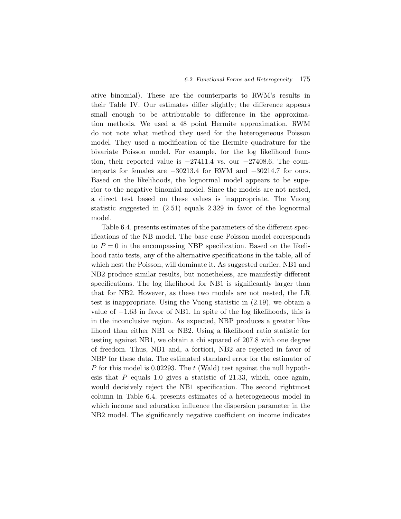ative binomial). These are the counterparts to RWM's results in their Table IV. Our estimates differ slightly; the difference appears small enough to be attributable to difference in the approximation methods. We used a 48 point Hermite approximation. RWM do not note what method they used for the heterogeneous Poisson model. They used a modification of the Hermite quadrature for the bivariate Poisson model. For example, for the log likelihood function, their reported value is −27411.4 vs. our −27408.6. The counterparts for females are −30213.4 for RWM and −30214.7 for ours. Based on the likelihoods, the lognormal model appears to be superior to the negative binomial model. Since the models are not nested, a direct test based on these values is inappropriate. The Vuong statistic suggested in (2.51) equals 2.329 in favor of the lognormal model.

Table 6.4. presents estimates of the parameters of the different specifications of the NB model. The base case Poisson model corresponds to  $P = 0$  in the encompassing NBP specification. Based on the likelihood ratio tests, any of the alternative specifications in the table, all of which nest the Poisson, will dominate it. As suggested earlier, NB1 and NB2 produce similar results, but nonetheless, are manifestly different specifications. The log likelihood for NB1 is significantly larger than that for NB2. However, as these two models are not nested, the LR test is inappropriate. Using the Vuong statistic in (2.19), we obtain a value of −1.63 in favor of NB1. In spite of the log likelihoods, this is in the inconclusive region. As expected, NBP produces a greater likelihood than either NB1 or NB2. Using a likelihood ratio statistic for testing against NB1, we obtain a chi squared of 207.8 with one degree of freedom. Thus, NB1 and, a fortiori, NB2 are rejected in favor of NBP for these data. The estimated standard error for the estimator of P for this model is 0.02293. The t (Wald) test against the null hypothesis that  $P$  equals 1.0 gives a statistic of 21.33, which, once again, would decisively reject the NB1 specification. The second rightmost column in Table 6.4. presents estimates of a heterogeneous model in which income and education influence the dispersion parameter in the NB2 model. The significantly negative coefficient on income indicates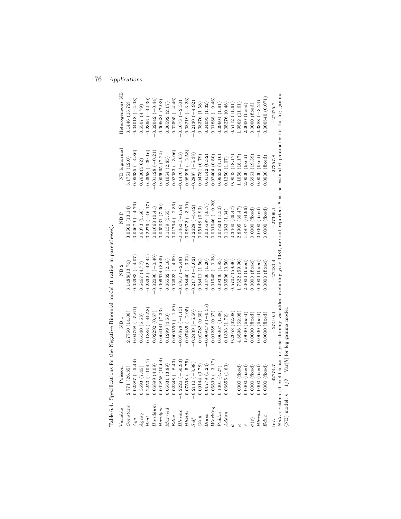| Variable                                                                                           | Poisson                                                                    | $\frac{B}{Z}$       | NB 2               | NB P               | NB lognormal       | Heterogeneous NB   |
|----------------------------------------------------------------------------------------------------|----------------------------------------------------------------------------|---------------------|--------------------|--------------------|--------------------|--------------------|
| Constant                                                                                           | 2.771 (26.85)                                                              | 2.7760 (14.06)      | 3.1488(13.74)      | 3.0500(13.14)      | 3.1751 (12.0)      | 3.1446 (13.72)     |
| Age                                                                                                | $(-5.44)$<br>$-0.02387$                                                    | $0.04768 (-5.61)$   | $-0.03983(-4.07)$  | $-0.04679(-4.76)$  | $-0.05635 (-4.86)$ | $-0.04018 (-4.08)$ |
| Agesq                                                                                              | (7.45)<br>0.3693                                                           | 0.6340(6.58)        | 0.5467(4.77)       | 0.6373(5.66)       | 0.7600(5.62)       | 0.5507(4.79)       |
| $\mathcal{H} sat$                                                                                  | $(-104.1)$<br>0.2253                                                       | $0.1886 (-44.58)$   | $-0.2392(-42.44)$  | $0.2279(-46.17)$   | $-0.2558(-39.16)$  | $-0.2396(-42.30)$  |
| Handdum                                                                                            | (4.09)<br>0.06899                                                          | 0.02292(0.67)       | $-0.02090(-0.46)$  | 0.01660(0.41)      | $-0.01128(-0.21)$  | $-0.02042(-0.44)$  |
| H and per                                                                                          | 8(10.04)<br>0.002858                                                       | 0.004141(7.33)      | 0.006614(8.05)     | 0.005031(7.30)     | 0.006995(7.22)     | 0.006631(7.93)     |
|                                                                                                    | (3.89)                                                                     | 0.1299(4.50)        | 0.06582(2.18)      | 0.1139(3.55)       | 0.1054(2.83)       | 0.06592(2.17)      |
| $\begin{array}{l} \displaystyle Maxried \\ \displaystyle Educ \\ \displaystyle Hhninc \end{array}$ | $(-8.43)$<br>$\begin{array}{r} 0.05831 \\ -0.02348 \\ -0.2220 \end{array}$ | $(0.009550(-1.80))$ | $-0.02623(-4.59)$  | $-0.01794(-2.86)$  | $-0.02083(-3.06)$  | $-0.02595(-4.46)$  |
|                                                                                                    | $(-50.93)$                                                                 | $0.07878(-1.13)$    | $-0.1917(-2.48)$   | $-0.1462(-1.78)$   | $-0.1470(-1.63)$   | $-0.1673(-2.30)$   |
| $\label{thm:th} Hhkids$                                                                            | $(-5.75)$<br>$-0.07598$                                                    | $-0.07435(-2.95)$   | $-0.08440(-3.32)$  | $-0.08672(-3.10)$  | $-0.08395(-2.58)$  | $-0.08219(-3.23)$  |
| $Self$                                                                                             | $(-8.98)$<br>$-0.2110$                                                     | $-0.2439(-5.56)$    | $-0.2179(-5.02)$   | $-0.2628(-5.42)$   | $-0.2887(-5.38)$   | $-0.2130(-4.92)$   |
| Civil                                                                                              | (3.78)                                                                     | 0.02782(0.60)       | 0.08411(1.56)      | 0.05148(0.93)      | 0.04781 (0.79)     | 0.08376(1.58)      |
|                                                                                                    | (1.24)<br>$\begin{array}{c} 0.0014 \\ 67710.0 \\ -0.05539 \\ \end{array}$  | $(0.009478(-0.35))$ | 0.03706(1.20)      | 0.005597(0.17)     | 0.01142(0.32)      | 0.04093(1.32)      |
| $\begin{array}{c} Bluec \\ Working \end{array}$                                                    | $(-3.17)$                                                                  | 0.01258(0.37)       | $-0.01545 (-0.38)$ | $-0.001046(-0.20)$ | 0.02404(0.50)      | $-0.01888 (-0.46)$ |
| Public                                                                                             | (4.27)                                                                     | 0.06067(1.38)       | 0.09340(1.83)      | 0.07823(1.50)      | 0.06632(1.16)      | 0.09601(1.91)      |
| $\label{thm:1} Add on$                                                                             | (1.63)<br>0.06655                                                          | 0.1393(1.72)        | 0.05506(0.50)      | 0.1363(1.34)       | 0.1250(1.07)       | 0.05276(0.48)      |
|                                                                                                    |                                                                            | 0.2058(62.08)       | 0.5707 (59.96)     | 0.3460(36.47)      | 0.9043(18.17)      | 0.5112(11.61)      |
|                                                                                                    | (fixed)<br>0.00000                                                         | .8598(62.08)        | 1.7522 (59.96)     | 2.8905 (36.47)     | .1058(18.17)       | 1.9562 (11.61)     |
|                                                                                                    | (fixed)<br>$0.0000$<br>$0.0000$                                            | $.0000$ (fixed)     | $2.0000$ (fixed)   | 1.4897 (64.96)     | $2.0000$ (fixed)   | $2.0000$ (fixed)   |
| $\sigma(\varepsilon)$                                                                              | (fixed)                                                                    | $0.0000$ (fixed)    | $0.0000$ (fixed)   | $0.0000$ (fixed)   | 0.6961(19.39)      | $0.0000$ (fixed)   |
| Hhninc                                                                                             | (fixed)<br>0.0000                                                          | $0.0000$ (fixed)    | $0.0000$ (fixed)   | $0.0000$ (fixed)   | $0.0000$ (fixed)   | $-0.3388(-3.24)$   |
| Educ                                                                                               | (fixed)<br>0.0000                                                          | $0.0000$ (fixed)    | $0.0000$ (fixed)   | $0.0000$ (fixed)   | $0.0000$ (fixed)   | 0.000540(0.071)    |
| ln L                                                                                               | $-42774.7$                                                                 | $-27410.0$          | 27480.4            | $-27306.1$         | $-27357.8$         | 27475.7            |

Table 6.4. Specifications for the Negative Binomial model (t ratios in parentheses).

176 *Applications*

(NB) model;  $\kappa=1/\theta=\mathrm{Var}[h]$  for log gamma model. (NB) model;  $\kappa = 1/\theta = \text{Var}[h]$  for log gamma model.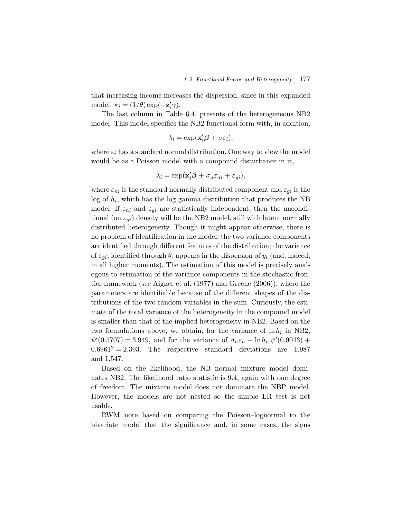that increasing income increases the dispersion, since in this expanded model,  $\kappa_i = (1/\theta) \exp(-\mathbf{z}_i' \gamma)$ .

The last column in Table 6.4. presents of the heterogeneous NB2 model. This model specifies the NB2 functional form with, in addition,

$$
\lambda_i = \exp(\mathbf{x}_i'\boldsymbol{\beta} + \sigma \varepsilon_i),
$$

where  $\varepsilon_i$  has a standard normal distribution. One way to view the model would be as a Poisson model with a compound disturbance in it,

$$
\lambda_i = \exp(\mathbf{x}_i'\boldsymbol{\beta} + \sigma_n \varepsilon_{ni} + \varepsilon_{gi}),
$$

where  $\varepsilon_{ni}$  is the standard normally distributed component and  $\varepsilon_{qi}$  is the log of  $h_i$ , which has the log gamma distribution that produces the NB model. If  $\varepsilon_{ni}$  and  $\varepsilon_{qi}$  are statistically independent, then the unconditional (on  $\varepsilon_{qi}$ ) density will be the NB2 model, still with latent normally distributed heterogeneity. Though it might appear otherwise, there is no problem of identification in the model; the two variance components are identified through different features of the distribution; the variance of  $\varepsilon_{gi}$ , identified through  $\theta$ , appears in the dispersion of  $y_i$  (and, indeed, in all higher moments). The estimation of this model is precisely analogous to estimation of the variance components in the stochastic frontier framework (see Aigner et al. (1977) and Greene (2006)), where the parameters are identifiable because of the different shapes of the distributions of the two random variables in the sum. Curiously, the estimate of the total variance of the heterogeneity in the compound model is smaller than that of the implied heterogeneity in NB2. Based on the two formulations above, we obtain, for the variance of  $\ln h_i$  in NB2,  $\psi'(0.5707) = 3.949$ , and for the variance of  $\sigma_n \varepsilon_n + \ln h_i$ ,  $\psi'(0.9043)$  +  $0.6961<sup>2</sup> = 2.393$ . The respective standard deviations are 1.987 and 1.547.

Based on the likelihood, the NB normal mixture model dominates NB2. The likelihood ratio statistic is 9.4, again with one degree of freedom. The mixture model does not dominate the NBP model. However, the models are not nested so the simple LR test is not usable.

RWM note based on comparing the Poisson–lognormal to the bivariate model that the significance and, in some cases, the signs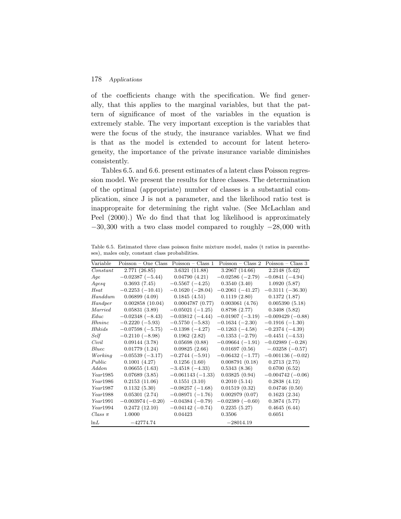### 178 *Applications*

of the coefficients change with the specification. We find generally, that this applies to the marginal variables, but that the pattern of significance of most of the variables in the equation is extremely stable. The very important exception is the variables that were the focus of the study, the insurance variables. What we find is that as the model is extended to account for latent heterogeneity, the importance of the private insurance variable diminishes consistently.

Tables 6.5. and 6.6. present estimates of a latent class Poisson regression model. We present the results for three classes. The determination of the optimal (appropriate) number of classes is a substantial complication, since J is not a parameter, and the likelihood ratio test is inappropraite for determining the right value. (See McLachlan and Peel (2000).) We do find that that log likelihood is approximately  $-30,300$  with a two class model compared to roughly  $-28,000$  with

Table 6.5. Estimated three class poisson finite mixture model, males (t ratios in parentheses), males only, constant class probabilities.

| Variable      | $Poisson - One Class$ | $Poisson - Class 1$ | Poisson – Class $2$ | $Poisson - Class 3$ |
|---------------|-----------------------|---------------------|---------------------|---------------------|
| Constant      | 2.771(26.85)          | 3.6321(11.88)       | 3.2967(14.66)       | 2.2148(5.42)        |
| Age           | $-0.02387(-5.44)$     | 0.04790(4.21)       | $-0.02586(-2.79)$   | $-0.0841(-4.94)$    |
| Aqesq         | 0.3693(7.45)          | $-0.5567(-4.25)$    | 0.3540(3.40)        | 1.0920(5.87)        |
| Hsat          | $-0.2253(-10.41)$     | $-0.1620(-28.04)$   | $-0.2061(-41.27)$   | $-0.3111(-36.30)$   |
| Handdum       | 0.06899(4.09)         | 0.1845(4.51)        | 0.1119(2.80)        | 0.1372(1.87)        |
| Handper       | 0.002858(10.04)       | 0.0004787(0.77)     | 0.003061(4.76)      | 0.005390(5.18)      |
| Married       | 0.05831(3.89)         | $-0.05021(-1.25)$   | 0.8798(2.77)        | 0.3408(5.82)        |
| Educ          | $-0.02348(-8.43)$     | $-0.03812(-4.44)$   | $-0.01907(-3.19)$   | $-0.009429(-0.88)$  |
| Hhninc        | $-0.2220(-5.93)$      | $-0.5750(-5.83)$    | $-0.1634(-2.30)$    | $-0.1916(-1.30)$    |
| <i>Hhkids</i> | $-0.07598(-5.75)$     | $-0.1398(-4.27)$    | $-0.1263(-4.58)$    | $-0.2374(-4.39)$    |
| Self          | $-0.2110(-8.98)$      | 0.1962(2.82)        | $-0.1353(-2.79)$    | $-0.4451(-4.53)$    |
| Civil         | 0.09144(3.78)         | 0.05698(0.88)       | $-0.09664(-1.91)$   | $-0.02989(-0.28)$   |
| Bluec         | 0.01779(1.24)         | 0.09825(2.66)       | 0.01697(0.56)       | $-.03258(-0.57)$    |
| Working       | $-0.05539(-3.17)$     | $-0.2744(-5.91)$    | $-0.06432(-1.77)$   | $-0.001136(-0.02)$  |
| Public        | 0.1001(4.27)          | 0.1256(1.60)        | 0.008791(0.18)      | 0.2713(2.75)        |
| Addon         | 0.06655(1.63)         | $-3.4518(-4.33)$    | 0.5343(8.36)        | 0.6700(6.52)        |
| Year1985      | 0.07689(3.85)         | $-0.061143(-1.33)$  | 0.03825(0.94)       | $-0.004742(-0.06)$  |
| Year1986      | 0.2153(11.06)         | 0.1551(3.10)        | 0.2010(5.14)        | 0.2838(4.12)        |
| Year1987      | 0.1132(5.30)          | $-0.08257(-1.68)$   | 0.01519(0.32)       | 0.04746(0.50)       |
| Year1988      | 0.05301(2.74)         | $-0.08971(-1.76)$   | 0.002979(0.07)      | 0.1623(2.34)        |
| Year1991      | $-0.003974(-0.20)$    | $-0.04384(-0.79)$   | $-0.02389(-0.60)$   | 0.3874(5.77)        |
| Year1994      | 0.2472(12.10)         | $-0.04142(-0.74)$   | 0.2235(5.27)        | 0.4645(6.44)        |
| $Class \pi$   | 1.0000                | 0.04423             | 0.3506              | 0.6051              |
| $\ln L$       | $-42774.74$           |                     | $-28014.19$         |                     |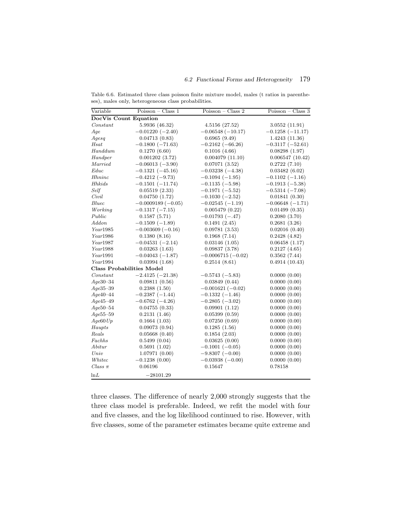Table 6.6. Estimated three class poisson finite mixture model, males (t ratios in parentheses), males only, heterogeneous class probabilities.

| Variable      | Poisson $-$ Class 1              | $Poisson - Class 2$ | $Poisson - Class 3$  |
|---------------|----------------------------------|---------------------|----------------------|
|               | DocVis Count Equation            |                     |                      |
| Constant      | 5.9936 (46.32)                   | 4.5156(27.52)       | 3.0552(11.91)        |
| Aqe           | $-0.01220(-2.40)$                | $-0.06548(-10.17)$  | $-0.1258(-11.17)$    |
| Aqesq         | 0.04713(0.83)                    | 0.6965(9.49)        | 1.4243(11.36)        |
| <b>Hsat</b>   | $-0.1800$ ( $-71.63$ )           | $-0.2162(-66.26)$   | $-0.3117$ $(-52.61)$ |
| Handdum       | 0.1270(6.60)                     | 0.1016(4.66)        | 0.08298(1.97)        |
| Handper       | 0.001202(3.72)                   | 0.004079(11.10)     | 0.006547(10.42)      |
| Married       | $-0.06013(-3.90)$                | 0.07071(3.52)       | 0.2722(7.10)         |
| Educ          | $-0.1321(-45.16)$                | $-0.03238(-4.38)$   | 0.03482(6.02)        |
| Hhninc        | $-0.4212(-9.73)$                 | $-0.1094(-1.95)$    | $-0.1102(-1.16)$     |
| <b>Hhkids</b> | $-0.1501(-11.74)$                | $-0.1135(-5.98)$    | $-0.1913(-5.38)$     |
| Self          | 0.05519(2.33)                    | $-0.1971(-5.52)$    | $-0.5314(-7.08)$     |
| Civil         | 0.04750(1.72)                    | $-0.1030(-2.52)$    | 0.01841(0.30)        |
| Bluec         | $-0.0009189(-0.05)$              | $-0.02545(-1.19)$   | $-0.06648(-1.71)$    |
| Working       | $-0.1317(-7.15)$                 | 0.005479(0.22)      | 0.01499(0.35)        |
| Public        | 0.1587(5.71)                     | $-0.01793(-.47)$    | 0.2080(3.70)         |
| Addon         | $-0.1509(-1.89)$                 | 0.1491(2.45)        | 0.2681(3.26)         |
| Year1985      | $-0.003609(-0.16)$               | 0.09781(3.53)       | 0.02016(0.40)        |
| Year1986      | 0.1380(8.16)                     | 0.1968(7.14)        | 0.2428(4.82)         |
| Year1987      | $-0.04531(-2.14)$                | 0.03146(1.05)       | 0.06458(1.17)        |
| Year1988      | 0.03263(1.63)                    | 0.09837(3.78)       | 0.2127(4.65)         |
| Year1991      | $-0.04043(-1.87)$                | $-0.0006715(-0.02)$ | 0.3562(7.44)         |
| Year1994      | 0.03994(1.68)                    | 0.2514(8.61)        | 0.4914(10.43)        |
|               | <b>Class Probabilities Model</b> |                     |                      |
| Constant      | $-2.4125(-21.38)$                | $-0.5743(-5.83)$    | 0.0000(0.00)         |
| $Age30-34$    | 0.09811(0.56)                    | 0.03849(0.44)       | 0.0000(0.00)         |
| $Aqe35-39$    | 0.2388(1.50)                     | $-0.001621(-0.02)$  | 0.0000(0.00)         |
| $Aqe40-44$    | $-0.2387(-1.44)$                 | $-0.1332(-1.46)$    | 0.0000(0.00)         |
| $Aqe45-49$    | $-0.6762(-4.26)$                 | $-0.2805(-3.02)$    | 0.0000(0.00)         |
| $Aqe50-54$    | 0.04755(0.33)                    | 0.09901(1.12)       | 0.0000(0.00)         |
| $Aqe55-59$    | 0.2131(1.46)                     | 0.05399(0.59)       | 0.0000(0.00)         |
| A q e 60 Up   | 0.1664(1.03)                     | 0.07250(0.69)       | 0.0000(0.00)         |
| Haupts        | 0.09073(0.94)                    | 0.1285(1.56)        | 0.0000(0.00)         |
| Reals         | 0.05668(0.40)                    | 0.1854(2.03)        | 0.0000(0.00)         |
| Fachhs        | 0.5499(0.04)                     | 0.03625(0.00)       | 0.0000(0.00)         |
| Abitur        | 0.5691(1.02)                     | $-0.1001(-0.05)$    | 0.0000(0.00)         |
| Univ          | 1.07971(0.00)                    | $-9.8307(-0.00)$    | 0.0000(0.00)         |
| Whitec        | $-0.1238(0.00)$                  | $-0.03938(-0.00)$   | 0.0000(0.00)         |
| Class $\pi$   | 0.06196                          | 0.15647             | 0.78158              |
| ln L          | $-28101.29$                      |                     |                      |

three classes. The difference of nearly 2,000 strongly suggests that the three class model is preferable. Indeed, we refit the model with four and five classes, and the log likelihood continued to rise. However, with five classes, some of the parameter estimates became quite extreme and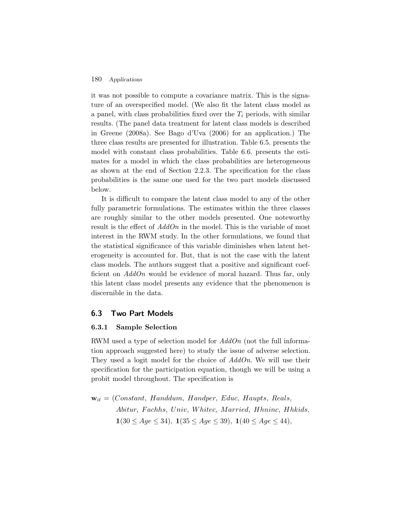### 180 *Applications*

it was not possible to compute a covariance matrix. This is the signature of an overspecified model. (We also fit the latent class model as a panel, with class probabilities fixed over the  $T_i$  periods, with similar results. (The panel data treatment for latent class models is described in Greene (2008a). See Bago d'Uva (2006) for an application.) The three class results are presented for illustration. Table 6.5. presents the model with constant class probabilities. Table 6.6. presents the estimates for a model in which the class probabilities are heterogeneous as shown at the end of Section 2.2.3. The specification for the class probabilities is the same one used for the two part models discussed below.

It is difficult to compare the latent class model to any of the other fully parametric formulations. The estimates within the three classes are roughly similar to the other models presented. One noteworthy result is the effect of *AddOn* in the model. This is the variable of most interest in the RWM study. In the other formulations, we found that the statistical significance of this variable diminishes when latent heterogeneity is accounted for. But, that is not the case with the latent class models. The authors suggest that a positive and significant coefficient on *AddOn* would be evidence of moral hazard. Thus far, only this latent class model presents any evidence that the phenomenon is discernible in the data.

### **6.3 Two Part Models**

### **6.3.1 Sample Selection**

RWM used a type of selection model for *AddOn* (not the full information approach suggested here) to study the issue of adverse selection. They used a logit model for the choice of *AddOn*. We will use their specification for the participation equation, though we will be using a probit model throughout. The specification is

$$
\mathbf{w}_{it} = (Constant, Handdum, Handper, Educ, Haupts, Reals, Abitur, Fachhs, Univ, Whitec, Married, Hhninc, Hhkids,  $1(30 \le Age \le 34), 1(35 \le Age \le 39), 1(40 \le Age \le 44),$
$$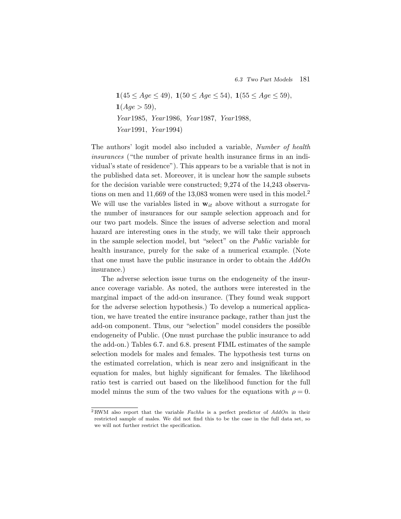**1**(45 ≤ Age ≤ 49), **1**(50 ≤ Age ≤ 54), **1**(55 ≤ Age ≤ 59),  $1(Age > 59),$ *Year*1985, *Year*1986, *Year*1987, *Year*1988, *Year*1991, *Year*1994)

The authors' logit model also included a variable, *Number of health insurances* ("the number of private health insurance firms in an individual's state of residence"). This appears to be a variable that is not in the published data set. Moreover, it is unclear how the sample subsets for the decision variable were constructed; 9,274 of the 14,243 observations on men and  $11,669$  of the 13,083 women were used in this model.<sup>2</sup> We will use the variables listed in  $w_{it}$  above without a surrogate for the number of insurances for our sample selection approach and for our two part models. Since the issues of adverse selection and moral hazard are interesting ones in the study, we will take their approach in the sample selection model, but "select" on the *Public* variable for health insurance, purely for the sake of a numerical example. (Note that one must have the public insurance in order to obtain the *AddOn* insurance.)

The adverse selection issue turns on the endogeneity of the insurance coverage variable. As noted, the authors were interested in the marginal impact of the add-on insurance. (They found weak support for the adverse selection hypothesis.) To develop a numerical application, we have treated the entire insurance package, rather than just the add-on component. Thus, our "selection" model considers the possible endogeneity of Public. (One must purchase the public insurance to add the add-on.) Tables 6.7. and 6.8. present FIML estimates of the sample selection models for males and females. The hypothesis test turns on the estimated correlation, which is near zero and insignificant in the equation for males, but highly significant for females. The likelihood ratio test is carried out based on the likelihood function for the full model minus the sum of the two values for the equations with  $\rho = 0$ .

 $2$ RWM also report that the variable Fachhs is a perfect predictor of AddOn in their restricted sample of males. We did not find this to be the case in the full data set, so we will not further restrict the specification.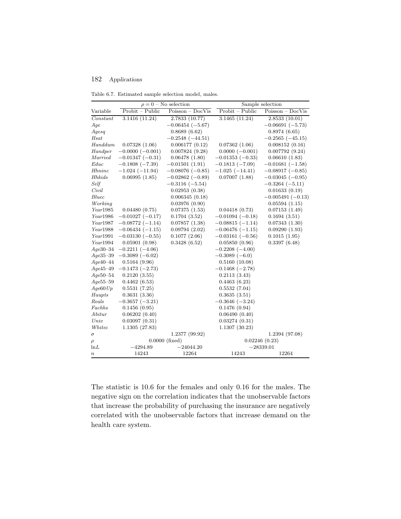### 182 *Applications*

Table 6.7. Estimated sample selection model, males.

|                  |                        | $\rho = 0$ – No selection |                    | Sample selection   |
|------------------|------------------------|---------------------------|--------------------|--------------------|
| Variable         | Probit - Public        | Poisson - DocVis          | $Problem - Public$ | $Poisson - DocVis$ |
| Constant         | 3.1416(11.24)          | 2.7833 (10.77)            | 3.1465(11.24)      | 2.8533(10.01)      |
| Age              |                        | $-0.06454(-5.67)$         |                    | $-0.06691(-5.73)$  |
| Agesq            |                        | 0.8689(6.62)              |                    | 0.8974(6.65)       |
| <b>Hsat</b>      |                        | $-0.2548(-44.51)$         |                    | $-0.2565(-45.15)$  |
| Handdum          | 0.07328(1.06)          | 0.006177(0.12)            | 0.07362(1.06)      | 0.008152(0.16)     |
| Handper          | $-0.0000(-0.001)$      | 0.007824(9.28)            | $0.0000(-0.001)$   | 0.007792(9.24)     |
| Married          | $-0.01347$ $(-0.31)$   | 0.06478(1.80)             | $-0.01353(-0.33)$  | 0.06610(1.83)      |
| Educ             | $-0.1808(-7.39)$       | $-0.01501(1.91)$          | $-0.1813(-7.09)$   | $-0.01681(-1.58)$  |
| Hhninc           | $-1.024(-11.94)$       | $-0.08076(-0.85)$         | $-1.025(-14.41)$   | $-0.08917(-0.85)$  |
| <b>Hhkids</b>    | 0.06995(1.85)          | $-0.02862(-0.89)$         | 0.07007(1.88)      | $-0.03045(-0.95)$  |
| Self             |                        | $-0.3116(-5.54)$          |                    | $-0.3264(-5.11)$   |
| Civil            |                        | 0.02953(0.38)             |                    | 0.01633(0.19)      |
| Bluec            |                        | 0.006345(0.18)            |                    | $-0.005491(-0.13)$ |
| Working          |                        | 0.03976(0.90)             |                    | 0.05594(1.15)      |
| Year1985         | 0.04480(0.75)          | 0.07375(1.53)             | 0.04418(0.73)      | 0.07153(1.49)      |
| Year1986         | $-0.01027$ ( $-0.17$ ) | 0.1704(3.52)              | $-0.01094(-0.18)$  | 0.1694(3.51)       |
| Year1987         | $-0.08772(-1.14)$      | 0.07857(1.38)             | $-0.08815(-1.14)$  | 0.07343(1.30)      |
| Year1988         | $-0.06434(-1.15)$      | 0.09794(2.02)             | $-0.06476(-1.15)$  | 0.09290(1.93)      |
| Year1991         | $-0.03130(-0.55)$      | 0.1077(2.06)              | $-0.03161(-0.56)$  | 0.1015(1.95)       |
| Year1994         | 0.05901(0.98)          | 0.3428(6.52)              | 0.05850(0.96)      | 0.3397(6.48)       |
| $Aqe30-34$       | $-0.2211(-4.06)$       |                           | $-0.2208(-4.00)$   |                    |
| $Aqe35-39$       | $-0.3089(-6.02)$       |                           | $-0.3089(-6.0)$    |                    |
| $Aqe40-44$       | 0.5164(9.96)           |                           | 0.5160(10.08)      |                    |
| $Aqe45-49$       | $-0.1473(-2.73)$       |                           | $-0.1468(-2.78)$   |                    |
| $Aqe50-54$       | 0.2120(3.55)           |                           | 0.2113(3.43)       |                    |
| $Aqe55-59$       | 0.4462(6.53)           |                           | 0.4463(6.23)       |                    |
| Age60Up          | 0.5531(7.25)           |                           | 0.5532(7.04)       |                    |
| Haupts           | 0.3631(3.36)           |                           | 0.3635(3.51)       |                    |
| Reals            | $-0.3657(-3.21)$       |                           | $-0.3646(-3.24)$   |                    |
| Fachhs           | 0.1456(0.95)           |                           | 0.1476(0.94)       |                    |
| Abitur           | 0.06202(0.40)          |                           | 0.06490(0.40)      |                    |
| Univ             | 0.03097(0.31)          |                           | 0.03274(0.31)      |                    |
| Whitec           | 1.1305(27.83)          |                           | 1.1307(30.23)      |                    |
| $\sigma$         |                        | 1.2377(99.92)             |                    | 1.2394 (97.08)     |
| $\rho$           |                        | $0.0000$ (fixed)          |                    | 0.02246(0.23)      |
| lnL              | $-4294.89$             | $-24044.20$               |                    | $-28339.01$        |
| $\boldsymbol{n}$ | 14243                  | 12264                     | 14243              | 12264              |

The statistic is 10.6 for the females and only 0.16 for the males. The negative sign on the correlation indicates that the unobservable factors that increase the probability of purchasing the insurance are negatively correlated with the unobservable factors that increase demand on the health care system.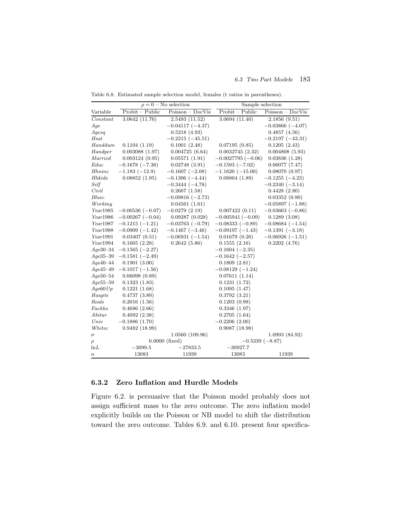|               |                   | $\rho = 0$ – No selection | Sample selection    |                        |
|---------------|-------------------|---------------------------|---------------------|------------------------|
| Variable      | Probit - Public   | $Poisson - DocVis$        | Probit - Public     | $Poisson - DocVis$     |
| Constant      | 3.0642 (11.76)    | 2.5493(11.52)             | 3.0694(11.40)       | 2.1856(9.51)           |
| Aqe           |                   | $-0.04117(-4.37)$         |                     | $-0.03866(-4.07)$      |
| Aqesq         |                   | 0.5218(4.93)              |                     | 0.4857(4.56)           |
| <b>Hsat</b>   |                   | $-0.2215(-45.51)$         |                     | $-0.2197(-43.31)$      |
| Handdum       | 0.1104(1.19)      | 0.1001(2.48)              | 0.07195(0.85)       | 0.1205(2.43)           |
| Handper       | 0.003088(1.97)    | 0.004725(6.64)            | 0.0032745(2.32)     | 0.004808(5.93)         |
| Married       | 0.003124(0.95)    | 0.05571(1.91)             | $-0.0027795(-0.06)$ | 0.03836(1.28)          |
| Educ          | $-0.1678(-7.38)$  | 0.02748(3.91)             | $-0.1593(-7.02)$    | 0.06077(7.47)          |
| Hhninc        | $-1.183(-12.9)$   | $-0.1607(-2.08)$          | $-1.1620(-15.00)$   | 0.08070(0.97)          |
| <b>Hhkids</b> | 0.08852(1.95)     | $-0.1306(-4.44)$          | 0.08804(1.89)       | $-0.1255(-4.23)$       |
| Self          |                   | $-0.3444(-4.78)$          |                     | $-0.2340(-3.14)$       |
| Civil         |                   | 0.2667(1.58)              |                     | 0.4428(2.80)           |
| Bluec         |                   | $-0.09816(-2.73)$         |                     | 0.03352(0.90)          |
| Working       |                   | 0.04561(1.61)             |                     | $-0.05897(-1.88)$      |
| Year1985      | $-0.00536(-0.07)$ | $-0.0279(2.19)$           | 0.007422(0.11)      | $-0.03663$ ( $-0.86$ ) |
| Year1986      | $-0.00267(-0.04)$ | 0.09287(0.028)            | $-0.005941(-0.09)$  | 0.1289(3.08)           |
| Year1987      | $-0.1215(-1.21)$  | $-0.03763(-0.79)$         | $-0.08333(-0.89)$   | $-0.08684(-1.54)$      |
| Year1988      | $-0.0909(-1.42)$  | $-0.1467(-3.46)$          | $-0.09197(-1.43)$   | $-0.1391(-3.18)$       |
| Year1991      | 0.03407(0.51)     | $-0.06931(-1.54)$         | 0.01679(0.26)       | $-0.06926(-1.51)$      |
| Year1994      | 0.1665(2.28)      | 0.2642(5.86)              | 0.1555(2.16)        | 0.2202(4.76)           |
| $Aqe30-34$    | $-0.1565(-2.27)$  |                           | $-0.1604(-2.35)$    |                        |
| $Aqe35-39$    | $-0.1581(-2.49)$  |                           | $-0.1642(-2.57)$    |                        |
| $Aqe40-44$    | 0.1901(3.00)      |                           | 0.1809(2.81)        |                        |
| $Aqe45-49$    | $-0.1017(-1.56)$  |                           | $-0.08129(-1.24)$   |                        |
| $Aqe50-54$    | 0.06098(0.89)     |                           | 0.07611(1.14)       |                        |
| $Aqe55-59$    | 0.1323(1.83)      |                           | 0.1231(1.72)        |                        |
| A q e 60 Up   | 0.1221(1.68)      |                           | 0.1095(1.47)        |                        |
| Haupts        | 0.4737(3.89)      |                           | 0.3792(3.21)        |                        |
| Reals         | 0.2016(1.56)      |                           | 0.1203(0.98)        |                        |
| Fachhs        | 0.4686(2.66)      |                           | 0.3346(1.97)        |                        |
| Abitur        | 0.4092(2.38)      |                           | 0.2705(1.64)        |                        |
| Univ          | $-0.1886(1.70)$   |                           | $-0.2206(2.00)$     |                        |
| Whitec        | 0.9482(18.99)     |                           | 0.9087(18.98)       |                        |
| $\sigma$      |                   | 1.0560 (109.96)           |                     | 1.0993(84.92)          |
| $\rho$        |                   | $0.0000$ (fixed)          | $-0.5339(-8.87)$    |                        |
| lnL           | $-3099.5$         | $-27833.5$                | $-30927.7$          |                        |
| $\it n$       | 13083             | 11939                     | 13083               | 11939                  |

Table 6.8. Estimated sample selection model, females (t ratios in parentheses).

### **6.3.2 Zero Inflation and Hurdle Models**

Figure 6.2. is persuasive that the Poisson model probably does not assign sufficient mass to the zero outcome. The zero inflation model explicitly builds on the Poisson or NB model to shift the distribution toward the zero outcome. Tables 6.9. and 6.10. present four specifica-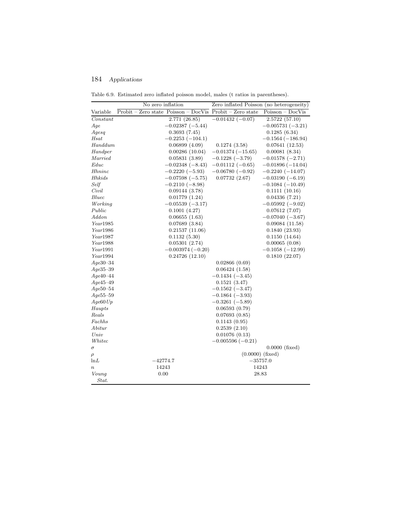### 184 *Applications*

| Table 6.9. Estimated zero inflated poisson model, males (t ratios in parentheses). |  |  |  |
|------------------------------------------------------------------------------------|--|--|--|
|------------------------------------------------------------------------------------|--|--|--|

|               | No zero inflation                                        | Zero inflated Poisson (no heterogeneity) |                    |
|---------------|----------------------------------------------------------|------------------------------------------|--------------------|
| Variable      | Probit – Zero state Poisson – DocVis Probit – Zero state |                                          | $Poisson - DocVis$ |
| Constant      | 2.771(26.85)                                             | $-0.01432(-0.07)$                        | 2.5722(57.10)      |
| Age           | $-0.02387(-5.44)$                                        |                                          | $-0.005731(-3.21)$ |
| Agesq         | 0.3693(7.45)                                             |                                          | 0.1285(6.34)       |
| Hsat          | $-0.2253(-104.1)$                                        |                                          | $-0.1564(-186.94)$ |
| Handdum       | 0.06899(4.09)                                            | 0.1274(3.58)                             | 0.07641(12.53)     |
| Handper       | 0.00286(10.04)                                           | $-0.01374(-15.65)$                       | 0.00081(8.34)      |
| Married       | 0.05831(3.89)                                            | $-0.1228(-3.79)$                         | $-0.01578(-2.71)$  |
| Educ          | $-0.02348(-8.43)$                                        | $-0.01112(-0.65)$                        | $-0.01896(-14.04)$ |
| Hhninc        | $-0.2220(-5.93)$                                         | $-0.06780(-0.92)$                        | $-0.2240(-14.07)$  |
| <b>Hhkids</b> | $-0.07598(-5.75)$                                        | 0.07732(2.67)                            | $-0.03190(-6.19)$  |
| Self          | $-0.2110(-8.98)$                                         |                                          | $-0.1084(-10.49)$  |
| Civil         | 0.09144(3.78)                                            |                                          | 0.1111(10.16)      |
| Bluec         | 0.01779(1.24)                                            |                                          | 0.04336(7.21)      |
| Working       | $-0.05539(-3.17)$                                        |                                          | $-0.05992(-9.02)$  |
| Public        | 0.1001(4.27)                                             |                                          | 0.07612(7.07)      |
| Addon         | 0.06655(1.63)                                            |                                          | $-0.07040(-3.67)$  |
| Year1985      | 0.07689(3.84)                                            |                                          | 0.09084(11.58)     |
| Year1986      | 0.21537(11.06)                                           |                                          | 0.1840(23.93)      |
| Year1987      | 0.1132(5.30)                                             |                                          | 0.1150(14.64)      |
| Year1988      | 0.05301(2.74)                                            |                                          | 0.00065(0.08)      |
| Year1991      | $-0.003974(-0.20)$                                       |                                          | $-0.1058(-12.99)$  |
| Year1994      | 0.24726(12.10)                                           |                                          | 0.1810(22.07)      |
| $Aqe30-34$    |                                                          | 0.02866(0.69)                            |                    |
| $Aqe35-39$    |                                                          | 0.06424(1.58)                            |                    |
| $Aqe40-44$    |                                                          | $-0.1434(-3.45)$                         |                    |
| $Aqe45-49$    |                                                          | 0.1521(3.47)                             |                    |
| $Aqe50-54$    |                                                          | $-0.1562(-3.47)$                         |                    |
| $Age55-59$    |                                                          | $-0.1864(-3.93)$                         |                    |
| A q e 60 Up   |                                                          | $-0.3261(-5.89)$                         |                    |
| Haupts        |                                                          | 0.06593(0.79)                            |                    |
| Reals         |                                                          | 0.07693(0.85)                            |                    |
| Fachhs        |                                                          | 0.1143(0.95)                             |                    |
| Abitur        |                                                          | 0.2539(2.10)                             |                    |
| Univ          |                                                          | 0.01076(0.13)                            |                    |
| Whitec        |                                                          | $-0.005596(-0.21)$                       |                    |
| $\sigma$      |                                                          |                                          | $0.0000$ (fixed)   |
| $\rho$        |                                                          | $(0.0000)$ (fixed)                       |                    |
| lnL           | $-42774.7$                                               | $-35757.0$                               |                    |
| $\it n$       | 14243                                                    | 14243                                    |                    |
| Voung         | 0.00                                                     | 28.83                                    |                    |
| Stat.         |                                                          |                                          |                    |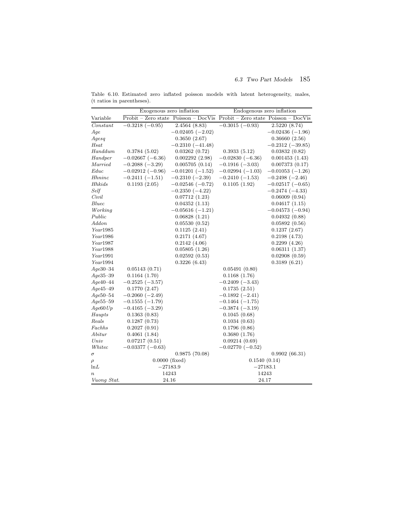|                  | Exogenous zero inflation |                                                                                        |                   | Endogenous zero inflation |
|------------------|--------------------------|----------------------------------------------------------------------------------------|-------------------|---------------------------|
| Variable         |                          | $Probability - Zero state \ Poisson - DocVis \ Probit - Zero state \ Poisson - DocVis$ |                   |                           |
| Constant         | $-0.3218(-0.95)$         | 2.4564(8.83)                                                                           | $-0.3015(-0.93)$  | 2.5220(8.74)              |
| Age              |                          | $-0.02405(-2.02)$                                                                      |                   | $-0.02436(-1.96)$         |
| Aqesq            |                          | 0.3650(2.67)                                                                           |                   | 0.36660(2.56)             |
| <b>Hsat</b>      |                          | $-0.2310(-41.48)$                                                                      |                   | $-0.2312(-39.85)$         |
| Handdum          | 0.3784(5.02)             | 0.03262(0.72)                                                                          | 0.3933(5.12)      | 0.03832(0.82)             |
| Handper          | $-0.02667(-6.36)$        | 0.002292(2.98)                                                                         | $-0.02830(-6.36)$ | 0.001453(1.43)            |
| Married          | $-0.2088(-3.29)$         | 0.005705(0.14)                                                                         | $-0.1916(-3.03)$  | 0.007373(0.17)            |
| Educ             | $-0.02912(-0.96)$        | $-0.01201(-1.52)$                                                                      | $-0.02994(-1.03)$ | $-0.01053(-1.26)$         |
| Hhninc           | $-0.2411(-1.51)$         | $-0.2310(-2.39)$                                                                       | $-0.2410(-1.53)$  | $-0.2498(-2.46)$          |
| <b>Hhkids</b>    | 0.1193(2.05)             | $-0.02546(-0.72)$                                                                      | 0.1105(1.92)      | $-0.02517(-0.65)$         |
| Self             |                          | $-0.2350(-4.22)$                                                                       |                   | $-0.2474(-4.33)$          |
| Civil            |                          | 0.07712(1.23)                                                                          |                   | 0.06009(0.94)             |
| Bluec            |                          | 0.04352(1.13)                                                                          |                   | 0.04617(1.15)             |
| Working          |                          | $-0.05616(-1.21)$                                                                      |                   | $-0.04573(-0.94)$         |
| Public           |                          | 0.06828(1.21)                                                                          |                   | 0.04932(0.88)             |
| Addon            |                          | 0.05530(0.52)                                                                          |                   | 0.05892(0.56)             |
| Year1985         |                          | 0.1125(2.41)                                                                           |                   | 0.1237(2.67)              |
| Year1986         |                          | 0.2171(4.67)                                                                           |                   | 0.2198(4.73)              |
| Year1987         |                          | 0.2142(4.06)                                                                           |                   | 0.2299(4.26)              |
| Year1988         |                          | 0.05805(1.26)                                                                          |                   | 0.06311(1.37)             |
| Year1991         |                          | 0.02592(0.53)                                                                          |                   | 0.02908(0.59)             |
| Year1994         |                          | 0.3226(6.43)                                                                           |                   | 0.3189(6.21)              |
| $Aqe30-34$       | 0.05143(0.71)            |                                                                                        | 0.05491(0.80)     |                           |
| $Age35-39$       | 0.1164(1.70)             |                                                                                        | 0.1168(1.76)      |                           |
| $Aqe40-44$       | $-0.2525(-3.57)$         |                                                                                        | $-0.2409(-3.43)$  |                           |
| $Age45-49$       | 0.1770(2.47)             |                                                                                        | 0.1735(2.51)      |                           |
| $Age50-54$       | $-0.2060(-2.49)$         |                                                                                        | $-0.1892(-2.41)$  |                           |
| $Aqe55-59$       | $-0.1555(-1.79)$         |                                                                                        | $-0.1464(-1.75)$  |                           |
| Age60Up          | $-0.4165(-3.29)$         |                                                                                        | $-0.3874(-3.19)$  |                           |
| Haupts           | 0.1363(0.83)             |                                                                                        | 0.1045(0.68)      |                           |
| $\mathit{Reals}$ | 0.1287(0.73)             |                                                                                        | 0.1034(0.63)      |                           |
| Fachhs           | 0.2027(0.91)             |                                                                                        | 0.1796(0.86)      |                           |
| A bitur          | 0.4061(1.84)             |                                                                                        | 0.3680(1.76)      |                           |
| Univ             | 0.07217(0.51)            |                                                                                        | 0.09214(0.69)     |                           |
| Whitec           | $-0.03377(-0.63)$        |                                                                                        | $-0.02770(-0.52)$ |                           |
| $\sigma$         |                          | 0.9875(70.08)                                                                          |                   | 0.9902(66.31)             |
| $\rho$           | $0.0000$ (fixed)         |                                                                                        | 0.1540(0.14)      |                           |
| $\ln\!$          |                          | $-27183.9$                                                                             |                   | $-27183.1$                |
| $\it n$          |                          | 14243                                                                                  |                   | 14243                     |
| Vuong Stat.      | 24.16                    |                                                                                        |                   | 24.17                     |

Table 6.10. Estimated zero inflated poisson models with latent heterogeneity, males, (t ratios in parentheses).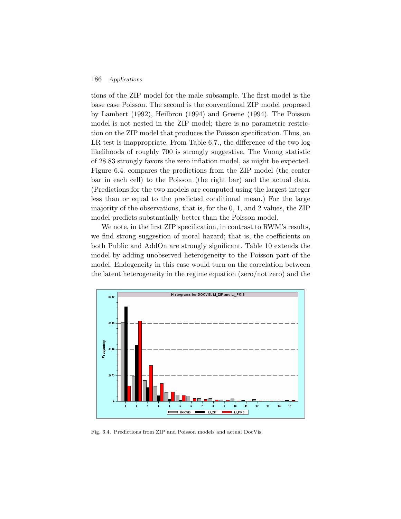### 186 *Applications*

tions of the ZIP model for the male subsample. The first model is the base case Poisson. The second is the conventional ZIP model proposed by Lambert (1992), Heilbron (1994) and Greene (1994). The Poisson model is not nested in the ZIP model; there is no parametric restriction on the ZIP model that produces the Poisson specification. Thus, an LR test is inappropriate. From Table 6.7., the difference of the two log likelihoods of roughly 700 is strongly suggestive. The Vuong statistic of 28.83 strongly favors the zero inflation model, as might be expected. Figure 6.4. compares the predictions from the ZIP model (the center bar in each cell) to the Poisson (the right bar) and the actual data. (Predictions for the two models are computed using the largest integer less than or equal to the predicted conditional mean.) For the large majority of the observations, that is, for the 0, 1, and 2 values, the ZIP model predicts substantially better than the Poisson model.

We note, in the first ZIP specification, in contrast to RWM's results, we find strong suggestion of moral hazard; that is, the coefficients on both Public and AddOn are strongly significant. Table 10 extends the model by adding unobserved heterogeneity to the Poisson part of the model. Endogeneity in this case would turn on the correlation between the latent heterogeneity in the regime equation (zero/not zero) and the



Fig. 6.4. Predictions from ZIP and Poisson models and actual DocVis.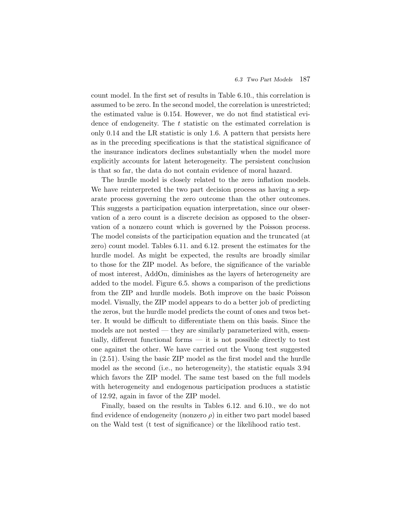count model. In the first set of results in Table 6.10., this correlation is assumed to be zero. In the second model, the correlation is unrestricted; the estimated value is 0.154. However, we do not find statistical evidence of endogeneity. The t statistic on the estimated correlation is only 0.14 and the LR statistic is only 1.6. A pattern that persists here as in the preceding specifications is that the statistical significance of the insurance indicators declines substantially when the model more explicitly accounts for latent heterogeneity. The persistent conclusion is that so far, the data do not contain evidence of moral hazard.

The hurdle model is closely related to the zero inflation models. We have reinterpreted the two part decision process as having a separate process governing the zero outcome than the other outcomes. This suggests a participation equation interpretation, since our observation of a zero count is a discrete decision as opposed to the observation of a nonzero count which is governed by the Poisson process. The model consists of the participation equation and the truncated (at zero) count model. Tables 6.11. and 6.12. present the estimates for the hurdle model. As might be expected, the results are broadly similar to those for the ZIP model. As before, the significance of the variable of most interest, AddOn, diminishes as the layers of heterogeneity are added to the model. Figure 6.5. shows a comparison of the predictions from the ZIP and hurdle models. Both improve on the basic Poisson model. Visually, the ZIP model appears to do a better job of predicting the zeros, but the hurdle model predicts the count of ones and twos better. It would be difficult to differentiate them on this basis. Since the models are not nested — they are similarly parameterized with, essentially, different functional forms — it is not possible directly to test one against the other. We have carried out the Vuong test suggested in (2.51). Using the basic ZIP model as the first model and the hurdle model as the second (i.e., no heterogeneity), the statistic equals 3.94 which favors the ZIP model. The same test based on the full models with heterogeneity and endogenous participation produces a statistic of 12.92, again in favor of the ZIP model.

Finally, based on the results in Tables 6.12. and 6.10., we do not find evidence of endogeneity (nonzero  $\rho$ ) in either two part model based on the Wald test (t test of significance) or the likelihood ratio test.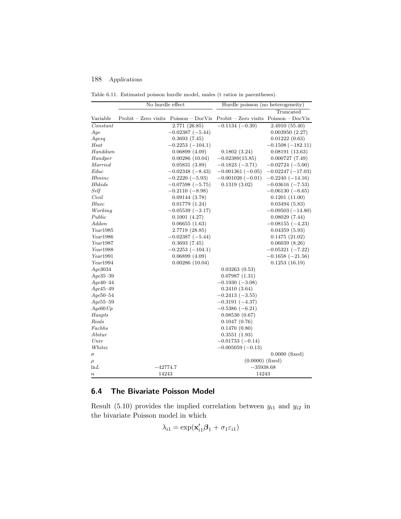### 188 *Applications*

|                    | No hurdle effect            |                    | Hurdle poisson (no heterogeneity) |                    |
|--------------------|-----------------------------|--------------------|-----------------------------------|--------------------|
|                    |                             |                    |                                   | Truncated          |
| Variable           | $Probability - Zero visits$ | $Poisson - DocVis$ | Probit - Zero visits              | $Poisson - DocVis$ |
| Constant           |                             | 2.771(26.85)       | $-0.1134(-0.39)$                  | 2.4910 (55.40)     |
| Aqe                |                             | $-0.02387(-5.44)$  |                                   | 0.003950(2.27)     |
| Aqesq              |                             | 0.3693(7.45)       |                                   | 0.01222(0.63)      |
| $_{\mathit{Hsat}}$ |                             | $-0.2253(-104.1)$  |                                   | $-0.1508(-182.11)$ |
| Handdum            |                             | 0.06899(4.09)      | 0.1802(3.24)                      | 0.08191(13.63)     |
| Handper            |                             | 0.00286(10.04)     | $-0.02389(15.85)$                 | 0.000727(7.49)     |
| Married            |                             | 0.05831(3.89)      | $-0.1823(-3.71)$                  | $-0.02724(-5.00)$  |
| Educ               |                             | $-0.02348(-8.43)$  | $-0.001361(-0.05)$                | $-0.02247(-17.03)$ |
| Hhninc             |                             | $-0.2220(-5.93)$   | $-0.001026(-0.01)$                | $-0.2240(-14.16)$  |
| Hhkids             |                             | $-0.07598(-5.75)$  | 0.1319(3.02)                      | $-0.03616(-7.53)$  |
| Self               |                             | $-0.2110(-8.98)$   |                                   | $-0.06130(-6.65)$  |
| Civil              |                             | 0.09144(3.78)      |                                   | 0.1201(11.00)      |
| Bluec              |                             | 0.01779(1.24)      |                                   | 0.03494(5.83)      |
| Working            |                             | $-0.05539(-3.17)$  |                                   | $-0.09503(-14.80)$ |
| Public             |                             | 0.1001(4.27)       |                                   | 0.08029(7.44)      |
| Addon              |                             | 0.06655(1.63)      |                                   | $-0.08155(-4.23)$  |
| Year1985           |                             | 2.7719 (28.85)     |                                   | 0.04359(5.93)      |
| Year1986           |                             | $-0.02387(-5.44)$  |                                   | 0.1475(21.02)      |
| Year1987           |                             | 0.3693(7.45)       |                                   | 0.06039(8.26)      |
| Year1988           |                             | $-0.2253(-104.1)$  |                                   | $-0.05321(-7.22)$  |
| Year1991           |                             | 0.06899(4.09)      |                                   | $-0.1658(-21.56)$  |
| Year1994           |                             | 0.00286(10.04)     |                                   | 0.1253(16.19)      |
| Age3034            |                             |                    | 0.03263(0.53)                     |                    |
| $Aqe35-39$         |                             |                    | 0.07987(1.31)                     |                    |
| $Aqe40-44$         |                             |                    | $-0.1930(-3.08)$                  |                    |
| $Aqe45-49$         |                             |                    | 0.2410(3.64)                      |                    |
| $Age50-54$         |                             |                    | $-0.2413(-3.55)$                  |                    |
| $Age55-59$         |                             |                    | $-0.3191(-4.37)$                  |                    |
| $Aq\epsilon 60Up$  |                             |                    | $-0.5386(-6.21)$                  |                    |
| Haupts             |                             |                    | 0.08530(0.67)                     |                    |
| Reals              |                             |                    | 0.1047(0.76)                      |                    |
| Fachhs             |                             |                    | 0.1470(0.80)                      |                    |
| Abitur             |                             |                    | 0.3551(1.93)                      |                    |
| Univ               |                             |                    | $-0.01733(-0.14)$                 |                    |
| Whitec             |                             |                    | $-0.005059(-0.13)$                |                    |
| σ                  |                             |                    |                                   | $0.0000$ (fixed)   |
| $\rho$             |                             |                    | $(0.0000)$ (fixed)                |                    |
| ${\rm ln}L$        | $-42774.7$                  |                    | $-35938.68$                       |                    |
| $\it n$            | 14243                       |                    | 14243                             |                    |

Table 6.11. Estimated poisson hurdle model, males (t ratios in parentheses).

### **6.4 The Bivariate Poisson Model**

Result (5.10) provides the implied correlation between  $y_{i1}$  and  $y_{i2}$  in the bivariate Poisson model in which

$$
\lambda_{i1} = \exp(\mathbf{x}_{i1}'\boldsymbol{\beta}_1 + \sigma_1 \varepsilon_{i1})
$$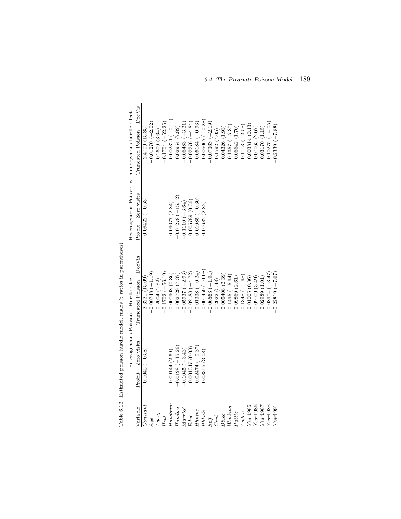|                          |                      | ' (continued in contain a comparable in the comparable in the comparable in the comparable in the comparable in the comparable in the comparable in the comparable in the comparable in the comparable in the comparable in th |                      |                                                     |
|--------------------------|----------------------|--------------------------------------------------------------------------------------------------------------------------------------------------------------------------------------------------------------------------------|----------------------|-----------------------------------------------------|
|                          |                      | Heterogeneous Poisson – Hurdle effect                                                                                                                                                                                          |                      | Heterogeneous Poisson with endogenous hurdle effect |
| Variable                 | Probit - Zero visits | Truncated Poisson - DocVis                                                                                                                                                                                                     | Probit - Zero visits | $Truncated Poisson - DocVis$                        |
| Constant                 | $-0.1045(-0.58)$     | 2.3221(15.09)                                                                                                                                                                                                                  | $-0.09422(-0.53)$    | 2.4709(15.85)                                       |
| Age                      |                      | $-0.00748(-1.19)$                                                                                                                                                                                                              |                      | $-0.01270(-2.02)$                                   |
| Agesq                    |                      | 0.2004(2.82)                                                                                                                                                                                                                   |                      | 0.2609(3.64)                                        |
| H sat                    |                      | $-0.1702(-56.19)$                                                                                                                                                                                                              |                      | $-0.1704(-52.25)$                                   |
| $\it{Handdum}$           | 0.09144(2.69)        | 0.007908(0.36)                                                                                                                                                                                                                 | 0.09677(2.84)        | $-0.002321(-0.11)$                                  |
| Hander                   | $-0.0128(-15.26)$    | 0.002729(7.37)                                                                                                                                                                                                                 | $-0.01278(-15.12)$   | 0.02954(7.82)                                       |
| Married                  | $-0.1045(-3.43)$     | $-0.05937(-2.93)$                                                                                                                                                                                                              | $-0.1110(-3.64)$     | $-0.06483(-3.21)$                                   |
| Educ                     | 0.001347 (0.08)      | $0.02188 (-4.72)$                                                                                                                                                                                                              | 0.005789(0.36)       | $-0.02276(-4.84)$                                   |
| Hhninc                   | $-0.02474(-0.37)$    | $-0.01338(-0.24)$                                                                                                                                                                                                              | $-0.01985(-0.30)$    | $-0.05184(-0.93)$                                   |
| <b>Hhkids</b>            | 0.08355(3.08)        | $-0.001459(-0.08)$                                                                                                                                                                                                             | 0.07682(2.83)        | $-0.005067(-0.28)$                                  |
| Self                     |                      | $-0.06563(-1.94)$                                                                                                                                                                                                              |                      | $-0.07363(-2.19)$                                   |
| Civil                    |                      | 0.2022(5.48)                                                                                                                                                                                                                   |                      | 0.1592(4.05)                                        |
| Bluec                    |                      | 0.005408(2.39)                                                                                                                                                                                                                 |                      | 0.04326 (1.93)                                      |
| $W$ orki $n\mathfrak{g}$ |                      | $-0.1495(-5.94)$                                                                                                                                                                                                               |                      | $-0.1357(-5.37)$                                    |
| Public                   |                      | 0.09869(2.61)                                                                                                                                                                                                                  |                      | 0.06642(1.70)                                       |
| Addon                    |                      | $-0.1348(-1.98)$                                                                                                                                                                                                               |                      | $-0.1773(-2.58)$                                    |
| Year1985                 |                      | 0.01005(0.36)                                                                                                                                                                                                                  |                      | 0.003814(0.13)                                      |
| Year1986                 |                      | 0.09109(3.49)                                                                                                                                                                                                                  |                      | 0.07065(2.67)                                       |
| Year1987                 |                      | 0.02989 (1.01                                                                                                                                                                                                                  |                      | 0.03170(1.15)                                       |
| Year1988                 |                      | $-0.08974(-3.47)$                                                                                                                                                                                                              |                      | $-0.10275(-4.05)$                                   |
| Year1991                 |                      | $0.22819(-7.67)$                                                                                                                                                                                                               |                      | $-0.2339(-7.88)$                                    |
|                          |                      |                                                                                                                                                                                                                                |                      |                                                     |

Table 6.12. Estimated poisson hurdle model, males (t ratios in parentheses). Table 6.12. Estimated poisson hurdle model, males (t ratios in parentheses).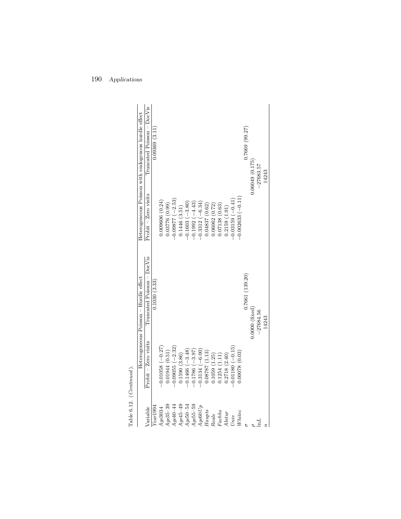|              |                      | Heterogeneous Poisson – Hurdle effect |                      | Heterogeneous Poisson with endogenous hurdle effect |
|--------------|----------------------|---------------------------------------|----------------------|-----------------------------------------------------|
| Variable     | Probit - Zero visits | Truncated Poisson - DocVis            | Probit - Zero visits | Truncated Poisson - DocVis                          |
| Year1994     |                      | 0.1030(3.33)                          |                      | 0.09369(3.11)                                       |
| Age3034      | $-0.01058(-0.27)$    |                                       | 0.009606(0.24)       |                                                     |
| $Age35 - 39$ | 0.01944(0.51)        |                                       | 0.03776(0.99)        |                                                     |
| $Age40-44$   | $-0.09055(-2.32)$    |                                       | $-0.09877(-2.53)$    |                                                     |
| $Ag$ e45-49  | 0.1590(3.86)         |                                       | 0.1446(3.51)         |                                                     |
| $Age50 - 54$ | $-0.1466(-3.48)$     |                                       | $-0.1603(-3.80)$     |                                                     |
| $Age5 - 59$  | $-0.1786(-3.97)$     |                                       | $-0.1992(-4.43)$     |                                                     |
| Age60 Up     | $-0.3134(-6.00)$     |                                       | $-0.3312(-6.34)$     |                                                     |
| Haupts       | 0.08787(1.13)        |                                       | 0.04837(0.62)        |                                                     |
| Reals        | 0.1059(1.25)         |                                       | 0.06062(0.72)        |                                                     |
| Fachhs       | 0.1254(1.11)         |                                       | 0.07138(0.63)        |                                                     |
| Abitur       | 0.2718 (2.40)        |                                       | 0.2159(1.91)         |                                                     |
| $_{Univ}$    | $-0.01180(-0.15)$    |                                       | $-0.03159(-0.41)$    |                                                     |
| Whitec       | 0.00078(0.03)        |                                       | $-0.002633(-0.11)$   |                                                     |
| p            |                      | 0.7661(139.20)                        |                      | 0.7669 (99.27)                                      |
| Ó            |                      | $0.0000$ (fixed)                      |                      | 0.06049(0.175)                                      |
| Tur          |                      | $-27684.56$                           |                      | $-27683.57$                                         |
| Ŕ            |                      | 14243                                 |                      | 14243                                               |

 $Table 6.19 (Continued)$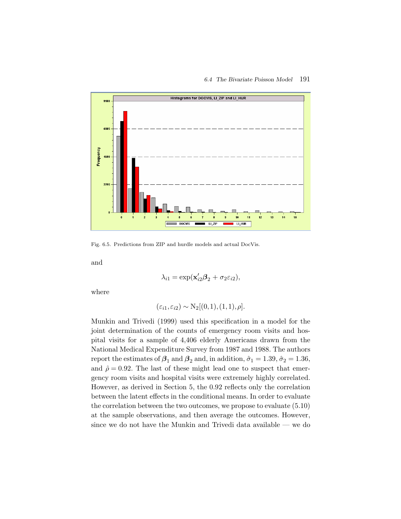#### *6.4 The Bivariate Poisson Model* 191



Fig. 6.5. Predictions from ZIP and hurdle models and actual DocVis.

and

$$
\lambda_{i1} = \exp(\mathbf{x}_{i2}'\boldsymbol{\beta}_2 + \sigma_2 \varepsilon_{i2}),
$$

where

$$
(\varepsilon_{i1}, \varepsilon_{i2}) \sim N_2[(0,1), (1,1), \rho].
$$

Munkin and Trivedi (1999) used this specification in a model for the joint determination of the counts of emergency room visits and hospital visits for a sample of 4,406 elderly Americans drawn from the National Medical Expenditure Survey from 1987 and 1988. The authors report the estimates of  $\beta_1$  and  $\beta_2$  and, in addition,  $\hat{\sigma}_1 = 1.39$ ,  $\hat{\sigma}_2 = 1.36$ , and  $\hat{\rho} = 0.92$ . The last of these might lead one to suspect that emergency room visits and hospital visits were extremely highly correlated. However, as derived in Section 5, the 0.92 reflects only the correlation between the latent effects in the conditional means. In order to evaluate the correlation between the two outcomes, we propose to evaluate (5.10) at the sample observations, and then average the outcomes. However, since we do not have the Munkin and Trivedi data available — we do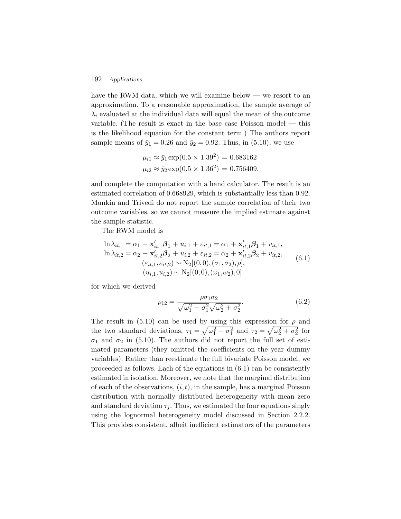### 192 *Applications*

have the RWM data, which we will examine below — we resort to an approximation. To a reasonable approximation, the sample average of  $\lambda_i$  evaluated at the individual data will equal the mean of the outcome variable. (The result is exact in the base case Poisson model — this is the likelihood equation for the constant term.) The authors report sample means of  $\bar{y}_1 = 0.26$  and  $\bar{y}_2 = 0.92$ . Thus, in (5.10), we use

$$
\mu_{i1} \approx \bar{y}_1 \exp(0.5 \times 1.39^2) = 0.683162
$$
  
\n $\mu_{i2} \approx \bar{y}_2 \exp(0.5 \times 1.36^2) = 0.756409,$ 

and complete the computation with a hand calculator. The result is an estimated correlation of 0.668929, which is substantially less than 0.92. Munkin and Trivedi do not report the sample correlation of their two outcome variables, so we cannot measure the implied estimate against the sample statistic.

The RWM model is

$$
\ln \lambda_{it,1} = \alpha_1 + \mathbf{x}'_{it,1} \beta_1 + u_{i,1} + \varepsilon_{it,1} = \alpha_1 + \mathbf{x}'_{it,1} \beta_1 + v_{it,1},
$$
  
\n
$$
\ln \lambda_{it,2} = \alpha_2 + \mathbf{x}'_{it,2} \beta_2 + u_{i,2} + \varepsilon_{it,2} = \alpha_2 + \mathbf{x}'_{it,2} \beta_2 + v_{it,2},
$$
  
\n
$$
(\varepsilon_{it,1}, \varepsilon_{it,2}) \sim \text{N}_2[(0,0), (\sigma_1, \sigma_2), \rho],
$$
  
\n
$$
(u_{i,1}, u_{i,2}) \sim \text{N}_2[(0,0), (\omega_1, \omega_2), 0].
$$
 (6.1)

for which we derived

$$
\rho_{12} = \frac{\rho \sigma_1 \sigma_2}{\sqrt{\omega_1^2 + \sigma_1^2} \sqrt{\omega_2^2 + \sigma_2^2}}.
$$
\n(6.2)

The result in (5.10) can be used by using this expression for  $\rho$  and the two standard deviations,  $\tau_1 = \sqrt{\omega_1^2 + \sigma_1^2}$  and  $\tau_2 = \sqrt{\omega_2^2 + \sigma_2^2}$  for  $\sigma_1$  and  $\sigma_2$  in (5.10). The authors did not report the full set of estimated parameters (they omitted the coefficients on the year dummy variables). Rather than reestimate the full bivariate Poisson model, we proceeded as follows. Each of the equations in (6.1) can be consistently estimated in isolation. Moreover, we note that the marginal distribution of each of the observations,  $(i, t)$ , in the sample, has a marginal Poisson distribution with normally distributed heterogeneity with mean zero and standard deviation  $\tau_i$ . Thus, we estimated the four equations singly using the lognormal heterogeneity model discussed in Section 2.2.2. This provides consistent, albeit inefficient estimators of the parameters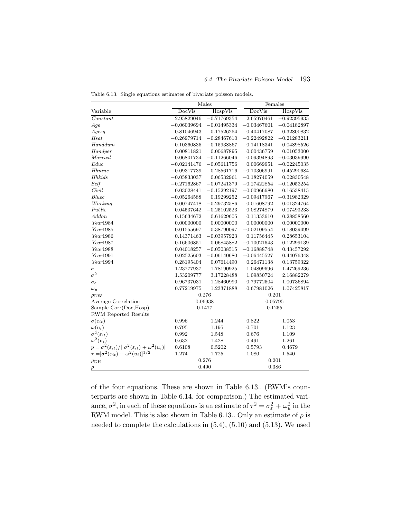|                                                                               | Males         |               | Females       |               |
|-------------------------------------------------------------------------------|---------------|---------------|---------------|---------------|
| Variable                                                                      | DocVis        | HospVis       | DocVis        | HospVis       |
| Constant                                                                      | 2.95829046    | $-0.71769354$ | 2.65970461    | $-0.92395935$ |
| Aqe                                                                           | $-0.06039694$ | $-0.01495334$ | $-0.03467601$ | $-0.04182897$ |
| Aqesq                                                                         | 0.81046943    | 0.17526254    | 0.40417087    | 0.32800832    |
| Hsat                                                                          | $-0.26979714$ | $-0.28467610$ | $-0.22492822$ | $-0.21283211$ |
| Handdum                                                                       | $-0.10360835$ | $-0.15938867$ | 0.14118341    | 0.04898526    |
| Handper                                                                       | 0.00811821    | 0.00687895    | 0.00436759    | 0.01053000    |
| Married                                                                       | 0.06801734    | $-0.11266046$ | 0.09394893    | $-0.03039990$ |
| Educ                                                                          | $-0.02141476$ | $-0.05611756$ | 0.00669951    | $-0.02245035$ |
| Hhninc                                                                        | $-0.09317739$ | 0.28561716    | $-0.10306991$ | 0.45290684    |
| <b>Hhkids</b>                                                                 | $-0.05833037$ | 0.06532961    | $-0.18274059$ | 0.02830548    |
| Self                                                                          | $-0.27162867$ | $-0.07241379$ | $-0.27422854$ | $-0.12053254$ |
| Civil                                                                         | 0.03028441    | $-0.15292197$ | $-0.00966680$ | 0.16538415    |
| <b>Bluec</b>                                                                  | $-0.05264588$ | 0.19299252    | $-0.09417967$ | $-0.31982329$ |
| Working                                                                       | 0.00747418    | $-0.29732586$ | 0.01608792    | 0.01324764    |
| Public                                                                        | 0.04537642    | $-0.25102523$ | 0.08274879    | 0.07493233    |
| Addon                                                                         | 0.15634672    | 0.61629605    | 0.11353610    | 0.28858560    |
| Year1984                                                                      | 0.00000000    | 0.00000000    | 0.00000000    | 0.00000000    |
| Year1985                                                                      | 0.01555697    | 0.38790097    | $-0.02109554$ | 0.18039499    |
| Year1986                                                                      | 0.14371463    | $-0.03957923$ | 0.11756445    | 0.28653104    |
| Year1987                                                                      | 0.16606851    | 0.06845882    | $-0.10021643$ | 0.12299139    |
| Year1988                                                                      | 0.04018257    | $-0.05038515$ | $-0.16888748$ | 0.43457292    |
| Year1991                                                                      | 0.02525603    | $-0.06140680$ | $-0.06445527$ | 0.44076348    |
| Year1994                                                                      | 0.28195404    | 0.07614490    | 0.26471138    | 0.13759322    |
| σ                                                                             | 1.23777937    | 1.78190925    | 1.04809696    | 1.47269236    |
| $\sigma^2$                                                                    | 1.53209777    | 3.17228488    | 1.09850724    | 2.16882279    |
| $\sigma_{\varepsilon}$                                                        | 0.96737031    | 1.28460990    | 0.79772504    | 1.00736894    |
| $\omega_u$                                                                    | 0.77219975    | 1.23371888    | 0.67981026    | 1.07425817    |
| $\rho_{\rm DW}$                                                               |               | 0.276         | 0.201         |               |
| Average Correlation                                                           |               | 0.06938       | 0.05795       |               |
| Sample Corr(Doc, Hosp)                                                        |               | 0.1477        | 0.1255        |               |
| <b>RWM</b> Reported Results                                                   |               |               |               |               |
| $\sigma(\varepsilon_{it})$                                                    | 0.996         | 1.244         | 0.822         | 1.053         |
| $\omega(\mathbf{u}_i)$                                                        | 0.795         | 1.195         | 0.701         | 1.123         |
| $\sigma^2(\varepsilon_{it})$                                                  | 0.992         | 1.548         | 0.676         | 1.109         |
| $\omega^2(\mathbf{u}_i)$                                                      | 0.632         | 1.428         | 0.491         | 1.261         |
| $p = \sigma^2(\varepsilon_{it})/[\sigma^2(\varepsilon_{it}) + \omega^2(u_i)]$ | 0.6108        | 0.5202        | 0.5793        | 0.4679        |
| $\tau = [\sigma^2(\varepsilon_{it}) + \omega^2(u_i)]^{1/2}$                   | 1.274         | 1.725         | 1.080         | 1.540         |
| $\rho_{\rm DH}$                                                               |               | 0.276         | 0.201         |               |
| $\rho$                                                                        |               | 0.490         | 0.386         |               |

Table 6.13. Single equations estimates of bivariate poisson models.

of the four equations. These are shown in Table 6.13.. (RWM's counterparts are shown in Table 6.14. for comparison.) The estimated variance,  $\sigma^2$ , in each of these equations is an estimate of  $\tau^2 = \sigma_{\varepsilon}^2 + \omega_u^2$  in the RWM model. This is also shown in Table 6.13.. Only an estimate of  $\rho$  is needed to complete the calculations in (5.4), (5.10) and (5.13). We used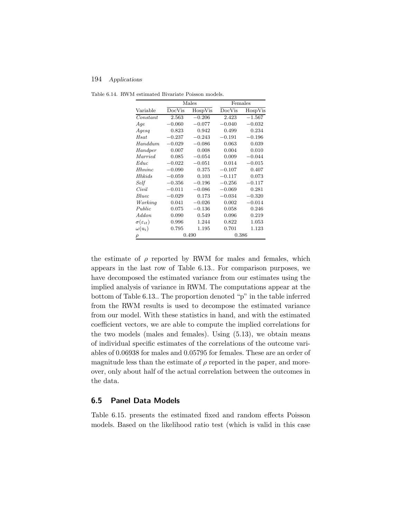#### 194 *Applications*

|                            | Males    |          | Females  |          |
|----------------------------|----------|----------|----------|----------|
| Variable                   | DocVis   | HospVis  | DocVis   | HospVis  |
| Constant                   | 2.563    | $-0.206$ | 2.423    | $-1.567$ |
| Aqe                        | $-0.060$ | $-0.077$ | $-0.040$ | $-0.032$ |
| Agesq                      | 0.823    | 0.942    | 0.499    | 0.234    |
| Hsat                       | $-0.237$ | $-0.243$ | $-0.191$ | $-0.196$ |
| Handdum                    | $-0.029$ | $-0.086$ | 0.063    | 0.039    |
| Handper                    | 0.007    | 0.008    | 0.004    | 0.010    |
| Married                    | 0.085    | $-0.054$ | 0.009    | $-0.044$ |
| Educ                       | $-0.022$ | $-0.051$ | 0.014    | $-0.015$ |
| Hhninc                     | $-0.090$ | 0.375    | $-0.107$ | 0.407    |
| <b>Hhkids</b>              | $-0.059$ | 0.103    | $-0.117$ | 0.073    |
| Self                       | $-0.356$ | $-0.196$ | $-0.256$ | $-0.117$ |
| Civil                      | $-0.011$ | $-0.086$ | $-0.069$ | 0.281    |
| Bluec                      | $-0.029$ | 0.173    | $-0.034$ | $-0.320$ |
| Working                    | 0.041    | $-0.026$ | 0.002    | $-0.014$ |
| Public                     | 0.075    | $-0.136$ | 0.058    | 0.246    |
| Addon                      | 0.090    | 0.549    | 0.096    | 0.219    |
| $\sigma(\varepsilon_{it})$ | 0.996    | 1.244    | 0.822    | 1.053    |
| $\omega(\mathrm{u}_i)$     | 0.795    | 1.195    | 0.701    | 1.123    |
| ρ                          |          | 0.490    | 0.386    |          |

Table 6.14. RWM estimated Bivariate Poisson models.

the estimate of  $\rho$  reported by RWM for males and females, which appears in the last row of Table 6.13.. For comparison purposes, we have decomposed the estimated variance from our estimates using the implied analysis of variance in RWM. The computations appear at the bottom of Table 6.13.. The proportion denoted "p" in the table inferred from the RWM results is used to decompose the estimated variance from our model. With these statistics in hand, and with the estimated coefficient vectors, we are able to compute the implied correlations for the two models (males and females). Using (5.13), we obtain means of individual specific estimates of the correlations of the outcome variables of 0.06938 for males and 0.05795 for females. These are an order of magnitude less than the estimate of  $\rho$  reported in the paper, and moreover, only about half of the actual correlation between the outcomes in the data.

### **6.5 Panel Data Models**

Table 6.15. presents the estimated fixed and random effects Poisson models. Based on the likelihood ratio test (which is valid in this case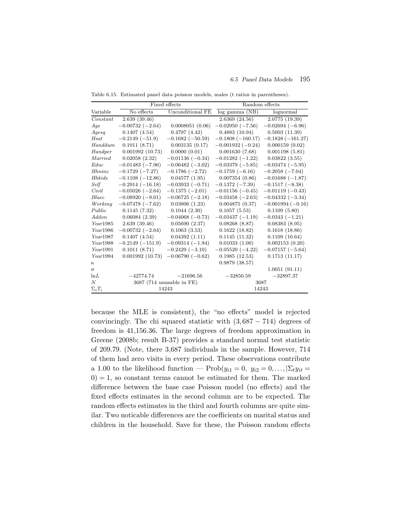|                  | Fixed effects     |                           | Random effects     |                    |  |
|------------------|-------------------|---------------------------|--------------------|--------------------|--|
| Variable         | No effects        | Unconditional FE          | log gamma (NB)     | lognormal          |  |
| Constant         | 2.639(39.46)      |                           | 2.6369(24.56)      | 2.0775 (19.39)     |  |
| Age              | $-0.00732(-2.64)$ | 0.0008051(0.06)           | $-0.02950(-7.56)$  | $-0.02694(-6.96)$  |  |
| Aqesq            | 0.1407(4.54)      | 0.4797(4.42)              | 0.4883(10.94)      | 0.5003(11.39)      |  |
| Hsat             | $-0.2149(-51.9)$  | $-0.1682(-50.59)$         | $-0.1808(-160.17)$ | $-0.1828(-161.27)$ |  |
| Handdum          | 0.1011(8.71)      | 0.003135(0.17)            | $-0.001932(-0.24)$ | 0.000159(0.02)     |  |
| Handper          | 0.001992(10.73)   | 0.0000(0.01)              | 0.001630(7.68)     | 0.001198(5.81)     |  |
| Married          | 0.02058(2.32)     | $-0.01136(-0.34)$         | $-0.01282(-1.22)$  | 0.03822(3.55)      |  |
| Educ             | $-0.01483(-7.96)$ | $-0.06482(-3.02)$         | $-0.03379(-5.85)$  | $-0.03474(-5.95)$  |  |
| Hhninc           | $-0.1729(-7.27)$  | $-0.1786(-2.72)$          | $-0.1759(-6.16)$   | $-0.2058(-7.04)$   |  |
| <b>Hhkids</b>    | $-0.1108(-12.86)$ | 0.04577(1.95)             | 0.007354(0.86)     | $-0.01688(-1.87)$  |  |
| Self             | $-0.2914(-16.18)$ | $-0.03933(-0.71)$         | $-0.1372(-7.39)$   | $-0.1517(-8.38)$   |  |
| Civil            | $-0.05026(-2.64)$ | $-0.1375(-2.01)$          | $-0.01156(-0.45)$  | $-0.01119(-0.43)$  |  |
| Bluec            | $-0.08920(-9.01)$ | $-0.06725(-2.18)$         | $-0.03458(-2.63)$  | $-0.04332(-3.34)$  |  |
| Working          | $-0.07478(-7.62)$ | 0.03806(1.23)             | 0.004875(0.37)     | $-0.001994(-0.16)$ |  |
| Public           | 0.1145(7.32)      | 0.1044(2.30)              | 0.1057(5.53)       | 0.1109(5.80)       |  |
| Addon            | 0.06084(2.39)     | $-0.04068(-0.73)$         | $-0.03437(-1.19)$  | $-0.0343(-1.21)$   |  |
| Year1985         | 2.639(39.46)      | 0.05690(2.37)             | 0.08268(8.87)      | 0.08383(8.95)      |  |
| Year1986         | $-0.00732(-2.64)$ | 0.1063(3.53)              | 0.1622(18.82)      | 0.1618(18.86)      |  |
| Year1987         | 0.1407(4.54)      | 0.04392(1.11)             | 0.1145(11.32)      | 0.1109(10.64)      |  |
| Year1988         | $-0.2149(-151.9)$ | $-0.09314(-1.94)$         | 0.01033(1.00)      | 0.002153(0.20)     |  |
| Year1991         | 0.1011(8.71)      | $-0.2429(-3.10)$          | $-0.05520(-4.22)$  | $-0.07157(-5.64)$  |  |
| Year1994         | 0.001992(10.73)   | $-0.06790(-0.62)$         | 0.1985(12.53)      | 0.1713(11.17)      |  |
| $\kappa$         |                   |                           | 0.9879(38.57)      |                    |  |
| $\sigma$         |                   |                           |                    | 1.0051(91.11)      |  |
| lnL              | $-42774.74$       | $-21696.56$               | $-32850.59$        | $-32897.37$        |  |
| $\boldsymbol{N}$ |                   | 3687 (714 unusable in FE) | 3687               |                    |  |
| $\Sigma_i T_i$   |                   | 14243                     | 14243              |                    |  |

Table 6.15. Estimated panel data poisson models, males (t ratios in parentheses).

because the MLE is consistent), the "no effects" model is rejected convincingly. The chi squared statistic with  $(3,687 - 714)$  degrees of freedom is 41,156.36. The large degrees of freedom approximation in Greene (2008b; result B-37) provides a standard normal test statistic of 209.79. (Note, there 3,687 individuals in the sample. However, 714 of them had zero visits in every period. These observations contribute a 1.00 to the likelihood function —  $\text{Prob}(y_{i1} = 0, y_{i2} = 0, \ldots, \vert \Sigma_t y_{it})$  $0$  = 1, so constant terms cannot be estimated for them. The marked difference between the base case Poisson model (no effects) and the fixed effects estimates in the second column are to be expected. The random effects estimates in the third and fourth columns are quite similar. Two noticable differences are the coefficients on marital status and children in the household. Save for these, the Poisson random effects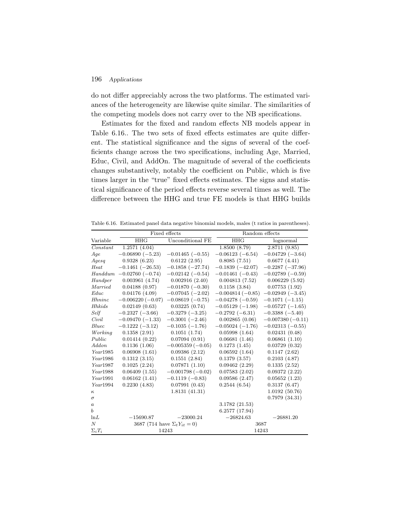#### 196 *Applications*

do not differ appreciably across the two platforms. The estimated variances of the heterogeneity are likewise quite similar. The similarities of the competing models does not carry over to the NB specifications.

Estimates for the fixed and random effects NB models appear in Table 6.16.. The two sets of fixed effects estimates are quite different. The statistical significance and the signs of several of the coefficients change across the two specifications, including Age, Married, Educ, Civil, and AddOn. The magnitude of several of the coefficients changes substantively, notably the coefficient on Public, which is five times larger in the "true" fixed effects estimates. The signs and statistical significance of the period effects reverse several times as well. The difference between the HHG and true FE models is that HHG builds

|                  | Fixed effects          |                                        | Random effects     |                    |  |
|------------------|------------------------|----------------------------------------|--------------------|--------------------|--|
| Variable         | <b>HHG</b>             | Unconditional FE                       | <b>HHG</b>         | lognormal          |  |
| Constant         | 1.2571(4.04)           |                                        | 1.8500(8.79)       | 2.8711 (9.85)      |  |
| Age              | $-0.06890(-5.23)$      | $-0.01465(-0.55)$                      | $-0.06123(-6.54)$  | $-0.04729(-3.64)$  |  |
| Aqesq            | 0.9328(6.23)           | 0.6122(2.95)                           | 0.8085(7.51)       | 0.6677(4.41)       |  |
| Hsat             | $-0.1461$ ( $-26.53$ ) | $-0.1858(-27.74)$                      | $-0.1839(-42.07)$  | $-0.2287(-37.96)$  |  |
| Handdum          | $-0.02760(-0.74)$      | $-0.02142(-0.54)$                      | $-0.01461(-0.43)$  | $-0.02789(-0.59)$  |  |
| Handper          | 0.003961(4.74)         | 0.002916(2.40)                         | 0.004813(7.52)     | 0.006229(5.92)     |  |
| Married          | 0.04188(0.97)          | $-0.01870(-0.30)$                      | 0.1158(3.84)       | 0.07753(1.92)      |  |
| Educ             | 0.04176(4.09)          | $-0.07045(-2.02)$                      | $-0.004814(-0.85)$ | $-0.02949(-3.45)$  |  |
| Hhninc           | $-0.006220(-0.07)$     | $-0.08619(-0.75)$                      | $-0.04278(-0.59)$  | $-0.1071(-1.15)$   |  |
| <b>Hhkids</b>    | 0.02149(0.63)          | 0.03225(0.74)                          | $-0.05129(-1.98)$  | $-0.05727(-1.65)$  |  |
| Self             | $-0.2327(-3.66)$       | $-0.3279(-3.25)$                       | $-0.2792(-6.31)$   | $-0.3388(-5.40)$   |  |
| Civil            | $-0.09470(-1.33)$      | $-0.3001(-2.46)$                       | 0.002865(0.06)     | $-0.007380(-0.11)$ |  |
| Bluec            | $-0.1222(-3.12)$       | $-0.1035(-1.76)$                       | $-0.05024(-1.76)$  | $-0.02313(-0.55)$  |  |
| Working          | 0.1358(2.91)           | 0.1051(1.74)                           | 0.05998(1.64)      | 0.02431(0.48)      |  |
| Public           | 0.01414(0.22)          | 0.07094(0.91)                          | 0.06681(1.46)      | 0.06861(1.10)      |  |
| Addon            | 0.1136(1.06)           | $-0.005359(-0.05)$                     | 0.1273(1.45)       | 0.03729(0.32)      |  |
| Year1985         | 0.06908(1.61)          | 0.09386(2.12)                          | 0.06592(1.64)      | 0.1147(2.62)       |  |
| Year1986         | 0.1312(3.15)           | 0.1551(2.84)                           | 0.1379(3.57)       | 0.2103(4.87)       |  |
| Year1987         | 0.1025(2.24)           | 0.07871(1.10)                          | 0.09462(2.29)      | 0.1335(2.52)       |  |
| Year1988         | 0.06409(1.55)          | $-0.001798(-0.02)$                     | 0.07583(2.02)      | 0.09372(2.22)      |  |
| Year1991         | 0.06162(1.41)          | $-0.1119(-0.83)$                       | 0.09586(2.47)      | 0.05652(1.23)      |  |
| Year1994         | 0.2230(4.83)           | 0.07991(0.43)                          | 0.2544(6.54)       | 0.3137(6.47)       |  |
| $\kappa$         |                        | 1.8131(41.31)                          |                    | 1.0192(50.76)      |  |
| $\sigma$         |                        |                                        |                    | 0.7979(34.31)      |  |
| $\boldsymbol{a}$ |                        |                                        | 3.1782(21.53)      |                    |  |
| b                |                        |                                        | 6.2577(17.94)      |                    |  |
| lnL              | $-15690.87$            | $-23000.24$                            | $-26824.63$        | $-26881.20$        |  |
| N                |                        | 3687 (714 have $\Sigma_t Y_{it} = 0$ ) | 3687               |                    |  |
| $\Sigma_i T_i$   |                        | 14243                                  | 14243              |                    |  |

Table 6.16. Estimated panel data negative binomial models, males (t ratios in parentheses).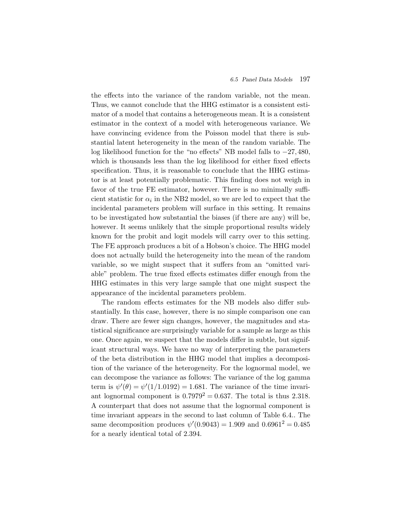the effects into the variance of the random variable, not the mean. Thus, we cannot conclude that the HHG estimator is a consistent estimator of a model that contains a heterogeneous mean. It is a consistent estimator in the context of a model with heterogeneous variance. We have convincing evidence from the Poisson model that there is substantial latent heterogeneity in the mean of the random variable. The log likelihood function for the "no effects" NB model falls to −27,480, which is thousands less than the log likelihood for either fixed effects specification. Thus, it is reasonable to conclude that the HHG estimator is at least potentially problematic. This finding does not weigh in favor of the true FE estimator, however. There is no minimally sufficient statistic for  $\alpha_i$  in the NB2 model, so we are led to expect that the incidental parameters problem will surface in this setting. It remains to be investigated how substantial the biases (if there are any) will be, however. It seems unlikely that the simple proportional results widely known for the probit and logit models will carry over to this setting. The FE approach produces a bit of a Hobson's choice. The HHG model does not actually build the heterogeneity into the mean of the random variable, so we might suspect that it suffers from an "omitted variable" problem. The true fixed effects estimates differ enough from the HHG estimates in this very large sample that one might suspect the appearance of the incidental parameters problem.

The random effects estimates for the NB models also differ substantially. In this case, however, there is no simple comparison one can draw. There are fewer sign changes, however, the magnitudes and statistical significance are surprisingly variable for a sample as large as this one. Once again, we suspect that the models differ in subtle, but significant structural ways. We have no way of interpreting the parameters of the beta distribution in the HHG model that implies a decomposition of the variance of the heterogeneity. For the lognormal model, we can decompose the variance as follows: The variance of the log gamma term is  $\psi'(\theta) = \psi'(1/1.0192) = 1.681$ . The variance of the time invariant lognormal component is  $0.7979^2 = 0.637$ . The total is thus 2.318. A counterpart that does not assume that the lognormal component is time invariant appears in the second to last column of Table 6.4.. The same decomposition produces  $\psi'(0.9043) = 1.909$  and  $0.6961^2 = 0.485$ for a nearly identical total of 2.394.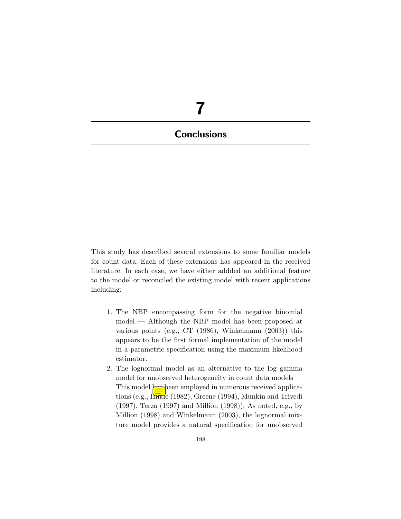# **7 Conclusions**

This study has described several extensions to some familiar models for count data. Each of these extensions has appeared in the received literature. In each case, we have either addded an additional feature to the model or reconciled the existing model with recent applications including:

- 1. The NBP encompassing form for the negative binomial model — Although the NBP model has been proposed at various points (e.g., CT (1986), Winkelmann (2003)) this appears to be the first formal implementation of the model in a parametric specification using the maximum likelihood estimator.
- 2. The lognormal model as an alternative to the log gamma model for unobserved heterogeneity in count data models — This model  $\implies$  peen employed in numerous received applications (e.g.,  $\overline{\text{hmc}}$ e (1982), Greene (1994), Munkin and Trivedi (1997), Terza (1997) and Million (1998)); As noted, e.g., by Million (1998) and Winkelmann (2003), the lognormal mixture model provides a natural specification for unobserved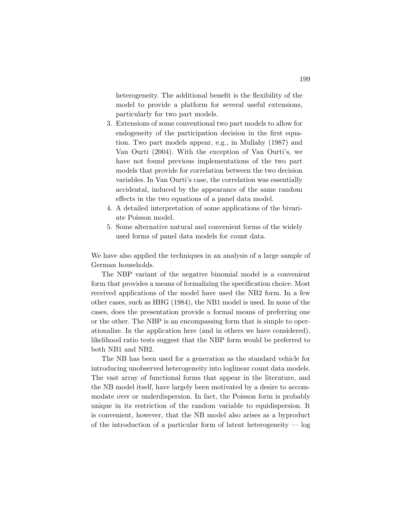heterogeneity. The additional benefit is the flexibility of the model to provide a platform for several useful extensions, particularly for two part models.

- 3. Extensions of some conventional two part models to allow for endogeneity of the participation decision in the first equation. Two part models appear, e.g., in Mullahy (1987) and Van Ourti (2004). With the exception of Van Ourti's, we have not found previous implementations of the two part models that provide for correlation between the two decision variables. In Van Ourti's case, the correlation was essentially accidental, induced by the appearance of the same random effects in the two equations of a panel data model.
- 4. A detailed interpretation of some applications of the bivariate Poisson model.
- 5. Some alternative natural and convenient forms of the widely used forms of panel data models for count data.

We have also applied the techniques in an analysis of a large sample of German households.

The NBP variant of the negative binomial model is a convenient form that provides a means of formalizing the specification choice. Most received applications of the model have used the NB2 form. In a few other cases, such as HHG (1984), the NB1 model is used. In none of the cases, does the presentation provide a formal means of preferring one or the other. The NBP is an encompassing form that is simple to operationalize. In the application here (and in others we have considered), likelihood ratio tests suggest that the NBP form would be preferred to both NB1 and NB2.

The NB has been used for a generation as the standard vehicle for introducing unobserved heterogeneity into loglinear count data models. The vast array of functional forms that appear in the literature, and the NB model itself, have largely been motivated by a desire to accommodate over or underdispersion. In fact, the Poisson form is probably unique in its restriction of the random variable to equidispersion. It is convenient, however, that the NB model also arises as a byproduct of the introduction of a particular form of latent heterogeneity  $-\log$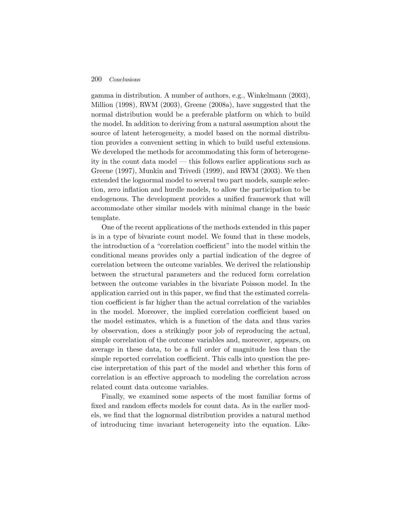#### 200 *Conclusions*

gamma in distribution. A number of authors, e.g., Winkelmann (2003), Million (1998), RWM (2003), Greene (2008a), have suggested that the normal distribution would be a preferable platform on which to build the model. In addition to deriving from a natural assumption about the source of latent heterogeneity, a model based on the normal distribution provides a convenient setting in which to build useful extensions. We developed the methods for accommodating this form of heterogeneity in the count data model — this follows earlier applications such as Greene (1997), Munkin and Trivedi (1999), and RWM (2003). We then extended the lognormal model to several two part models, sample selection, zero inflation and hurdle models, to allow the participation to be endogenous. The development provides a unified framework that will accommodate other similar models with minimal change in the basic template.

One of the recent applications of the methods extended in this paper is in a type of bivariate count model. We found that in these models, the introduction of a "correlation coefficient" into the model within the conditional means provides only a partial indication of the degree of correlation between the outcome variables. We derived the relationship between the structural parameters and the reduced form correlation between the outcome variables in the bivariate Poisson model. In the application carried out in this paper, we find that the estimated correlation coefficient is far higher than the actual correlation of the variables in the model. Moreover, the implied correlation coefficient based on the model estimates, which is a function of the data and thus varies by observation, does a strikingly poor job of reproducing the actual, simple correlation of the outcome variables and, moreover, appears, on average in these data, to be a full order of magnitude less than the simple reported correlation coefficient. This calls into question the precise interpretation of this part of the model and whether this form of correlation is an effective approach to modeling the correlation across related count data outcome variables.

Finally, we examined some aspects of the most familiar forms of fixed and random effects models for count data. As in the earlier models, we find that the lognormal distribution provides a natural method of introducing time invariant heterogeneity into the equation. Like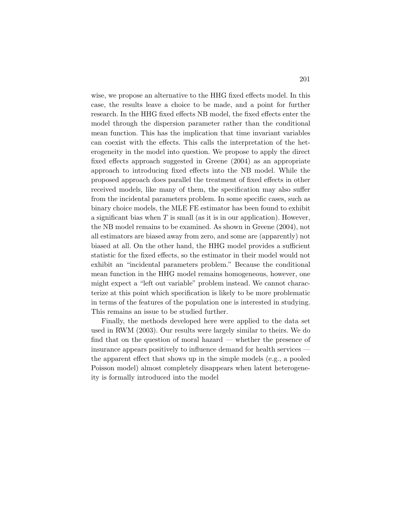wise, we propose an alternative to the HHG fixed effects model. In this case, the results leave a choice to be made, and a point for further research. In the HHG fixed effects NB model, the fixed effects enter the model through the dispersion parameter rather than the conditional mean function. This has the implication that time invariant variables can coexist with the effects. This calls the interpretation of the heterogeneity in the model into question. We propose to apply the direct fixed effects approach suggested in Greene (2004) as an appropriate approach to introducing fixed effects into the NB model. While the proposed approach does parallel the treatment of fixed effects in other received models, like many of them, the specification may also suffer from the incidental parameters problem. In some specific cases, such as binary choice models, the MLE FE estimator has been found to exhibit a significant bias when  $T$  is small (as it is in our application). However, the NB model remains to be examined. As shown in Greene (2004), not all estimators are biased away from zero, and some are (apparently) not biased at all. On the other hand, the HHG model provides a sufficient statistic for the fixed effects, so the estimator in their model would not exhibit an "incidental parameters problem." Because the conditional mean function in the HHG model remains homogeneous, however, one might expect a "left out variable" problem instead. We cannot characterize at this point which specification is likely to be more problematic in terms of the features of the population one is interested in studying. This remains an issue to be studied further.

Finally, the methods developed here were applied to the data set used in RWM (2003). Our results were largely similar to theirs. We do find that on the question of moral hazard — whether the presence of insurance appears positively to influence demand for health services the apparent effect that shows up in the simple models (e.g., a pooled Poisson model) almost completely disappears when latent heterogeneity is formally introduced into the model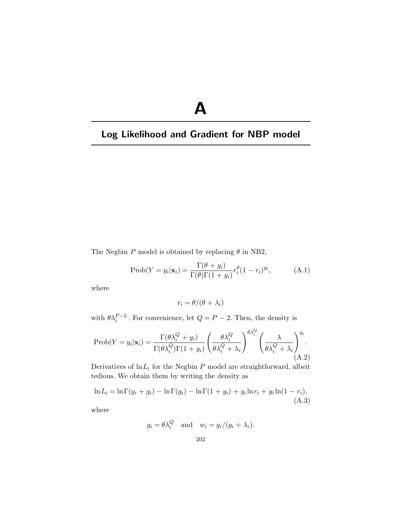# **A**

## **Log Likelihood and Gradient for NBP model**

The Negbin P model is obtained by replacing  $\theta$  in NB2,

$$
\text{Prob}(Y = y_i | \mathbf{x}_i) = \frac{\Gamma(\theta + y_i)}{\Gamma(\theta)\Gamma(1 + y_i)} r_i^{\theta} (1 - r_i)^{y_i}, \tag{A.1}
$$

where

$$
r_i = \theta/(\theta + \lambda_i)
$$

with  $\theta \lambda_i^{P-2}$ . For convenience, let  $Q = P - 2$ . Then, the density is

$$
\text{Prob}(Y = y_i | \mathbf{x}_i) = \frac{\Gamma(\theta \lambda_i^Q + y_i)}{\Gamma(\theta \lambda_i^Q)\Gamma(1 + y_i)} \left(\frac{\theta \lambda_i^Q}{\theta \lambda_i^Q + \lambda_i}\right)^{\theta \lambda_i^Q} \left(\frac{\lambda}{\theta \lambda_i^Q + \lambda_i}\right)^{y_i}.
$$
\n(A.2)

Derivatives of  $\ln L_i$  for the Negbin P model are straightforward, albeit tedious. We obtain them by writing the density as

$$
\ln L_i = \ln \Gamma(y_i + g_i) - \ln \Gamma(g_i) - \ln \Gamma(1 + y_i) + g_i \ln r_i + y_i \ln(1 - r_i),
$$
\n(A.3)

where

$$
g_i = \theta \lambda_i^Q
$$
 and  $w_i = g_i/(g_i + \lambda_i)$ .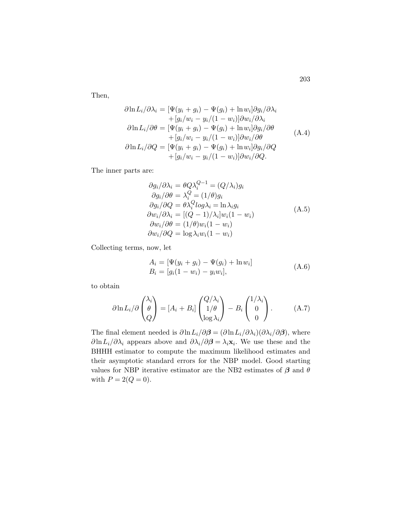Then,

$$
\partial \ln L_i/\partial \lambda_i = [\Psi(y_i + g_i) - \Psi(g_i) + \ln w_i] \partial g_i/\partial \lambda_i \n+ [g_i/w_i - y_i/(1 - w_i)] \partial w_i/\partial \lambda_i \n\partial \ln L_i/\partial \theta = [\Psi(y_i + g_i) - \Psi(g_i) + \ln w_i] \partial g_i/\partial \theta \n+ [g_i/w_i - y_i/(1 - w_i)] \partial w_i/\partial \theta \n\partial \ln L_i/\partial Q = [\Psi(y_i + g_i) - \Psi(g_i) + \ln w_i] \partial g_i/\partial Q \n+ [g_i/w_i - y_i/(1 - w_i)] \partial w_i/\partial Q.
$$
\n(A.4)

The inner parts are:

$$
\partial g_i/\partial \lambda_i = \theta Q \lambda_i^{Q-1} = (Q/\lambda_i) g_i
$$
  
\n
$$
\partial g_i/\partial \theta = \lambda_i^Q = (1/\theta) g_i
$$
  
\n
$$
\partial g_i/\partial Q = \theta \lambda_i^Q log \lambda_i = \ln \lambda_i g_i
$$
  
\n
$$
\partial w_i/\partial \lambda_i = [(Q-1)/\lambda_i] w_i (1 - w_i)
$$
  
\n
$$
\partial w_i/\partial Q = [Q \lambda_i w_i (1 - w_i)]
$$
  
\n(A.5)

Collecting terms, now, let

$$
A_i = [\Psi(y_i + g_i) - \Psi(g_i) + \ln w_i] B_i = [g_i(1 - w_i) - y_i w_i],
$$
 (A.6)

to obtain

$$
\partial \ln L_i / \partial \begin{pmatrix} \lambda_i \\ \theta \\ Q \end{pmatrix} = [A_i + B_i] \begin{pmatrix} Q/\lambda_i \\ 1/\theta \\ \log \lambda_i \end{pmatrix} - B_i \begin{pmatrix} 1/\lambda_i \\ 0 \\ 0 \end{pmatrix}.
$$
 (A.7)

The final element needed is  $\partial \ln L_i / \partial \beta = (\partial \ln L_i / \partial \lambda_i) (\partial \lambda_i / \partial \beta)$ , where  $\partial \ln L_i/\partial \lambda_i$  appears above and  $\partial \lambda_i/\partial \beta = \lambda_i \mathbf{x}_i$ . We use these and the BHHH estimator to compute the maximum likelihood estimates and their asymptotic standard errors for the NBP model. Good starting values for NBP iterative estimator are the NB2 estimates of  $\beta$  and  $\theta$ with  $P = 2(Q = 0)$ .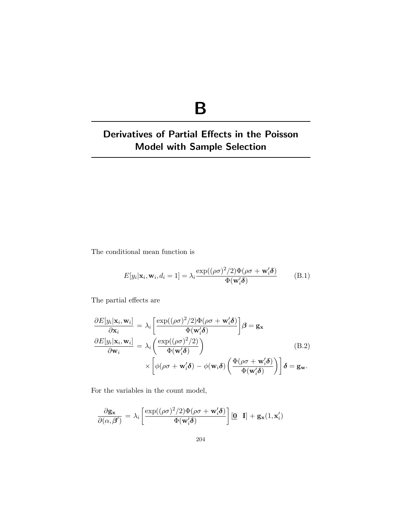## **B**

### **Derivatives of Partial Effects in the Poisson Model with Sample Selection**

The conditional mean function is

$$
E[y_i|\mathbf{x}_i, \mathbf{w}_i, d_i = 1] = \lambda_i \frac{\exp((\rho \sigma)^2/2) \Phi(\rho \sigma + \mathbf{w}_i' \delta)}{\Phi(\mathbf{w}_i' \delta)}
$$
(B.1)

The partial effects are

$$
\frac{\partial E[y_i|\mathbf{x}_i, \mathbf{w}_i]}{\partial \mathbf{x}_i} = \lambda_i \left[ \frac{\exp((\rho \sigma)^2/2) \Phi(\rho \sigma + \mathbf{w}_i' \delta)}{\Phi(\mathbf{w}_i' \delta)} \right] \beta = \mathbf{g}_{\mathbf{x}}
$$
\n
$$
\frac{\partial E[y_i|\mathbf{x}_i, \mathbf{w}_i]}{\partial \mathbf{w}_i} = \lambda_i \left( \frac{\exp((\rho \sigma)^2/2)}{\Phi(\mathbf{w}_i' \delta)} \right)
$$
\n
$$
\times \left[ \phi(\rho \sigma + \mathbf{w}_i' \delta) - \phi(\mathbf{w}_i \delta) \left( \frac{\Phi(\rho \sigma + \mathbf{w}_i' \delta)}{\Phi(\mathbf{w}_i' \delta)} \right) \right] \delta = \mathbf{g}_{\mathbf{w}}.
$$
\n(B.2)

For the variables in the count model,

$$
\frac{\partial \mathbf{g}_{\mathbf{x}}}{\partial(\alpha,\boldsymbol{\beta}')} = \lambda_i \left[ \frac{\exp((\rho \sigma)^2/2) \Phi(\rho \sigma + \mathbf{w}_i' \boldsymbol{\delta})}{\Phi(\mathbf{w}_i' \boldsymbol{\delta})} \right] [\mathbf{0} \ \mathbf{I}] + \mathbf{g}_{\mathbf{x}}(1,\mathbf{x}_i')
$$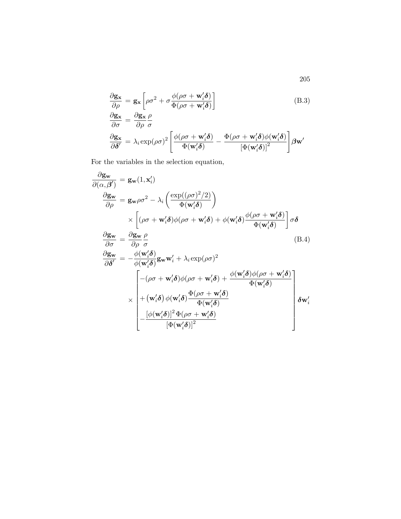$$
\frac{\partial \mathbf{g}_{\mathbf{x}}}{\partial \rho} = \mathbf{g}_{\mathbf{x}} \left[ \rho \sigma^2 + \sigma \frac{\phi(\rho \sigma + \mathbf{w}_i' \boldsymbol{\delta})}{\Phi(\rho \sigma + \mathbf{w}_i' \boldsymbol{\delta})} \right]
$$
(B.3)

$$
\frac{\partial \mathbf{g}_{\mathbf{x}}}{\partial \sigma} = \frac{\partial \mathbf{g}_{\mathbf{x}}}{\partial \rho} \frac{\rho}{\sigma}
$$

$$
\frac{\partial \mathbf{g}_{\mathbf{x}}}{\partial \delta'} = \lambda_i \exp(\rho \sigma)^2 \left[ \frac{\phi(\rho \sigma + \mathbf{w}_i' \delta)}{\Phi(\mathbf{w}_i' \delta)} - \frac{\Phi(\rho \sigma + \mathbf{w}_i' \delta) \phi(\mathbf{w}_i' \delta)}{\left[\Phi(\mathbf{w}_i' \delta)\right]^2} \right] \beta \mathbf{w}'
$$

For the variables in the selection equation,

$$
\frac{\partial \mathbf{g}_{\mathbf{w}}}{\partial(\alpha, \beta')} = \mathbf{g}_{\mathbf{w}}(1, \mathbf{x}_{i}')
$$
\n
$$
\frac{\partial \mathbf{g}_{\mathbf{w}}}{\partial \rho} = \mathbf{g}_{\mathbf{w}} \rho \sigma^{2} - \lambda_{i} \left( \frac{\exp((\rho \sigma)^{2}/2)}{\Phi(\mathbf{w}_{i}^{\prime} \delta)} \right)
$$
\n
$$
\times \left[ (\rho \sigma + \mathbf{w}_{i}^{\prime} \delta) \phi(\rho \sigma + \mathbf{w}_{i}^{\prime} \delta) + \phi(\mathbf{w}_{i}^{\prime} \delta) \frac{\phi(\rho \sigma + \mathbf{w}_{i}^{\prime} \delta)}{\Phi(\mathbf{w}_{i}^{\prime} \delta)} \right] \sigma \delta
$$
\n
$$
\frac{\partial \mathbf{g}_{\mathbf{w}}}{\partial \sigma} = \frac{\partial \mathbf{g}_{\mathbf{w}}}{\partial \rho} \frac{\rho}{\sigma}
$$
\n
$$
\frac{\partial \mathbf{g}_{\mathbf{w}}}{\partial \delta'} = -\frac{\phi(\mathbf{w}_{i}^{\prime} \delta)}{\phi(\mathbf{w}_{i}^{\prime} \delta)} \mathbf{g}_{\mathbf{w}} \mathbf{w}_{i}^{\prime} + \lambda_{i} \exp(\rho \sigma)^{2}
$$
\n
$$
\left[ -(\rho \sigma + \mathbf{w}_{i}^{\prime} \delta) \phi(\rho \sigma + \mathbf{w}_{i}^{\prime} \delta) + \frac{\phi(\mathbf{w}_{i}^{\prime} \delta) \phi(\rho \sigma + \mathbf{w}_{i}^{\prime} \delta)}{\Phi(\mathbf{w}_{i}^{\prime} \delta)} \right]
$$
\n
$$
\times \left[ + (\mathbf{w}_{i}^{\prime} \delta) \phi(\mathbf{w}_{i}^{\prime} \delta) \frac{\Phi(\rho \sigma + \mathbf{w}_{i}^{\prime} \delta)}{\Phi(\mathbf{w}_{i}^{\prime} \delta)} \right] \delta \mathbf{w}_{i}^{\prime}
$$

205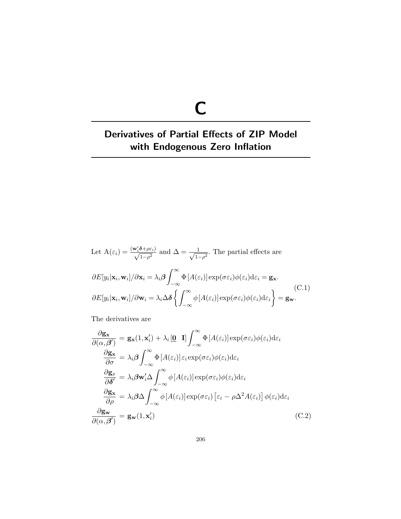# **C**

## **Derivatives of Partial Effects of ZIP Model with Endogenous Zero Inflation**

Let 
$$
A(\varepsilon_i) = \frac{(\mathbf{w}_i' \delta + \rho \varepsilon_i)}{\sqrt{1 - \rho^2}}
$$
 and  $\Delta = \frac{1}{\sqrt{1 - \rho^2}}$ . The partial effects are  
\n
$$
\partial E[y_i | \mathbf{x}_i, \mathbf{w}_i] / \partial \mathbf{x}_i = \lambda_i \beta \int_{-\infty}^{\infty} \Phi[A(\varepsilon_i)] \exp(\sigma \varepsilon_i) \phi(\varepsilon_i) d\varepsilon_i = \mathbf{g}_\mathbf{x}.
$$
\n
$$
\partial E[y_i | \mathbf{x}_i, \mathbf{w}_i] / \partial \mathbf{w}_i = \lambda_i \Delta \delta \left\{ \int_{-\infty}^{\infty} \phi[A(\varepsilon_i)] \exp(\sigma \varepsilon_i) \phi(\varepsilon_i) d\varepsilon_i \right\} = \mathbf{g}_\mathbf{w}.
$$
\n(C.1)

The derivatives are

$$
\frac{\partial \mathbf{g}_{\mathbf{x}}}{\partial(\alpha, \beta')} = \mathbf{g}_{\mathbf{x}}(1, \mathbf{x}_{i}') + \lambda_{i} [\mathbf{0} \quad \mathbf{I}] \int_{-\infty}^{\infty} \Phi[A(\varepsilon_{i})] \exp(\sigma \varepsilon_{i}) \phi(\varepsilon_{i}) d\varepsilon_{i}
$$

$$
\frac{\partial \mathbf{g}_{\mathbf{x}}}{\partial \sigma} = \lambda_{i} \beta \int_{-\infty}^{\infty} \Phi[A(\varepsilon_{i})] \varepsilon_{i} \exp(\sigma \varepsilon_{i}) \phi(\varepsilon_{i}) d\varepsilon_{i}
$$

$$
\frac{\partial \mathbf{g}_{x}}{\partial \delta'} = \lambda_{i} \beta \mathbf{w}_{i}' \Delta \int_{-\infty}^{\infty} \phi[A(\varepsilon_{i})] \exp(\sigma \varepsilon_{i}) \phi(\varepsilon_{i}) d\varepsilon_{i}
$$

$$
\frac{\partial \mathbf{g}_{\mathbf{x}}}{\partial \rho} = \lambda_{i} \beta \Delta \int_{-\infty}^{\infty} \phi[A(\varepsilon_{i})] \exp(\sigma \varepsilon_{i}) [\varepsilon_{i} - \rho \Delta^{2} A(\varepsilon_{i})] \phi(\varepsilon_{i}) d\varepsilon_{i}
$$

$$
\frac{\partial \mathbf{g}_{\mathbf{w}}}{\partial(\alpha, \beta')} = \mathbf{g}_{\mathbf{w}}(1, \mathbf{x}_{i}')
$$
(C.2)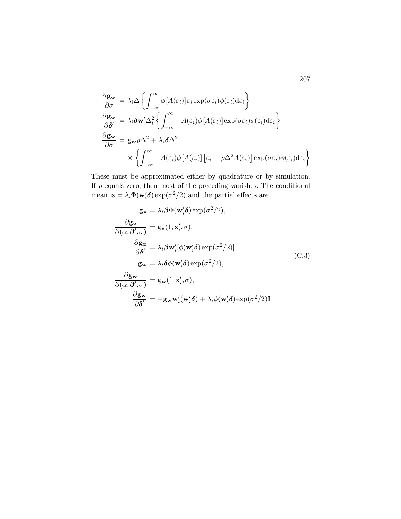$$
\frac{\partial \mathbf{g}_{\mathbf{w}}}{\partial \sigma} = \lambda_i \Delta \left\{ \int_{-\infty}^{\infty} \phi \left[ A(\varepsilon_i) \right] \varepsilon_i \exp(\sigma \varepsilon_i) \phi(\varepsilon_i) d\varepsilon_i \right\}
$$

$$
\frac{\partial \mathbf{g}_{\mathbf{w}}}{\partial \delta'} = \lambda_i \delta \mathbf{w}' \Delta_i^2 \left\{ \int_{-\infty}^{\infty} -A(\varepsilon_i) \phi \left[ A(\varepsilon_i) \right] \exp(\sigma \varepsilon_i) \phi(\varepsilon_i) d\varepsilon_i \right\}
$$

$$
\frac{\partial \mathbf{g}_{\mathbf{w}}}{\partial \sigma} = \mathbf{g}_{\mathbf{w}} \rho \Delta^2 + \lambda_i \delta \Delta^2
$$

$$
\times \left\{ \int_{-\infty}^{\infty} -A(\varepsilon_i) \phi \left[ A(\varepsilon_i) \right] \left[ \varepsilon_i - \rho \Delta^2 A(\varepsilon_i) \right] \exp(\sigma \varepsilon_i) \phi(\varepsilon_i) d\varepsilon_i \right\}
$$

These must be approximated either by quadrature or by simulation. If  $\rho$  equals zero, then most of the preceding vanishes. The conditional mean is  $= \lambda_i \Phi(\mathbf{w}_i' \mathbf{\delta}) \exp(\sigma^2/2)$  and the partial effects are

$$
\mathbf{g}_{\mathbf{x}} = \lambda_i \beta \Phi(\mathbf{w}_i' \delta) \exp(\sigma^2/2),
$$
  
\n
$$
\frac{\partial \mathbf{g}_{\mathbf{x}}}{\partial(\alpha, \beta', \sigma)} = \mathbf{g}_{\mathbf{x}}(1, \mathbf{x}_i', \sigma),
$$
  
\n
$$
\frac{\partial \mathbf{g}_{\mathbf{x}}}{\partial \delta'} = \lambda_i \beta \mathbf{w}_i' [\phi(\mathbf{w}_i' \delta) \exp(\sigma^2/2)]
$$
  
\n
$$
\mathbf{g}_{\mathbf{w}} = \lambda_i \delta \phi(\mathbf{w}_i' \delta) \exp(\sigma^2/2),
$$
  
\n
$$
\frac{\partial \mathbf{g}_{\mathbf{w}}}{\partial(\alpha, \beta', \sigma)} = \mathbf{g}_{\mathbf{w}}(1, \mathbf{x}_i', \sigma),
$$
  
\n
$$
\frac{\partial \mathbf{g}_{\mathbf{w}}}{\partial \delta'} = -\mathbf{g}_{\mathbf{w}} \mathbf{w}_i' (\mathbf{w}_i' \delta) + \lambda_i \phi(\mathbf{w}_i' \delta) \exp(\sigma^2/2) \mathbf{I}
$$
\n(11)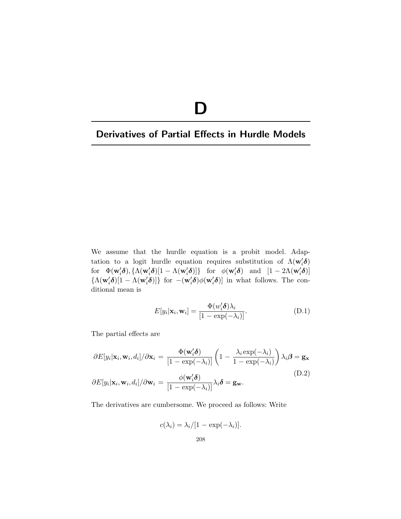## **D**

### **Derivatives of Partial Effects in Hurdle Models**

We assume that the hurdle equation is a probit model. Adaptation to a logit hurdle equation requires substitution of  $\Lambda(\mathbf{w}_i^{\prime}\boldsymbol{\delta})$  $\text{for} \quad \Phi(\mathbf{w}_i'\boldsymbol{\delta}), \{\Lambda(\mathbf{w}_i'\boldsymbol{\delta})[1-\Lambda(\mathbf{w}_i'\boldsymbol{\delta})]\} \quad \text{for} \quad \phi(\mathbf{w}_i'\boldsymbol{\delta}) \quad \text{and} \quad [1-2\Lambda(\mathbf{w}_i'\boldsymbol{\delta})]$  $\{\Lambda(\mathbf{w}'_i\boldsymbol{\delta})[1-\Lambda(\mathbf{w}'_i\boldsymbol{\delta})]\}\$  for  $-(\mathbf{w}'_i\boldsymbol{\delta})\phi(\mathbf{w}'_i\boldsymbol{\delta})]$  in what follows. The conditional mean is

$$
E[y_i|\mathbf{x}_i, \mathbf{w}_i] = \frac{\Phi(w_i'\boldsymbol{\delta})\lambda_i}{[1 - \exp(-\lambda_i)]}.
$$
 (D.1)

The partial effects are

$$
\partial E[y_i|\mathbf{x}_i, \mathbf{w}_i, d_i] / \partial \mathbf{x}_i = \frac{\Phi(\mathbf{w}_i' \boldsymbol{\delta})}{[1 - \exp(-\lambda_i)]} \left( 1 - \frac{\lambda_i \exp(-\lambda_i)}{1 - \exp(-\lambda_i)} \right) \lambda_i \boldsymbol{\beta} = \mathbf{g}_{\mathbf{x}}
$$

$$
\partial E[y_i|\mathbf{x}_i, \mathbf{w}_i, d_i] / \partial \mathbf{w}_i = \frac{\phi(\mathbf{w}_i' \boldsymbol{\delta})}{[1 - \exp(-\lambda_i)]} \lambda_i \boldsymbol{\delta} = \mathbf{g}_{\mathbf{w}}.
$$
(D.2)

The derivatives are cumbersome. We proceed as follows: Write

$$
c(\lambda_i) = \lambda_i/[1 - \exp(-\lambda_i)].
$$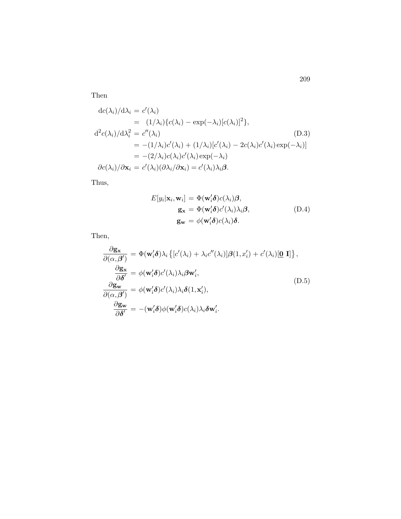Then

$$
dc(\lambda_i)/d\lambda_i = c'(\lambda_i)
$$
  
\n
$$
= (1/\lambda_i)\{c(\lambda_i) - \exp(-\lambda_i)[c(\lambda_i)]^2\},
$$
  
\n
$$
d^2c(\lambda_i)/d\lambda_i^2 = c''(\lambda_i)
$$
  
\n
$$
= -(1/\lambda_i)c'(\lambda_i) + (1/\lambda_i)[c'(\lambda_i) - 2c(\lambda_i)c'(\lambda_i)\exp(-\lambda_i)]
$$
  
\n
$$
= -(2/\lambda_i)c(\lambda_i)c'(\lambda_i)\exp(-\lambda_i)
$$
  
\n
$$
\partial c(\lambda_i)/\partial \mathbf{x}_i = c'(\lambda_i)(\partial \lambda_i/\partial \mathbf{x}_i) = c'(\lambda_i)\lambda_i\beta.
$$
\n(D.3)

Thus,

$$
E[y_i|\mathbf{x}_i, \mathbf{w}_i] = \Phi(\mathbf{w}_i'\delta)c(\lambda_i)\beta,
$$
  
\n
$$
\mathbf{g}_\mathbf{x} = \Phi(\mathbf{w}_i'\delta)c'(\lambda_i)\lambda_i\beta,
$$
  
\n
$$
\mathbf{g}_\mathbf{w} = \phi(\mathbf{w}_i'\delta)c(\lambda_i)\delta.
$$
 (D.4)

Then,

$$
\frac{\partial \mathbf{g}_{\mathbf{x}}}{\partial(\alpha, \beta')} = \Phi(\mathbf{w}_{i}^{\prime} \boldsymbol{\delta}) \lambda_{i} \{ [c^{\prime}(\lambda_{i}) + \lambda_{i} c^{\prime\prime}(\lambda_{i})] \boldsymbol{\beta}(1, x_{i}^{\prime}) + c^{\prime}(\lambda_{i})] \underline{\mathbf{0}} \mathbf{I} ] \},
$$
\n
$$
\frac{\partial \mathbf{g}_{\mathbf{x}}}{\partial \boldsymbol{\delta}^{\prime}} = \phi(\mathbf{w}_{i}^{\prime} \boldsymbol{\delta}) c^{\prime}(\lambda_{i}) \lambda_{i} \boldsymbol{\beta} \mathbf{w}_{i}^{\prime},
$$
\n
$$
\frac{\partial \mathbf{g}_{\mathbf{w}}}{\partial(\alpha, \beta')} = \phi(\mathbf{w}_{i}^{\prime} \boldsymbol{\delta}) c^{\prime}(\lambda_{i}) \lambda_{i} \boldsymbol{\delta}(1, \mathbf{x}_{i}^{\prime}),
$$
\n
$$
\frac{\partial \mathbf{g}_{\mathbf{w}}}{\partial \boldsymbol{\delta}^{\prime}} = -(\mathbf{w}_{i}^{\prime} \boldsymbol{\delta}) \phi(\mathbf{w}_{i}^{\prime} \boldsymbol{\delta}) c(\lambda_{i}) \lambda_{i} \boldsymbol{\delta} \mathbf{w}_{i}^{\prime}.
$$
\n(D.5)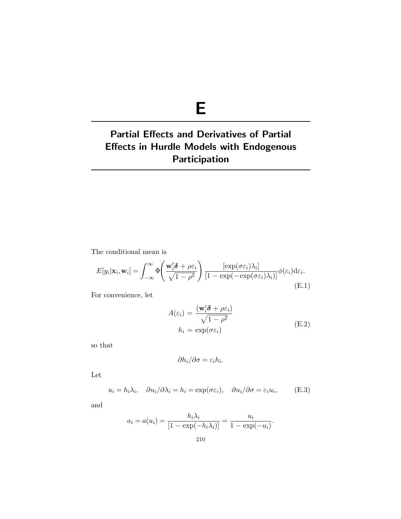## **E**

## **Partial Effects and Derivatives of Partial Effects in Hurdle Models with Endogenous Participation**

The conditional mean is

$$
E[y_i|\mathbf{x}_i, \mathbf{w}_i] = \int_{-\infty}^{\infty} \Phi\!\left(\frac{\mathbf{w}_i'\delta + \rho \varepsilon_i}{\sqrt{1 - \rho^2}}\right) \frac{[\exp(\sigma \varepsilon_i)\lambda_i]}{[1 - \exp(-\exp(\sigma \varepsilon_i)\lambda_i)]} \phi(\varepsilon_i) d\varepsilon_i.
$$
\n(E.1)

For convenience, let

$$
A(\varepsilon_i) = \frac{(\mathbf{w}_i' \boldsymbol{\delta} + \rho \varepsilon_i)}{\sqrt{1 - \rho^2}}
$$
  
\n
$$
h_i = \exp(\sigma \varepsilon_i)
$$
 (E.2)

so that

$$
\partial h_i/\partial \sigma = \varepsilon_i h_i.
$$

Let

$$
u_i = h_i \lambda_i, \quad \partial u_i / \partial \lambda_i = h_i = \exp(\sigma \varepsilon_i), \quad \partial u_i / \partial \sigma = \varepsilon_i u_i, \quad (E.3)
$$

and

$$
a_i = a(u_i) = \frac{h_i \lambda_i}{[1 - \exp(-h_i \lambda_i)]} = \frac{u_i}{1 - \exp(-u_i)}.
$$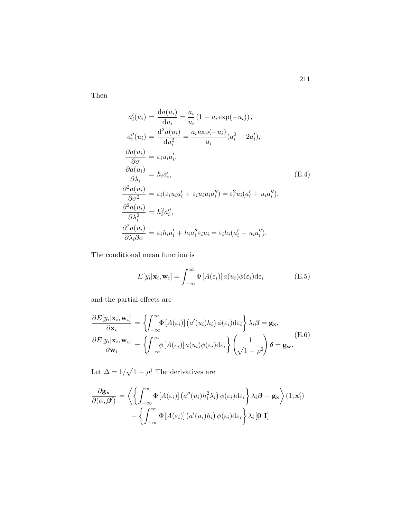Then

$$
a'_{i}(u_{i}) = \frac{da(u_{i})}{du_{i}} = \frac{a_{i}}{u_{i}} (1 - a_{i} \exp(-u_{i})),
$$
  
\n
$$
a''_{i}(u_{i}) = \frac{d^{2}a(u_{i})}{du_{i}^{2}} = \frac{a_{i} \exp(-u_{i})}{u_{i}} (a_{i}^{2} - 2a'_{i}),
$$
  
\n
$$
\frac{\partial a(u_{i})}{\partial \sigma} = \varepsilon_{i} u_{i} a'_{i},
$$
  
\n
$$
\frac{\partial^{2}a(u_{i})}{\partial \lambda_{i}} = h_{i} a'_{i},
$$
  
\n
$$
\frac{\partial^{2}a(u_{i})}{\partial \sigma^{2}} = \varepsilon_{i}(\varepsilon_{i} u_{i} a'_{i} + \varepsilon_{i} u_{i} u_{i} a''_{i}) = \varepsilon_{i}^{2} u_{i} (a'_{i} + u_{i} a''_{i}),
$$
  
\n
$$
\frac{\partial^{2}a(u_{i})}{\partial \lambda_{i}^{2}} = h_{i}^{2} a''_{i},
$$
  
\n
$$
\frac{\partial^{2}a(u_{i})}{\partial \lambda_{i} \partial \sigma} = \varepsilon_{i} h_{i} a'_{i} + h_{i} a''_{i} \varepsilon_{i} u_{i} = \varepsilon_{i} h_{i} (a'_{i} + u_{i} a''_{i}).
$$
  
\n(Exponential)

The conditional mean function is

$$
E[y_i|\mathbf{x}_i, \mathbf{w}_i] = \int_{-\infty}^{\infty} \Phi[A(\varepsilon_i)] a(u_i) \phi(\varepsilon_i) d\varepsilon_i
$$
 (E.5)

and the partial effects are

$$
\frac{\partial E[y_i|\mathbf{x}_i, \mathbf{w}_i]}{\partial \mathbf{x}_i} = \left\{ \int_{-\infty}^{\infty} \Phi[A(\varepsilon_i)] (a'(u_i)h_i) \phi(\varepsilon_i) d\varepsilon_i \right\} \lambda_i \boldsymbol{\beta} = \mathbf{g}_{\mathbf{x}},
$$
\n
$$
\frac{\partial E[y_i|\mathbf{x}_i, \mathbf{w}_i]}{\partial \mathbf{w}_i} = \left\{ \int_{-\infty}^{\infty} \phi[A(\varepsilon_i)] a(u_i) \phi(\varepsilon_i) d\varepsilon_i \right\} \left( \frac{1}{\sqrt{1 - \rho^2}} \right) \boldsymbol{\delta} = \mathbf{g}_{\mathbf{w}}.
$$
\n(E.6)

Let  $\Delta = 1/\sqrt{1-\rho^1}$  The derivatives are

$$
\frac{\partial \mathbf{g}_{\mathbf{x}}}{\partial(\alpha,\beta')} = \left\langle \left\{ \int_{-\infty}^{\infty} \Phi\left[A(\varepsilon_i)\right] \left(a''(u_i) h_i^2 \lambda_i\right) \phi(\varepsilon_i) d\varepsilon_i \right\} \lambda_i \beta + \mathbf{g}_{\mathbf{x}} \right\rangle (1, \mathbf{x}_i')
$$

$$
+ \left\{ \int_{-\infty}^{\infty} \Phi\left[A(\varepsilon_i)\right] \left(a'(u_i) h_i\right) \phi(\varepsilon_i) d\varepsilon_i \right\} \lambda_i \left[\mathbf{0} \mathbf{I}\right]
$$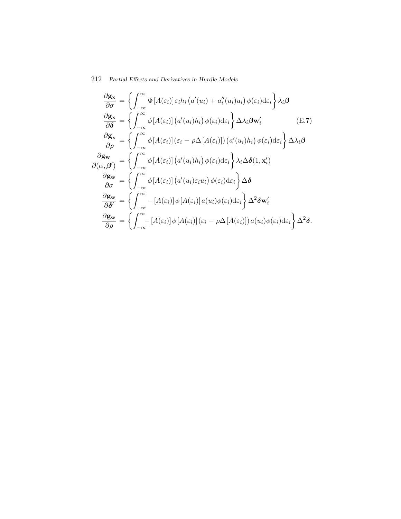### 212 *Partial Effects and Derivatives in Hurdle Models*

$$
\frac{\partial \mathbf{g}_{\mathbf{x}}}{\partial \sigma} = \left\{ \int_{-\infty}^{\infty} \Phi\left[A(\varepsilon_{i})\right] \varepsilon_{i} h_{i} \left(a'(u_{i}) + a''_{i}(u_{i}) u_{i}\right) \phi(\varepsilon_{i}) d\varepsilon_{i} \right\} \lambda_{i} \beta
$$
\n
$$
\frac{\partial \mathbf{g}_{\mathbf{x}}}{\partial \delta} = \left\{ \int_{-\infty}^{\infty} \phi\left[A(\varepsilon_{i})\right] \left(a'(u_{i}) h_{i}\right) \phi(\varepsilon_{i}) d\varepsilon_{i} \right\} \Delta \lambda_{i} \beta \mathbf{w}'_{i} \qquad (E.7)
$$
\n
$$
\frac{\partial \mathbf{g}_{\mathbf{x}}}{\partial \rho} = \left\{ \int_{-\infty}^{\infty} \phi\left[A(\varepsilon_{i})\right] \left(\varepsilon_{i} - \rho \Delta\left[A(\varepsilon_{i})\right]\right) \left(a'(u_{i}) h_{i}\right) \phi(\varepsilon_{i}) d\varepsilon_{i} \right\} \Delta \lambda_{i} \beta
$$
\n
$$
\frac{\partial \mathbf{g}_{\mathbf{w}}}{\partial(\alpha, \beta')} = \left\{ \int_{-\infty}^{\infty} \phi\left[A(\varepsilon_{i})\right] \left(a'(u_{i}) h_{i}\right) \phi(\varepsilon_{i}) d\varepsilon_{i} \right\} \lambda_{i} \Delta \delta(1, \mathbf{x}'_{i})
$$
\n
$$
\frac{\partial \mathbf{g}_{\mathbf{w}}}{\partial \sigma} = \left\{ \int_{-\infty}^{\infty} \phi\left[A(\varepsilon_{i})\right] \left(a'(u_{i}) \varepsilon_{i} u_{i}\right) \phi(\varepsilon_{i}) d\varepsilon_{i} \right\} \Delta \delta
$$
\n
$$
\frac{\partial \mathbf{g}_{\mathbf{w}}}{\partial \delta'} = \left\{ \int_{-\infty}^{\infty} -\left[A(\varepsilon_{i})\right] \phi\left[A(\varepsilon_{i})\right] a(u_{i}) \phi(\varepsilon_{i}) d\varepsilon_{i} \right\} \Delta^{2} \delta \mathbf{w}'_{i}
$$
\n
$$
\frac{\partial \mathbf{g}_{\mathbf{w}}}{\partial \rho} = \left\{ \int_{-\infty}^{\
$$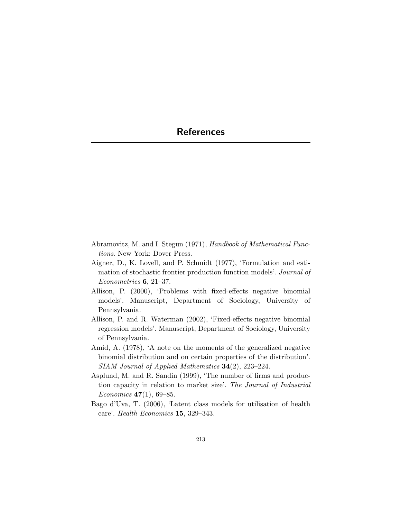- Abramovitz, M. and I. Stegun (1971), *Handbook of Mathematical Functions*. New York: Dover Press.
- Aigner, D., K. Lovell, and P. Schmidt (1977), 'Formulation and estimation of stochastic frontier production function models'. *Journal of Econometrics* **6**, 21–37.
- Allison, P. (2000), 'Problems with fixed-effects negative binomial models'. Manuscript, Department of Sociology, University of Pennsylvania.
- Allison, P. and R. Waterman (2002), 'Fixed-effects negative binomial regression models'. Manuscript, Department of Sociology, University of Pennsylvania.
- Amid, A. (1978), 'A note on the moments of the generalized negative binomial distribution and on certain properties of the distribution'. *SIAM Journal of Applied Mathematics* **34**(2), 223–224.
- Asplund, M. and R. Sandin (1999), 'The number of firms and production capacity in relation to market size'. *The Journal of Industrial Economics* **47**(1), 69–85.
- Bago d'Uva, T. (2006), 'Latent class models for utilisation of health care'. *Health Economics* **15**, 329–343.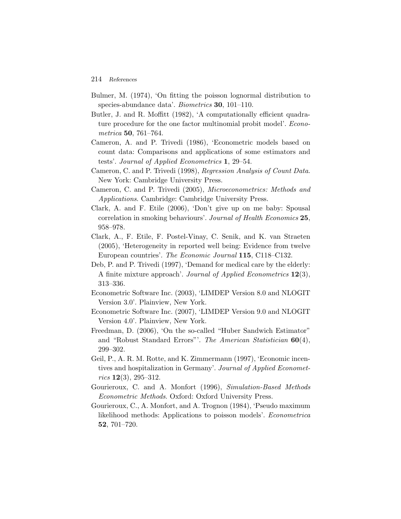- Bulmer, M. (1974), 'On fitting the poisson lognormal distribution to species-abundance data'. *Biometrics* **30**, 101–110.
- Butler, J. and R. Moffitt (1982), 'A computationally efficient quadrature procedure for the one factor multinomial probit model'. *Econometrica* **50**, 761–764.
- Cameron, A. and P. Trivedi (1986), 'Econometric models based on count data: Comparisons and applications of some estimators and tests'. *Journal of Applied Econometrics* **1**, 29–54.
- Cameron, C. and P. Trivedi (1998), *Regression Analysis of Count Data*. New York: Cambridge University Press.
- Cameron, C. and P. Trivedi (2005), *Microeconometrics: Methods and Applications*. Cambridge: Cambridge University Press.
- Clark, A. and F. Etile (2006), 'Don't give up on me baby: Spousal correlation in smoking behaviours'. *Journal of Health Economics* **25**, 958–978.
- Clark, A., F. Etile, F. Postel-Vinay, C. Senik, and K. van Straeten (2005), 'Heterogeneity in reported well being: Evidence from twelve European countries'. *The Economic Journal* **115**, C118–C132.
- Deb, P. and P. Trivedi (1997), 'Demand for medical care by the elderly: A finite mixture approach'. *Journal of Applied Econometrics* **12**(3), 313–336.
- Econometric Software Inc. (2003), 'LIMDEP Version 8.0 and NLOGIT Version 3.0'. Plainview, New York.
- Econometric Software Inc. (2007), 'LIMDEP Version 9.0 and NLOGIT Version 4.0'. Plainview, New York.
- Freedman, D. (2006), 'On the so-called "Huber Sandwich Estimator" and "Robust Standard Errors"'. *The American Statistician* **60**(4), 299–302.
- Geil, P., A. R. M. Rotte, and K. Zimmermann (1997), 'Economic incentives and hospitalization in Germany'. *Journal of Applied Econometrics* **12**(3), 295–312.
- Gourieroux, C. and A. Monfort (1996), *Simulation-Based Methods Econometric Methods*. Oxford: Oxford University Press.
- Gourieroux, C., A. Monfort, and A. Trognon (1984), 'Pseudo maximum likelihood methods: Applications to poisson models'. *Econometrica* **52**, 701–720.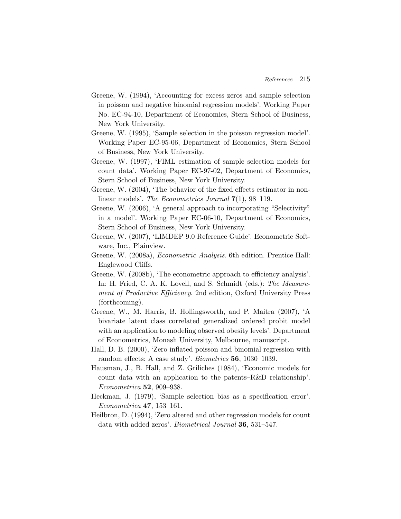- Greene, W. (1994), 'Accounting for excess zeros and sample selection in poisson and negative binomial regression models'. Working Paper No. EC-94-10, Department of Economics, Stern School of Business, New York University.
- Greene, W. (1995), 'Sample selection in the poisson regression model'. Working Paper EC-95-06, Department of Economics, Stern School of Business, New York University.
- Greene, W. (1997), 'FIML estimation of sample selection models for count data'. Working Paper EC-97-02, Department of Economics, Stern School of Business, New York University.
- Greene, W. (2004), 'The behavior of the fixed effects estimator in nonlinear models'. *The Econometrics Journal* **7**(1), 98–119.
- Greene, W. (2006), 'A general approach to incorporating "Selectivity" in a model'. Working Paper EC-06-10, Department of Economics, Stern School of Business, New York University.
- Greene, W. (2007), 'LIMDEP 9.0 Reference Guide'. Econometric Software, Inc., Plainview.
- Greene, W. (2008a), *Econometric Analysis*. 6th edition. Prentice Hall: Englewood Cliffs.
- Greene, W. (2008b), 'The econometric approach to efficiency analysis'. In: H. Fried, C. A. K. Lovell, and S. Schmidt (eds.): *The Measurement of Productive Efficiency*. 2nd edition, Oxford University Press (forthcoming).
- Greene, W., M. Harris, B. Hollingsworth, and P. Maitra (2007), 'A bivariate latent class correlated generalized ordered probit model with an application to modeling observed obesity levels'. Department of Econometrics, Monash University, Melbourne, manuscript.
- Hall, D. B. (2000), 'Zero inflated poisson and binomial regression with random effects: A case study'. *Biometrics* **56**, 1030–1039.
- Hausman, J., B. Hall, and Z. Griliches (1984), 'Economic models for count data with an application to the patents–R&D relationship'. *Econometrica* **52**, 909–938.
- Heckman, J. (1979), 'Sample selection bias as a specification error'. *Econometrica* **47**, 153–161.
- Heilbron, D. (1994), 'Zero altered and other regression models for count data with added zeros'. *Biometrical Journal* **36**, 531–547.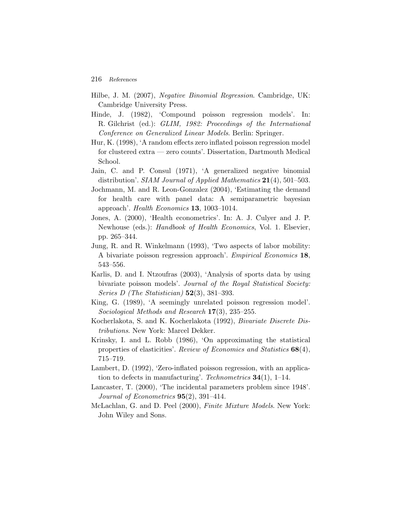- Hilbe, J. M. (2007), *Negative Binomial Regression*. Cambridge, UK: Cambridge University Press.
- Hinde, J. (1982), 'Compound poisson regression models'. In: R. Gilchrist (ed.): *GLIM, 1982: Proceedings of the International Conference on Generalized Linear Models*. Berlin: Springer.
- Hur, K. (1998), 'A random effects zero inflated poisson regression model for clustered extra — zero counts'. Dissertation, Dartmouth Medical School.
- Jain, C. and P. Consul (1971), 'A generalized negative binomial distribution'. *SIAM Journal of Applied Mathematics* **21**(4), 501–503.
- Jochmann, M. and R. Leon-Gonzalez (2004), 'Estimating the demand for health care with panel data: A semiparametric bayesian approach'. *Health Economics* **13**, 1003–1014.
- Jones, A. (2000), 'Health econometrics'. In: A. J. Culyer and J. P. Newhouse (eds.): *Handbook of Health Economics*, Vol. 1. Elsevier, pp. 265–344.
- Jung, R. and R. Winkelmann (1993), 'Two aspects of labor mobility: A bivariate poisson regression approach'. *Empirical Economics* **18**, 543–556.
- Karlis, D. and I. Ntzoufras (2003), 'Analysis of sports data by using bivariate poisson models'. *Journal of the Royal Statistical Society: Series D (The Statistician)* **52**(3), 381–393.
- King, G. (1989), 'A seemingly unrelated poisson regression model'. *Sociological Methods and Research* **17**(3), 235–255.
- Kocherlakota, S. and K. Kocherlakota (1992), *Bivariate Discrete Distributions*. New York: Marcel Dekker.
- Krinsky, I. and L. Robb (1986), 'On approximating the statistical properties of elasticities'. *Review of Economics and Statistics* **68**(4), 715–719.
- Lambert, D. (1992), 'Zero-inflated poisson regression, with an application to defects in manufacturing'. *Technometrics* **34**(1), 1–14.
- Lancaster, T. (2000), 'The incidental parameters problem since 1948'. *Journal of Econometrics* **95**(2), 391–414.
- McLachlan, G. and D. Peel (2000), *Finite Mixture Models*. New York: John Wiley and Sons.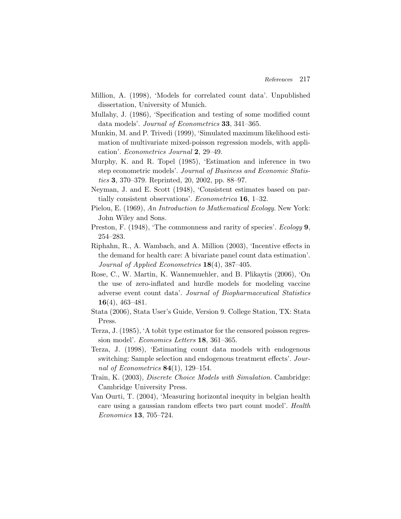- Million, A. (1998), 'Models for correlated count data'. Unpublished dissertation, University of Munich.
- Mullahy, J. (1986), 'Specification and testing of some modified count data models'. *Journal of Econometrics* **33**, 341–365.
- Munkin, M. and P. Trivedi (1999), 'Simulated maximum likelihood estimation of multivariate mixed-poisson regression models, with application'. *Econometrics Journal* **2**, 29–49.
- Murphy, K. and R. Topel (1985), 'Estimation and inference in two step econometric models'. *Journal of Business and Economic Statistics* **3**, 370–379. Reprinted, 20, 2002, pp. 88–97.
- Neyman, J. and E. Scott (1948), 'Consistent estimates based on partially consistent observations'. *Econometrica* **16**, 1–32.
- Pielou, E. (1969), *An Introduction to Mathematical Ecology*. New York: John Wiley and Sons.
- Preston, F. (1948), 'The commonness and rarity of species'. *Ecology* **9**, 254–283.
- Riphahn, R., A. Wambach, and A. Million (2003), 'Incentive effects in the demand for health care: A bivariate panel count data estimation'. *Journal of Applied Econometrics* **18**(4), 387–405.
- Rose, C., W. Martin, K. Wannemuehler, and B. Plikaytis (2006), 'On the use of zero-inflated and hurdle models for modeling vaccine adverse event count data'. *Journal of Biopharmaceutical Statistics* **16**(4), 463–481.
- Stata (2006), Stata User's Guide, Version 9. College Station, TX: Stata Press.
- Terza, J. (1985), 'A tobit type estimator for the censored poisson regression model'. *Economics Letters* **18**, 361–365.
- Terza, J. (1998), 'Estimating count data models with endogenous switching: Sample selection and endogenous treatment effects'. *Journal of Econometrics* **84**(1), 129–154.
- Train, K. (2003), *Discrete Choice Models with Simulation*. Cambridge: Cambridge University Press.
- Van Ourti, T. (2004), 'Measuring horizontal inequity in belgian health care using a gaussian random effects two part count model'. *Health Economics* **13**, 705–724.